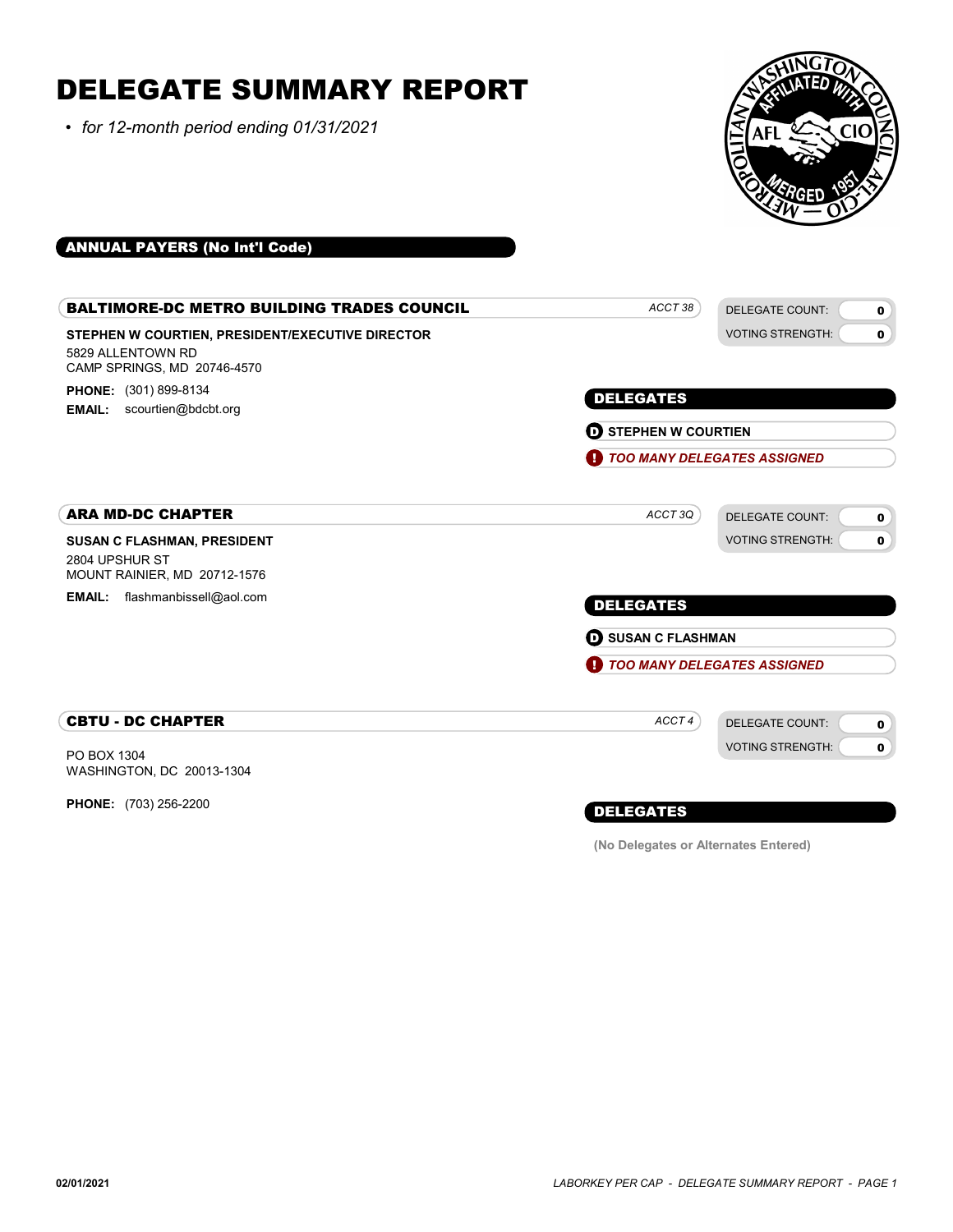# DELEGATE SUMMARY REPORT

• for 12-month period ending 01/31/2021



### ANNUAL PAYERS (No Int'l Code)

| <b>BALTIMORE-DC METRO BUILDING TRADES COUNCIL</b>                                                    | ACCT38                               | <b>DELEGATE COUNT:</b><br>$\mathbf 0$  |
|------------------------------------------------------------------------------------------------------|--------------------------------------|----------------------------------------|
| STEPHEN W COURTIEN, PRESIDENT/EXECUTIVE DIRECTOR<br>5829 ALLENTOWN RD<br>CAMP SPRINGS, MD 20746-4570 |                                      | <b>VOTING STRENGTH:</b><br>$\mathbf 0$ |
| PHONE: (301) 899-8134<br>scourtien@bdcbt.org<br><b>EMAIL:</b>                                        | <b>DELEGATES</b>                     |                                        |
|                                                                                                      | <b>D</b> STEPHEN W COURTIEN          |                                        |
|                                                                                                      | <b>1</b> TOO MANY DELEGATES ASSIGNED |                                        |
| <b>ARA MD-DC CHAPTER</b>                                                                             | ACCT 3Q                              | <b>DELEGATE COUNT:</b><br>$\mathbf 0$  |
| <b>SUSAN C FLASHMAN, PRESIDENT</b>                                                                   |                                      | <b>VOTING STRENGTH:</b><br>$\mathbf 0$ |
| 2804 UPSHUR ST<br>MOUNT RAINIER, MD 20712-1576                                                       |                                      |                                        |
| flashmanbissell@aol.com<br><b>EMAIL:</b>                                                             | <b>DELEGATES</b>                     |                                        |
|                                                                                                      | <b>D</b> SUSAN C FLASHMAN            |                                        |
|                                                                                                      | Œ                                    | <b>TOO MANY DELEGATES ASSIGNED</b>     |
| <b>CBTU - DC CHAPTER</b>                                                                             | ACCT4                                | <b>DELEGATE COUNT:</b><br>$\mathbf 0$  |
| PO BOX 1304<br>WASHINGTON, DC 20013-1304                                                             |                                      | <b>VOTING STRENGTH:</b><br>0           |
| <b>PHONE:</b> (703) 256-2200                                                                         | <b>DELEGATES</b>                     |                                        |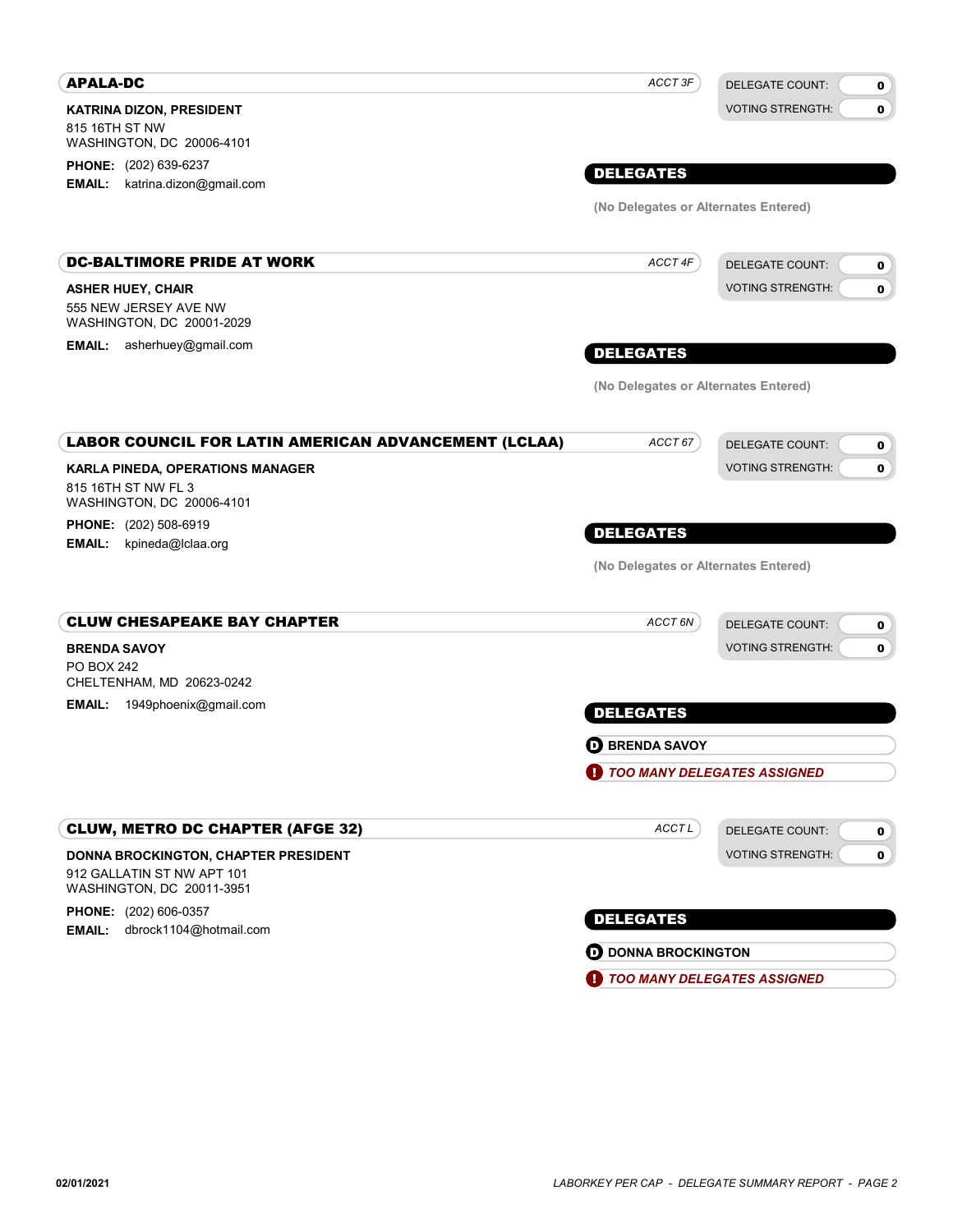| <b>VOTING STRENGTH:</b><br>$\mathbf{0}$<br><b>DELEGATE COUNT:</b><br>0 |
|------------------------------------------------------------------------|
|                                                                        |
|                                                                        |
|                                                                        |
|                                                                        |
|                                                                        |
|                                                                        |
| <b>VOTING STRENGTH:</b><br>$\mathbf 0$                                 |
|                                                                        |
|                                                                        |
| <b>DELEGATE COUNT:</b><br>0                                            |
| <b>VOTING STRENGTH:</b><br>0                                           |
|                                                                        |
|                                                                        |
|                                                                        |
|                                                                        |
| <b>DELEGATE COUNT:</b><br>0                                            |
| <b>VOTING STRENGTH:</b><br>0                                           |
|                                                                        |
|                                                                        |
|                                                                        |
|                                                                        |
|                                                                        |
|                                                                        |
| DELEGATE COUNT:<br>0                                                   |
| <b>VOTING STRENGTH:</b><br>$\mathbf 0$                                 |
|                                                                        |
|                                                                        |

|  | <b>TOO MANY DELEGATES ASSIGNED</b> |
|--|------------------------------------|
|  |                                    |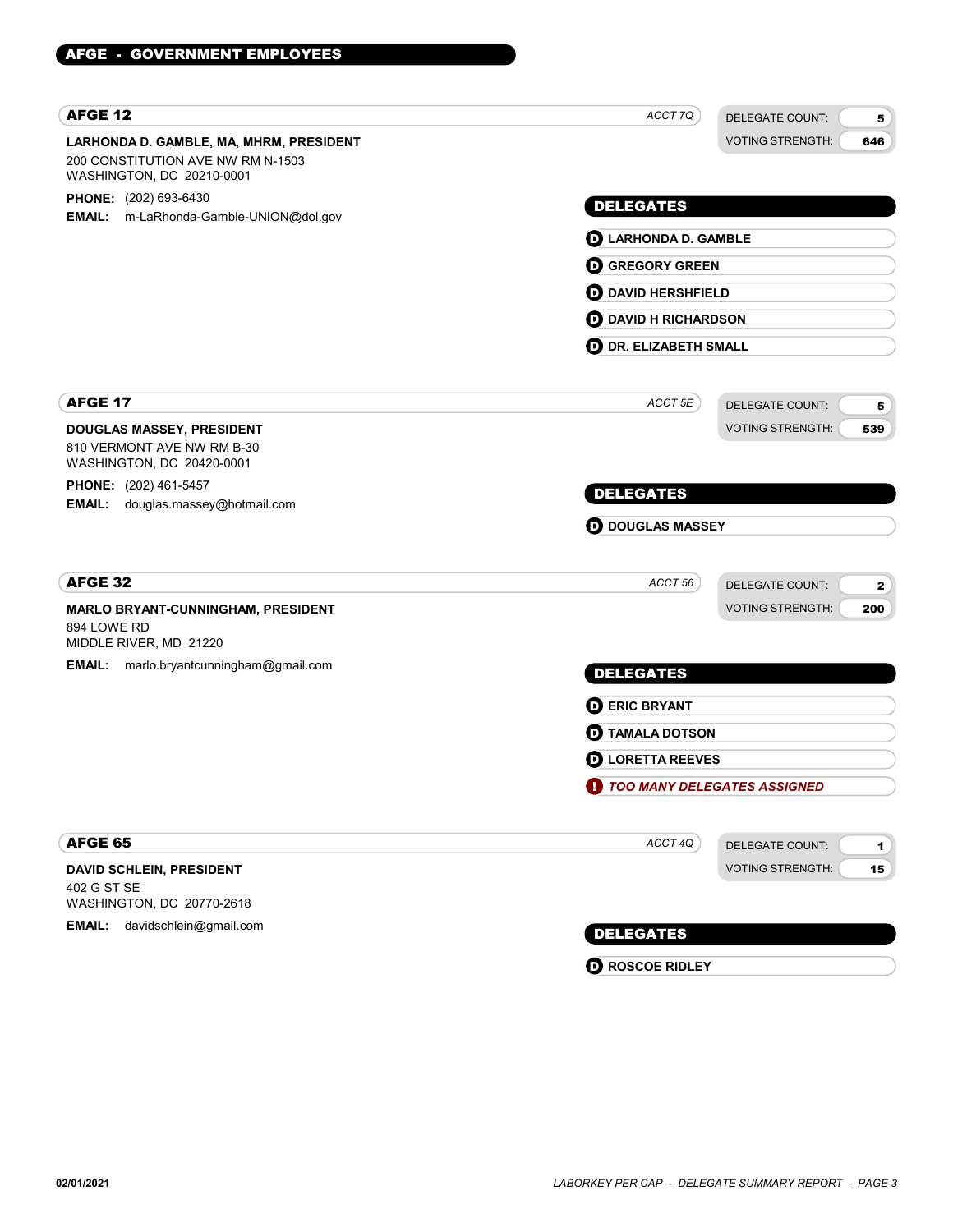| <b>AFGE 12</b>                                                                                            | ACCT 7Q                      | <b>DELEGATE COUNT:</b><br>5                    |  |
|-----------------------------------------------------------------------------------------------------------|------------------------------|------------------------------------------------|--|
| LARHONDA D. GAMBLE, MA, MHRM, PRESIDENT<br>200 CONSTITUTION AVE NW RM N-1503<br>WASHINGTON, DC 20210-0001 |                              | <b>VOTING STRENGTH:</b><br>646                 |  |
| PHONE: (202) 693-6430                                                                                     | <b>DELEGATES</b>             |                                                |  |
| EMAIL: m-LaRhonda-Gamble-UNION@dol.gov                                                                    |                              |                                                |  |
|                                                                                                           | <b>D</b> LARHONDA D. GAMBLE  |                                                |  |
|                                                                                                           | <b>O GREGORY GREEN</b>       |                                                |  |
|                                                                                                           | <b>OD</b> DAVID HERSHFIELD   |                                                |  |
|                                                                                                           | <b>D</b> DAVID H RICHARDSON  |                                                |  |
|                                                                                                           | <b>D</b> DR. ELIZABETH SMALL |                                                |  |
| <b>AFGE 17</b>                                                                                            | ACCT 5E                      | <b>DELEGATE COUNT:</b><br>5                    |  |
| DOUGLAS MASSEY, PRESIDENT<br>810 VERMONT AVE NW RM B-30<br>WASHINGTON, DC 20420-0001                      |                              | <b>VOTING STRENGTH:</b><br>539                 |  |
| PHONE: (202) 461-5457<br>EMAIL: douglas.massey@hotmail.com                                                | <b>DELEGATES</b>             |                                                |  |
|                                                                                                           |                              | <b>D</b> DOUGLAS MASSEY                        |  |
| AFGE 32                                                                                                   | ACCT 56                      | <b>DELEGATE COUNT:</b><br>$\mathbf{2}$         |  |
| MARLO BRYANT-CUNNINGHAM, PRESIDENT<br>894 LOWE RD<br>MIDDLE RIVER, MD 21220                               |                              | <b>VOTING STRENGTH:</b><br>200                 |  |
| <b>EMAIL:</b> marlo.bryantcunningham@gmail.com                                                            | <b>DELEGATES</b>             |                                                |  |
|                                                                                                           | <b>DERIC BRYANT</b>          |                                                |  |
|                                                                                                           | <b>D</b> TAMALA DOTSON       |                                                |  |
|                                                                                                           | <b>O LORETTA REEVES</b>      |                                                |  |
|                                                                                                           | TOO MANY DELEGATES ASSIGNED  |                                                |  |
| AFGE 65                                                                                                   | ACCT 4Q                      | <b>DELEGATE COUNT:</b><br>$\blacktriangleleft$ |  |
| DAVID SCHLEIN, PRESIDENT                                                                                  |                              | <b>VOTING STRENGTH:</b><br>15 <sub>1</sub>     |  |
| 402 G ST SE<br>WASHINGTON, DC 20770-2618                                                                  |                              |                                                |  |
| davidschlein@gmail.com<br><b>EMAIL:</b>                                                                   | <b>DELEGATES</b>             |                                                |  |

**D** ROSCOE RIDLEY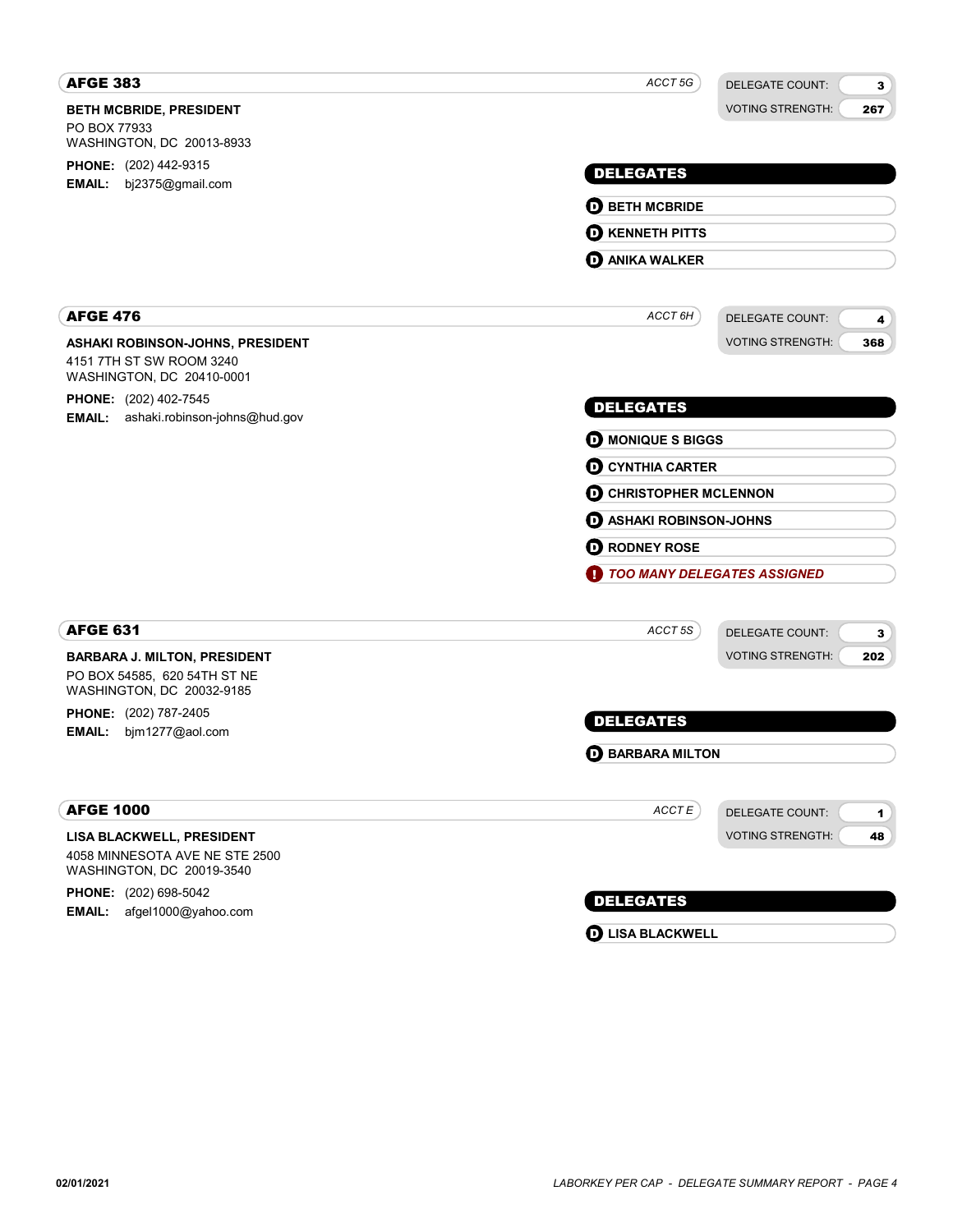| <b>AFGE 383</b>                                                                                  | ACCT 5G<br><b>DELEGATE COUNT:</b><br>3          |
|--------------------------------------------------------------------------------------------------|-------------------------------------------------|
| <b>BETH MCBRIDE, PRESIDENT</b>                                                                   | <b>VOTING STRENGTH:</b><br>267                  |
| PO BOX 77933<br>WASHINGTON, DC 20013-8933                                                        |                                                 |
| PHONE: (202) 442-9315                                                                            |                                                 |
| <b>EMAIL:</b><br>bj2375@gmail.com                                                                | <b>DELEGATES</b>                                |
|                                                                                                  | <b>O BETH MCBRIDE</b>                           |
|                                                                                                  | <b>O KENNETH PITTS</b>                          |
|                                                                                                  | <b>D</b> ANIKA WALKER                           |
| <b>AFGE 476</b>                                                                                  | ACCT 6H<br><b>DELEGATE COUNT:</b><br>4          |
| ASHAKI ROBINSON-JOHNS, PRESIDENT                                                                 | <b>VOTING STRENGTH:</b><br>368                  |
| 4151 7TH ST SW ROOM 3240<br>WASHINGTON, DC 20410-0001                                            |                                                 |
| <b>PHONE:</b> (202) 402-7545                                                                     | <b>DELEGATES</b>                                |
| ashaki.robinson-johns@hud.gov<br>EMAIL:                                                          | <b>D</b> MONIQUE S BIGGS                        |
|                                                                                                  | <b>O CYNTHIA CARTER</b>                         |
|                                                                                                  | <b>O CHRISTOPHER MCLENNON</b>                   |
|                                                                                                  | <b>D</b> ASHAKI ROBINSON-JOHNS                  |
|                                                                                                  | <b>O</b> RODNEY ROSE                            |
|                                                                                                  | TOO MANY DELEGATES ASSIGNED                     |
|                                                                                                  |                                                 |
| <b>AFGE 631</b>                                                                                  | ACCT 5S<br><b>DELEGATE COUNT:</b><br>3          |
| <b>BARBARA J. MILTON, PRESIDENT</b><br>PO BOX 54585, 620 54TH ST NE<br>WASHINGTON, DC 20032-9185 | <b>VOTING STRENGTH:</b><br>202                  |
| PHONE: (202) 787-2405                                                                            | <b>DELEGATES</b>                                |
| bjm1277@aol.com<br><b>EMAIL:</b>                                                                 |                                                 |
|                                                                                                  | <b>D</b> BARBARA MILTON                         |
| <b>AFGE 1000</b>                                                                                 | ACCTE<br><b>DELEGATE COUNT:</b><br>$\mathbf{1}$ |
| LISA BLACKWELL, PRESIDENT<br>4058 MINNESOTA AVE NE STE 2500<br>WASHINGTON, DC 20019-3540         | <b>VOTING STRENGTH:</b><br>48                   |
| PHONE: (202) 698-5042                                                                            | <b>DELEGATES</b>                                |
| afgel1000@yahoo.com<br><b>EMAIL:</b>                                                             |                                                 |

**D** LISA BLACKWELL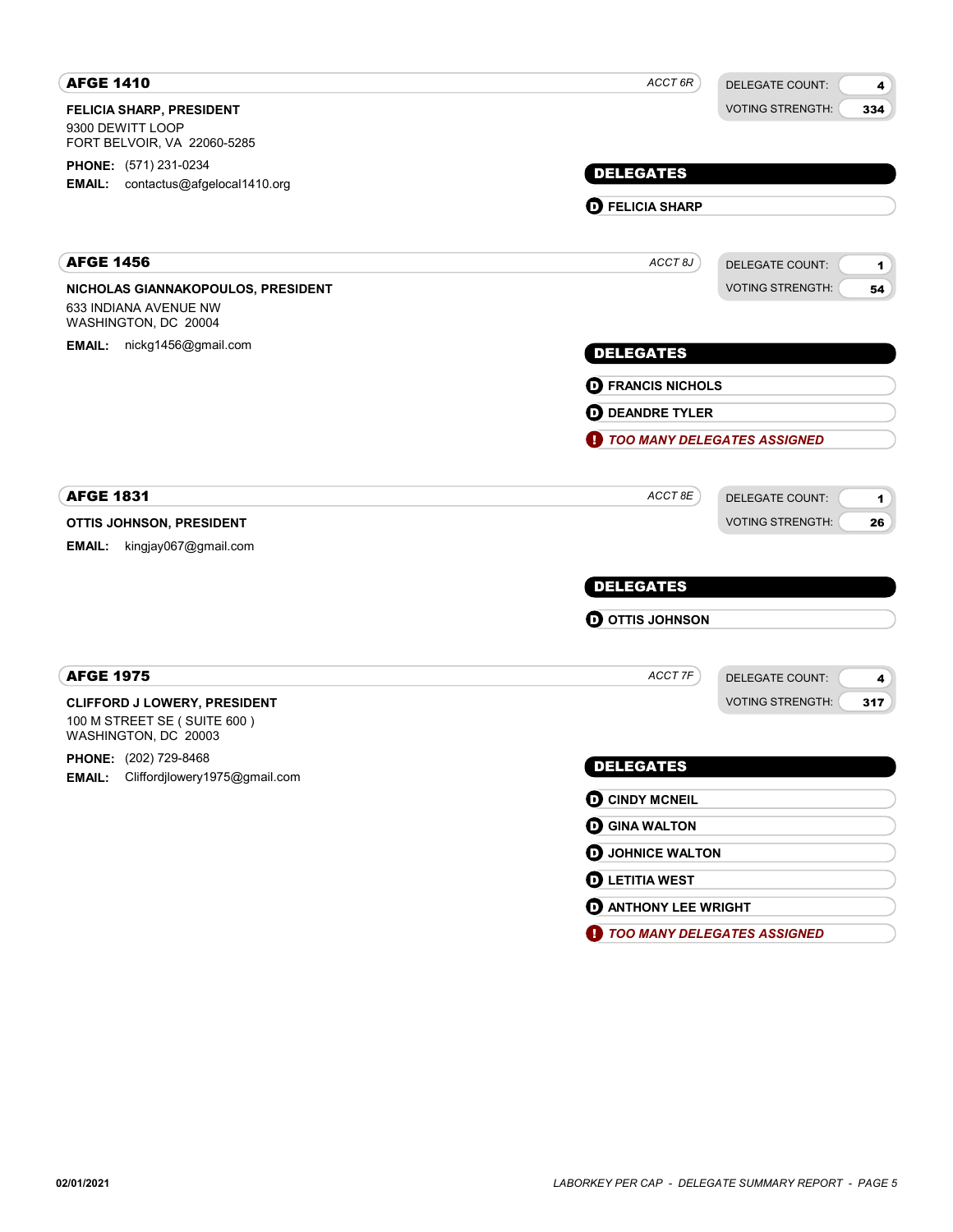| ACCT 6R<br><b>DELEGATE COUNT:</b><br>4            |  |
|---------------------------------------------------|--|
| <b>VOTING STRENGTH:</b><br>334                    |  |
| <b>DELEGATES</b>                                  |  |
|                                                   |  |
| <b>D</b> FELICIA SHARP                            |  |
| ACCT <sub>8J</sub><br><b>DELEGATE COUNT:</b><br>1 |  |
| <b>VOTING STRENGTH:</b><br>54                     |  |
| <b>DELEGATES</b>                                  |  |
| <b>D</b> FRANCIS NICHOLS                          |  |
| <b>D</b> DEANDRE TYLER                            |  |
| <b>TOO MANY DELEGATES ASSIGNED</b>                |  |
| ACCT 8E<br>DELEGATE COUNT:<br>$\mathbf{1}$        |  |
| <b>VOTING STRENGTH:</b><br>26                     |  |
|                                                   |  |
| <b>DELEGATES</b>                                  |  |
| <b>O OTTIS JOHNSON</b>                            |  |
| ACCT 7F<br><b>DELEGATE COUNT:</b><br>4            |  |
| <b>VOTING STRENGTH:</b><br>317                    |  |
| <b>DELEGATES</b>                                  |  |
| <b>O CINDY MCNEIL</b>                             |  |
| <b>O GINA WALTON</b>                              |  |
| <b>O</b> JOHNICE WALTON                           |  |
| <b>O LETITIA WEST</b>                             |  |
| <b>O ANTHONY LEE WRIGHT</b>                       |  |
|                                                   |  |

**1** TOO MANY DELEGATES ASSIGNED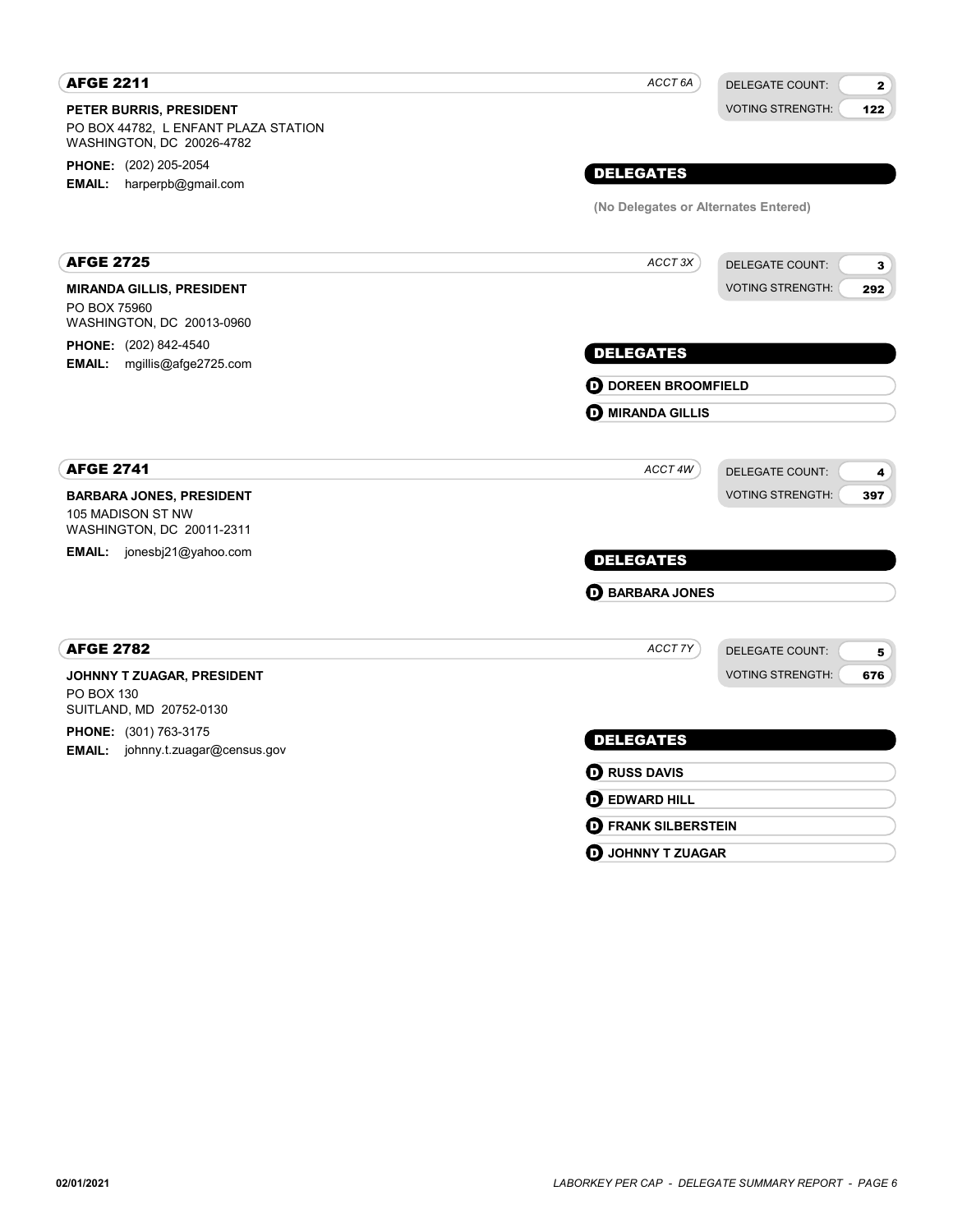| <b>AFGE 2211</b>                                                                             | ACCT 6A                              | <b>DELEGATE COUNT:</b><br>$\mathbf{2}$ |
|----------------------------------------------------------------------------------------------|--------------------------------------|----------------------------------------|
| PETER BURRIS, PRESIDENT<br>PO BOX 44782, L ENFANT PLAZA STATION<br>WASHINGTON, DC 20026-4782 |                                      | <b>VOTING STRENGTH:</b><br>122         |
| PHONE: (202) 205-2054                                                                        |                                      |                                        |
| EMAIL: harperpb@gmail.com                                                                    | <b>DELEGATES</b>                     |                                        |
|                                                                                              | (No Delegates or Alternates Entered) |                                        |
| <b>AFGE 2725</b>                                                                             | ACCT 3X                              | DELEGATE COUNT:<br>$\mathbf{3}$        |
| <b>MIRANDA GILLIS, PRESIDENT</b>                                                             |                                      | <b>VOTING STRENGTH:</b><br>292         |
| PO BOX 75960                                                                                 |                                      |                                        |
| WASHINGTON, DC 20013-0960                                                                    |                                      |                                        |
| <b>PHONE:</b> (202) 842-4540<br><b>EMAIL:</b> mgillis@afge2725.com                           | <b>DELEGATES</b>                     |                                        |
|                                                                                              | <b>OD</b> DOREEN BROOMFIELD          |                                        |
|                                                                                              | <b>O MIRANDA GILLIS</b>              |                                        |
|                                                                                              |                                      |                                        |
| <b>AFGE 2741</b>                                                                             | ACCT 4W                              | <b>DELEGATE COUNT:</b><br>4            |
| <b>BARBARA JONES, PRESIDENT</b>                                                              |                                      | <b>VOTING STRENGTH:</b><br>397         |
| 105 MADISON ST NW<br>WASHINGTON, DC 20011-2311                                               |                                      |                                        |
| EMAIL: jonesbj21@yahoo.com                                                                   | <b>DELEGATES</b>                     |                                        |
|                                                                                              | <b>D</b> BARBARA JONES               |                                        |
| <b>AFGE 2782</b>                                                                             | ACCT 7Y                              | <b>DELEGATE COUNT:</b><br>5            |
| JOHNNY T ZUAGAR, PRESIDENT                                                                   |                                      | <b>VOTING STRENGTH:</b><br>676         |
| PO BOX 130                                                                                   |                                      |                                        |
| SUITLAND, MD 20752-0130<br>PHONE: (301) 763-3175                                             |                                      |                                        |
| EMAIL: johnny.t.zuagar@census.gov                                                            | <b>DELEGATES</b>                     |                                        |
|                                                                                              | <b>O</b> RUSS DAVIS                  |                                        |
|                                                                                              | <b>O EDWARD HILL</b>                 |                                        |
|                                                                                              | <b>D</b> FRANK SILBERSTEIN           |                                        |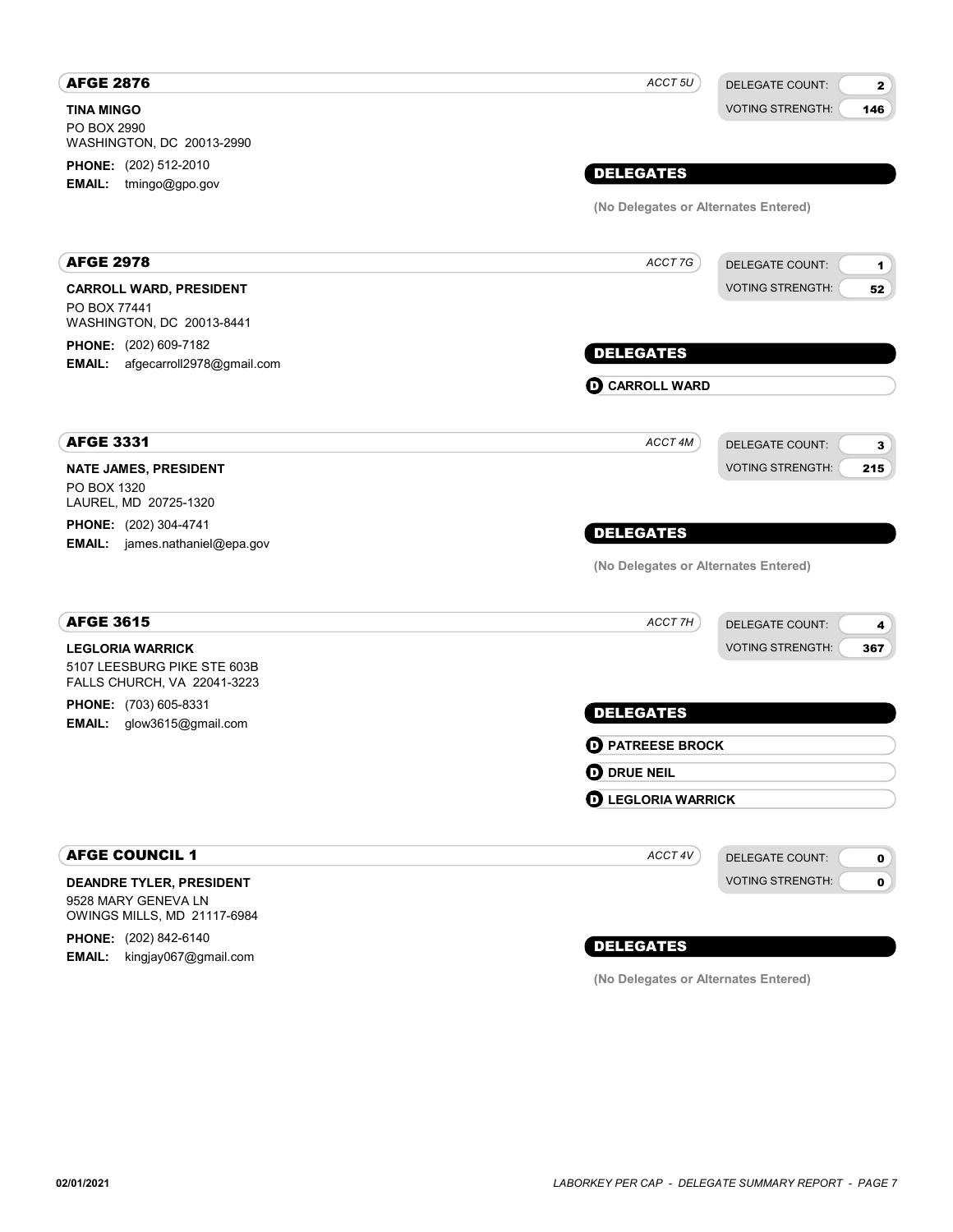| <b>AFGE 2876</b>                                                 | ACCT 5U                              | <b>DELEGATE COUNT:</b><br>$\mathbf{2}$  |
|------------------------------------------------------------------|--------------------------------------|-----------------------------------------|
| <b>TINA MINGO</b>                                                |                                      | <b>VOTING STRENGTH:</b><br>146          |
| PO BOX 2990<br>WASHINGTON, DC 20013-2990                         |                                      |                                         |
| <b>PHONE:</b> (202) 512-2010                                     |                                      |                                         |
| EMAIL: tmingo@gpo.gov                                            | <b>DELEGATES</b>                     |                                         |
|                                                                  | (No Delegates or Alternates Entered) |                                         |
| <b>AFGE 2978</b>                                                 | ACCT 7G                              | <b>DELEGATE COUNT:</b><br>1             |
| <b>CARROLL WARD, PRESIDENT</b>                                   |                                      | <b>VOTING STRENGTH:</b><br>52           |
| PO BOX 77441<br>WASHINGTON, DC 20013-8441                        |                                      |                                         |
| <b>PHONE:</b> (202) 609-7182<br>EMAIL: afgecarroll2978@gmail.com | <b>DELEGATES</b>                     |                                         |
|                                                                  | <b>O CARROLL WARD</b>                |                                         |
| <b>AFGE 3331</b>                                                 | ACCT 4M                              | <b>DELEGATE COUNT:</b><br>3             |
| <b>NATE JAMES, PRESIDENT</b>                                     |                                      | <b>VOTING STRENGTH:</b><br>215          |
| PO BOX 1320<br>LAUREL, MD 20725-1320                             |                                      |                                         |
| <b>PHONE:</b> (202) 304-4741                                     |                                      |                                         |
| <b>EMAIL:</b> james.nathaniel@epa.gov                            | <b>DELEGATES</b>                     |                                         |
|                                                                  | (No Delegates or Alternates Entered) |                                         |
| <b>AFGE 3615</b>                                                 | ACCT 7H                              | <b>DELEGATE COUNT:</b><br>4             |
| <b>LEGLORIA WARRICK</b>                                          |                                      | <b>VOTING STRENGTH:</b><br>367          |
| 5107 LEESBURG PIKE STE 603B<br>FALLS CHURCH, VA 22041-3223       |                                      |                                         |
| PHONE: (703) 605-8331<br>EMAIL: glow3615@gmail.com               | <b>DELEGATES</b>                     |                                         |
|                                                                  | <b>D</b> PATREESE BROCK              |                                         |
|                                                                  | <b>OD</b> DRUE NEIL                  |                                         |
|                                                                  | <b>D</b> LEGLORIA WARRICK            |                                         |
| <b>AFGE COUNCIL 1</b>                                            | ACCT 4V                              | <b>DELEGATE COUNT:</b><br>$\mathbf{0}$  |
| <b>DEANDRE TYLER, PRESIDENT</b>                                  |                                      | <b>VOTING STRENGTH:</b><br>$\mathbf{0}$ |
| 9528 MARY GENEVA LN<br>OWINGS MILLS, MD 21117-6984               |                                      |                                         |
| PHONE: (202) 842-6140                                            | <b>DELEGATES</b>                     |                                         |
| <b>EMAIL:</b><br>kingjay067@gmail.com                            |                                      |                                         |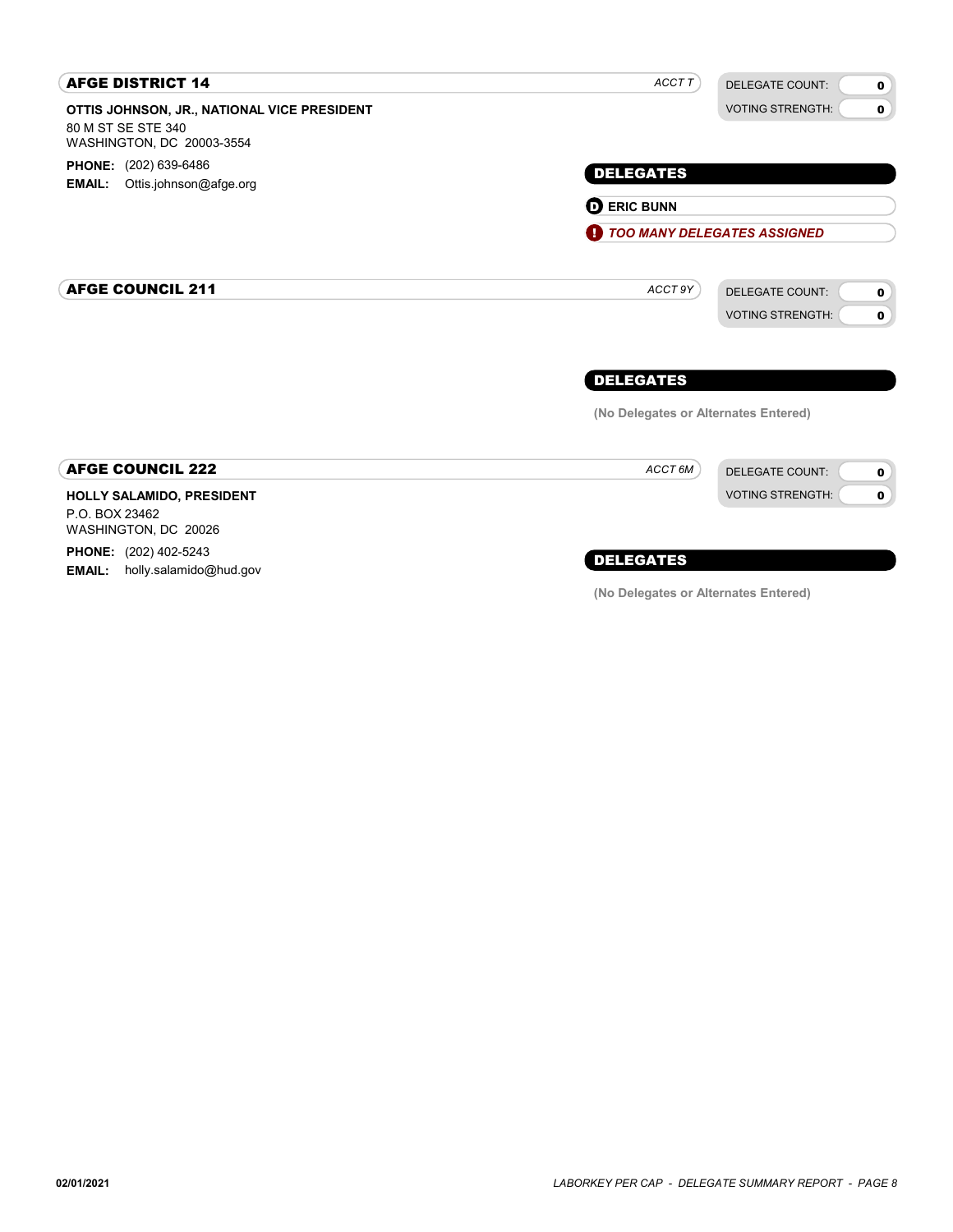| <b>AFGE DISTRICT 14</b>                                                                        | ACCT T                               | <b>DELEGATE COUNT:</b><br>$\mathbf 0$                                           |
|------------------------------------------------------------------------------------------------|--------------------------------------|---------------------------------------------------------------------------------|
| OTTIS JOHNSON, JR., NATIONAL VICE PRESIDENT<br>80 M ST SE STE 340<br>WASHINGTON, DC 20003-3554 |                                      | <b>VOTING STRENGTH:</b><br>$\bullet$                                            |
| <b>PHONE:</b> (202) 639-6486                                                                   | <b>DELEGATES</b>                     |                                                                                 |
| Ottis.johnson@afge.org<br><b>EMAIL:</b>                                                        | <b>O ERIC BUNN</b>                   |                                                                                 |
|                                                                                                | TOO MANY DELEGATES ASSIGNED          |                                                                                 |
| <b>AFGE COUNCIL 211</b>                                                                        | ACCT 9Y                              | <b>DELEGATE COUNT:</b><br>$\mathbf 0$<br><b>VOTING STRENGTH:</b><br>$\mathbf 0$ |
|                                                                                                | <b>DELEGATES</b>                     |                                                                                 |
|                                                                                                | (No Delegates or Alternates Entered) |                                                                                 |
| <b>AFGE COUNCIL 222</b>                                                                        | ACCT 6M                              | <b>DELEGATE COUNT:</b><br>$\mathbf 0$                                           |
| HOLLY SALAMIDO, PRESIDENT<br>P.O. BOX 23462<br>WASHINGTON, DC 20026                            |                                      | <b>VOTING STRENGTH:</b><br>$\mathbf 0$                                          |
| <b>PHONE:</b> (202) 402-5243                                                                   | <b>DELEGATES</b>                     |                                                                                 |

(No Delegates or Alternates Entered)

EMAIL: holly.salamido@hud.gov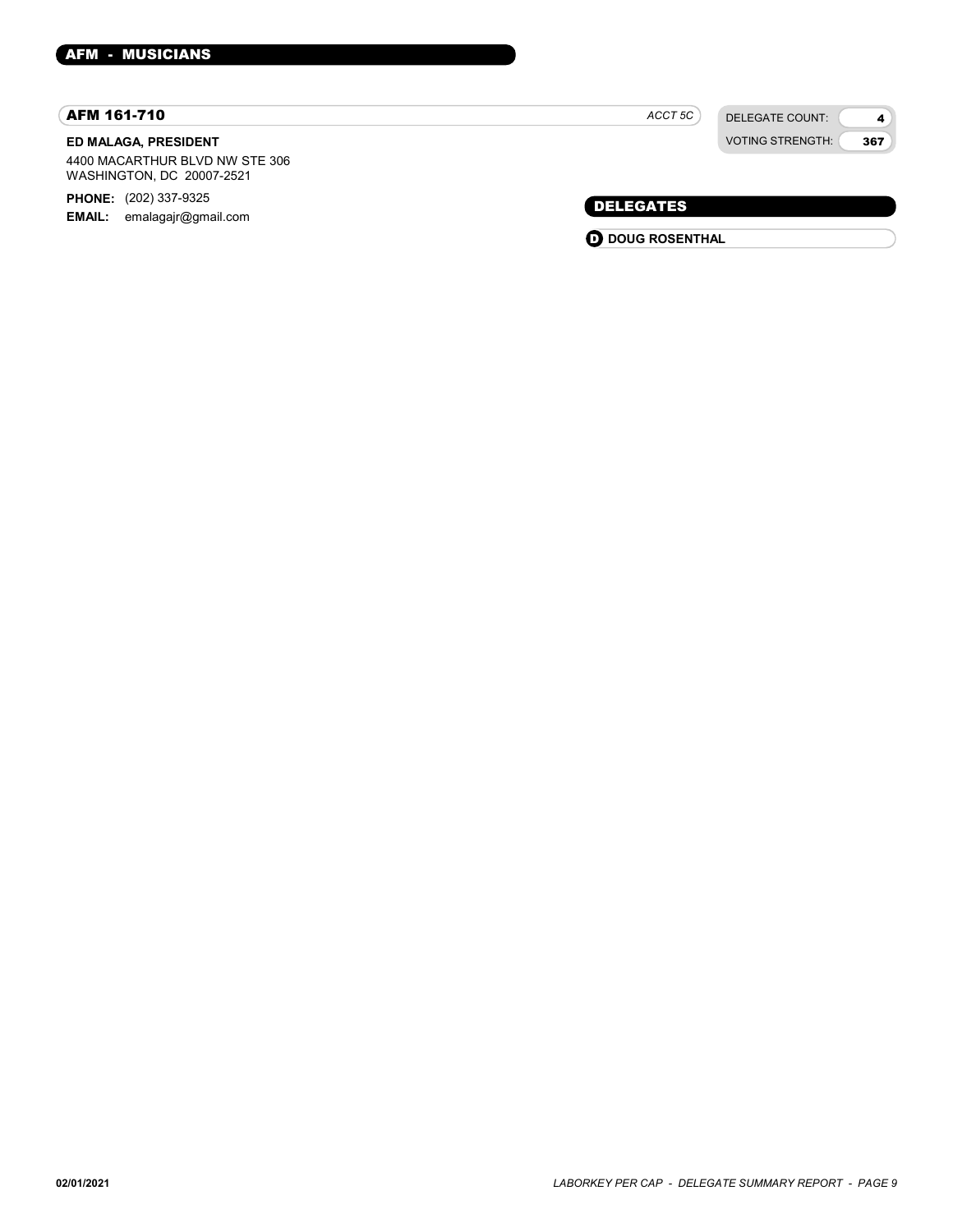### AFM 161-710

### ED MALAGA, PRESIDENT

4400 MACARTHUR BLVD NW STE 306 WASHINGTON, DC 20007-2521

PHONE: (202) 337-9325

EMAIL: emalagajr@gmail.com

| ACCT 5C | DELEGATE COUNT:         |
|---------|-------------------------|
|         | <b>VOTING STRENGTH:</b> |

4 367

### DELEGATES

**O** DOUG ROSENTHAL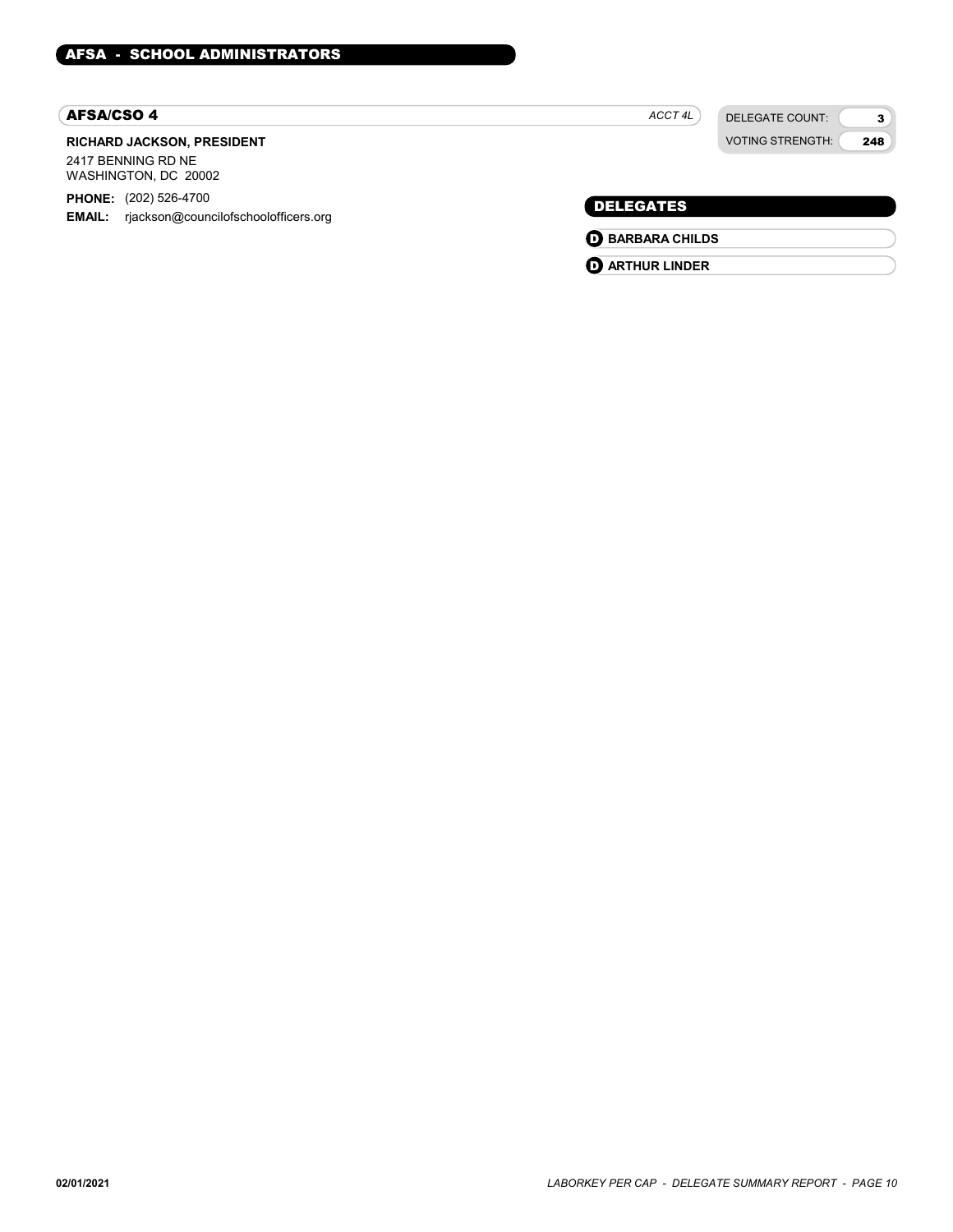#### AFSA/CSO 4

### RICHARD JACKSON, PRESIDENT 2417 BENNING RD NE

WASHINGTON, DC 20002

PHONE: (202) 526-4700

EMAIL: rjackson@councilofschoolofficers.org

ACCT 4L

DELEGATES **O** BARBARA CHILDS **D** ARTHUR LINDER

DELEGATE COUNT: VOTING STRENGTH:

3 248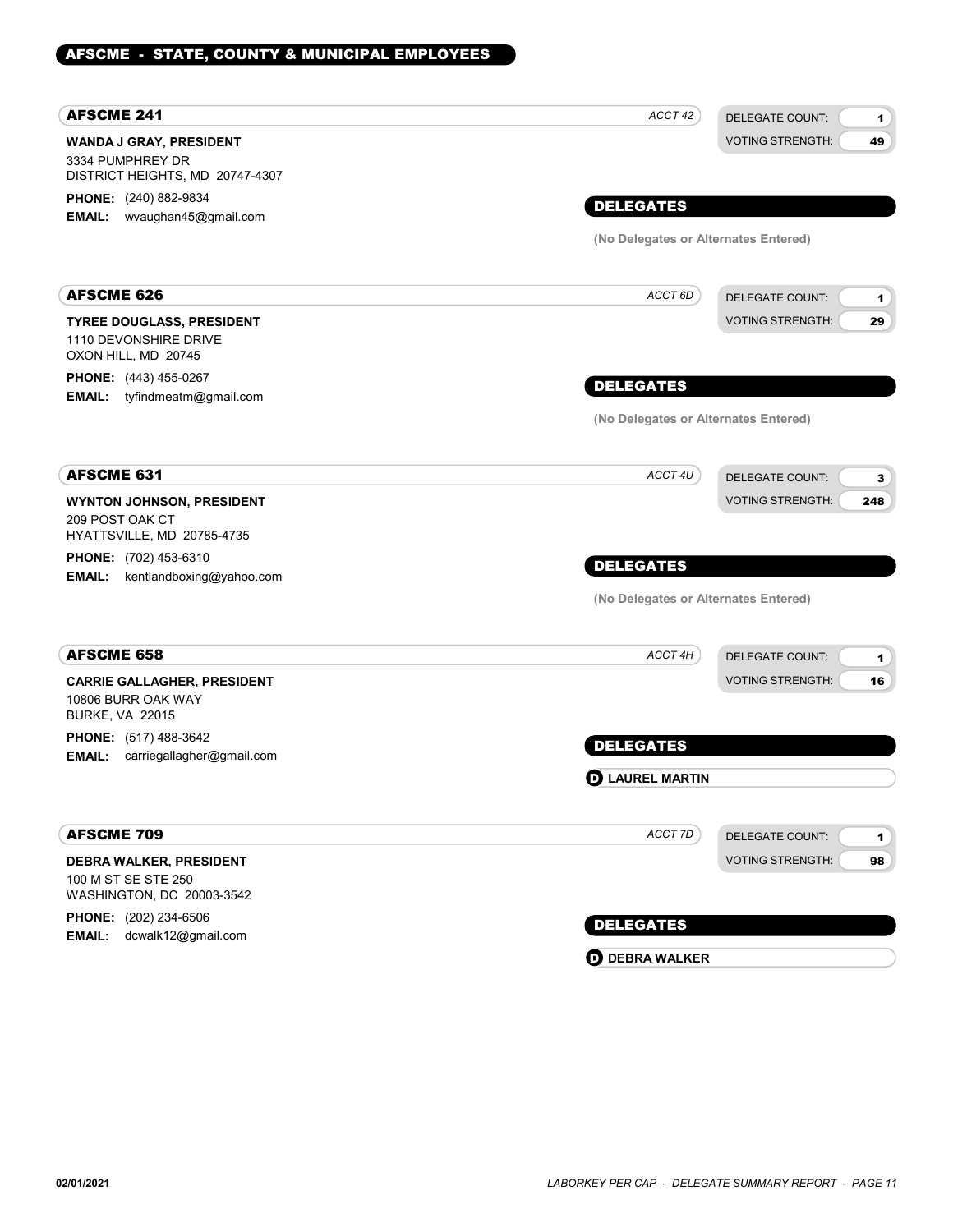### AFSCME - STATE, COUNTY & MUNICIPAL EMPLOYEES

| <b>AFSCME 241</b>                                                          | ACCT 42                              | <b>DELEGATE COUNT:</b><br>1.           |
|----------------------------------------------------------------------------|--------------------------------------|----------------------------------------|
| <b>WANDA J GRAY, PRESIDENT</b>                                             |                                      | <b>VOTING STRENGTH:</b><br>49          |
| 3334 PUMPHREY DR                                                           |                                      |                                        |
| DISTRICT HEIGHTS, MD 20747-4307                                            |                                      |                                        |
| <b>PHONE:</b> (240) 882-9834<br>EMAIL: wvaughan45@gmail.com                | <b>DELEGATES</b>                     |                                        |
|                                                                            | (No Delegates or Alternates Entered) |                                        |
|                                                                            |                                      |                                        |
| <b>AFSCME 626</b>                                                          | ACCT 6D                              | <b>DELEGATE COUNT:</b><br>$\mathbf{1}$ |
| <b>TYREE DOUGLASS, PRESIDENT</b>                                           |                                      | <b>VOTING STRENGTH:</b><br>29          |
| 1110 DEVONSHIRE DRIVE<br>OXON HILL, MD 20745                               |                                      |                                        |
| <b>PHONE:</b> (443) 455-0267                                               |                                      |                                        |
| tyfindmeatm@gmail.com<br><b>EMAIL:</b>                                     | <b>DELEGATES</b>                     |                                        |
|                                                                            | (No Delegates or Alternates Entered) |                                        |
| <b>AFSCME 631</b>                                                          | ACCT 4U                              | <b>DELEGATE COUNT:</b>                 |
|                                                                            |                                      | 3<br><b>VOTING STRENGTH:</b>           |
| <b>WYNTON JOHNSON, PRESIDENT</b><br>209 POST OAK CT                        |                                      | 248                                    |
| HYATTSVILLE, MD 20785-4735                                                 |                                      |                                        |
| <b>PHONE:</b> (702) 453-6310                                               | <b>DELEGATES</b>                     |                                        |
| <b>EMAIL:</b><br>kentlandboxing@yahoo.com                                  |                                      |                                        |
|                                                                            | (No Delegates or Alternates Entered) |                                        |
| <b>AFSCME 658</b>                                                          | ACCT 4H                              | <b>DELEGATE COUNT:</b><br>1            |
| <b>CARRIE GALLAGHER, PRESIDENT</b>                                         |                                      | <b>VOTING STRENGTH:</b><br>16          |
| 10806 BURR OAK WAY<br><b>BURKE, VA 22015</b>                               |                                      |                                        |
| <b>PHONE:</b> (517) 488-3642<br>carriegallagher@gmail.com<br><b>EMAIL:</b> | <b>DELEGATES</b>                     |                                        |
|                                                                            | <b>D</b> LAUREL MARTIN               |                                        |
|                                                                            |                                      |                                        |
| <b>AFSCME 709</b>                                                          | ACCT 7D                              | <b>DELEGATE COUNT:</b><br>$\mathbf 1$  |
| <b>DEBRA WALKER, PRESIDENT</b>                                             |                                      | <b>VOTING STRENGTH:</b><br>98          |
| 100 M ST SE STE 250                                                        |                                      |                                        |
| WASHINGTON, DC 20003-3542                                                  |                                      |                                        |
| <b>PHONE:</b> (202) 234-6506<br>dcwalk12@gmail.com<br><b>EMAIL:</b>        | <b>DELEGATES</b>                     |                                        |
|                                                                            | <b>O DEBRA WALKER</b>                |                                        |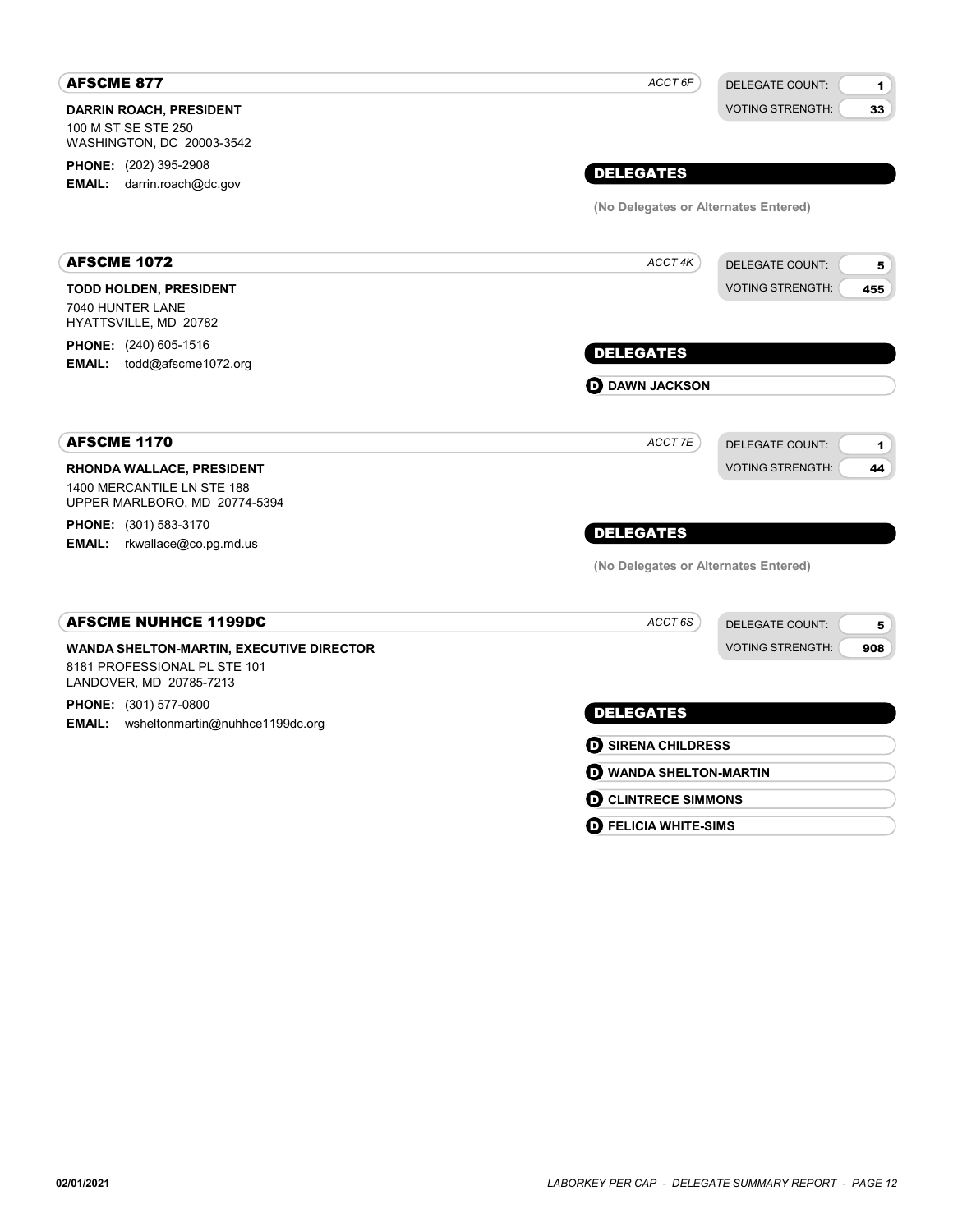| <b>AFSCME 877</b>                                                                                          | ACCT 6F                                  | <b>DELEGATE COUNT:</b><br>$\blacksquare$ |
|------------------------------------------------------------------------------------------------------------|------------------------------------------|------------------------------------------|
| <b>DARRIN ROACH, PRESIDENT</b>                                                                             |                                          | <b>VOTING STRENGTH:</b><br>33            |
| 100 M ST SE STE 250<br>WASHINGTON, DC 20003-3542                                                           |                                          |                                          |
| <b>PHONE:</b> (202) 395-2908                                                                               |                                          |                                          |
| <b>EMAIL:</b> darrin.roach@dc.gov                                                                          | <b>DELEGATES</b>                         |                                          |
|                                                                                                            | (No Delegates or Alternates Entered)     |                                          |
| <b>AFSCME 1072</b>                                                                                         | ACCT 4K                                  | <b>DELEGATE COUNT:</b><br>5              |
| <b>TODD HOLDEN, PRESIDENT</b>                                                                              |                                          | <b>VOTING STRENGTH:</b><br>455           |
| 7040 HUNTER LANE                                                                                           |                                          |                                          |
| HYATTSVILLE, MD 20782<br><b>PHONE:</b> (240) 605-1516                                                      |                                          |                                          |
| EMAIL: todd@afscme1072.org                                                                                 | <b>DELEGATES</b>                         |                                          |
|                                                                                                            | <b>D</b> DAWN JACKSON                    |                                          |
| <b>AFSCME 1170</b>                                                                                         | ACCT 7E                                  | <b>DELEGATE COUNT:</b><br>$\blacksquare$ |
| <b>RHONDA WALLACE, PRESIDENT</b>                                                                           |                                          | <b>VOTING STRENGTH:</b><br>44            |
| 1400 MERCANTILE LN STE 188<br>UPPER MARLBORO, MD 20774-5394                                                |                                          |                                          |
| PHONE: (301) 583-3170                                                                                      | <b>DELEGATES</b>                         |                                          |
| <b>EMAIL:</b> rkwallace@co.pg.md.us                                                                        | (No Delegates or Alternates Entered)     |                                          |
|                                                                                                            |                                          |                                          |
| <b>AFSCME NUHHCE 1199DC</b>                                                                                | ACCT <sub>6S</sub>                       | <b>DELEGATE COUNT:</b><br>5              |
| <b>WANDA SHELTON-MARTIN, EXECUTIVE DIRECTOR</b><br>8181 PROFESSIONAL PL STE 101<br>LANDOVER, MD 20785-7213 |                                          | <b>VOTING STRENGTH:</b><br>908           |
| PHONE: (301) 577-0800                                                                                      | <b>DELEGATES</b>                         |                                          |
| EMAIL: wsheltonmartin@nuhhce1199dc.org                                                                     |                                          |                                          |
|                                                                                                            | <b>O SIRENA CHILDRESS</b>                |                                          |
|                                                                                                            | <b>O WANDA SHELTON-MARTIN</b>            |                                          |
|                                                                                                            | <b>D</b> CLINTRECE SIMMONS               |                                          |
|                                                                                                            | $\boldsymbol{\Theta}$ FELICIA WHITE-SIMS |                                          |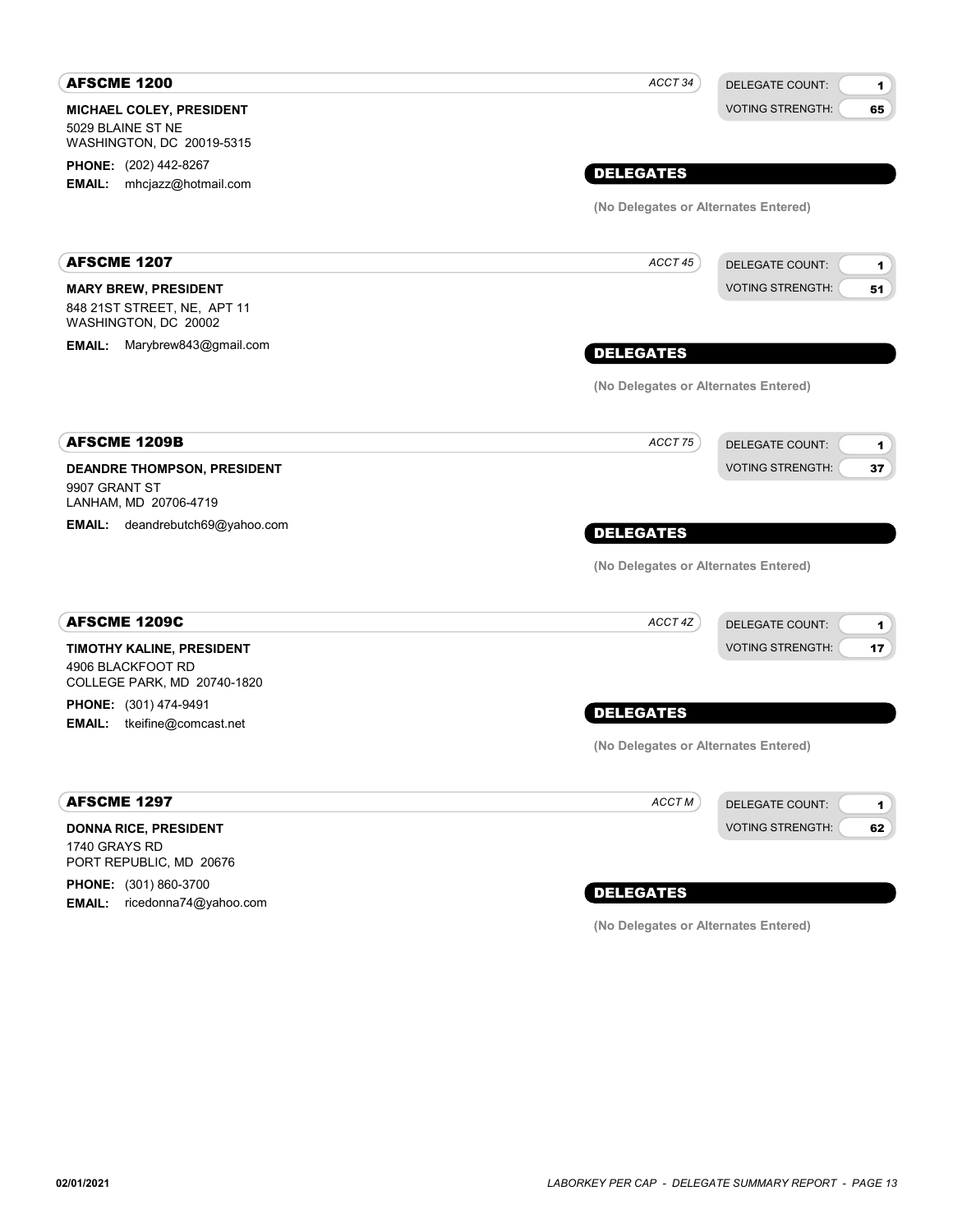| <b>AFSCME 1200</b>                                            | ACCT 34<br><b>DELEGATE COUNT:</b>    | 1  |
|---------------------------------------------------------------|--------------------------------------|----|
| MICHAEL COLEY, PRESIDENT<br>5029 BLAINE ST NE                 | <b>VOTING STRENGTH:</b>              | 65 |
| WASHINGTON, DC 20019-5315                                     |                                      |    |
| PHONE: (202) 442-8267<br>mhcjazz@hotmail.com<br><b>EMAIL:</b> | <b>DELEGATES</b>                     |    |
|                                                               | (No Delegates or Alternates Entered) |    |
|                                                               |                                      |    |
| <b>AFSCME 1207</b>                                            | ACCT 45<br><b>DELEGATE COUNT:</b>    | 1  |
| <b>MARY BREW, PRESIDENT</b>                                   | <b>VOTING STRENGTH:</b>              | 51 |
| 848 21ST STREET, NE, APT 11<br>WASHINGTON, DC 20002           |                                      |    |
| Marybrew843@gmail.com<br><b>EMAIL:</b>                        | <b>DELEGATES</b>                     |    |
|                                                               | (No Delegates or Alternates Entered) |    |
| <b>AFSCME 1209B</b>                                           | ACCT 75<br><b>DELEGATE COUNT:</b>    | 1  |
| DEANDRE THOMPSON, PRESIDENT                                   | <b>VOTING STRENGTH:</b>              | 37 |
| 9907 GRANT ST<br>LANHAM, MD 20706-4719                        |                                      |    |
| <b>EMAIL:</b> deandrebutch69@yahoo.com                        | <b>DELEGATES</b>                     |    |
|                                                               | (No Delegates or Alternates Entered) |    |
| <b>AFSCME 1209C</b>                                           | ACCT 4Z<br><b>DELEGATE COUNT:</b>    | 1  |
| TIMOTHY KALINE, PRESIDENT                                     | <b>VOTING STRENGTH:</b>              | 17 |
| 4906 BLACKFOOT RD<br>COLLEGE PARK, MD 20740-1820              |                                      |    |
| PHONE: (301) 474-9491                                         | <b>DELEGATES</b>                     |    |
| <b>EMAIL:</b> tkeifine@comcast.net                            |                                      |    |
|                                                               | (No Delegates or Alternates Entered) |    |
| <b>AFSCME 1297</b>                                            | ACCT M<br><b>DELEGATE COUNT:</b>     | 1  |
| <b>DONNA RICE, PRESIDENT</b>                                  | <b>VOTING STRENGTH:</b>              | 62 |
| 1740 GRAYS RD<br>PORT REPUBLIC, MD 20676                      |                                      |    |
| PHONE: (301) 860-3700                                         | <b>DELEGATES</b>                     |    |
|                                                               |                                      |    |

PHONE: (301) 860-3700 EMAIL: ricedonna74@yahoo.com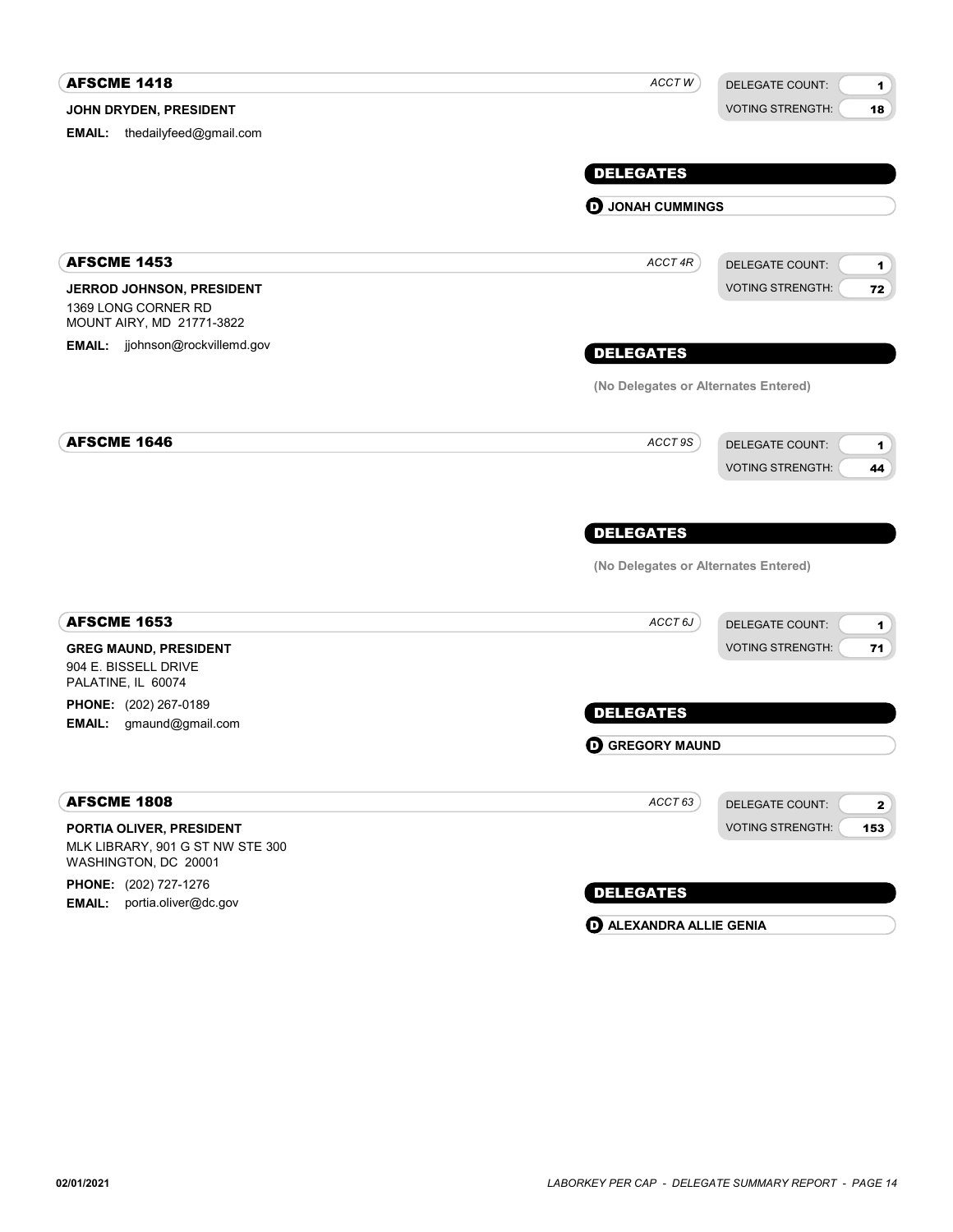| <b>AFSCME 1418</b>                                                         | ACCT W                               | <b>DELEGATE COUNT:</b><br>$\blacksquare$ |
|----------------------------------------------------------------------------|--------------------------------------|------------------------------------------|
| JOHN DRYDEN, PRESIDENT                                                     |                                      | <b>VOTING STRENGTH:</b><br>18            |
| <b>EMAIL:</b> thedailyfeed@gmail.com                                       |                                      |                                          |
|                                                                            |                                      |                                          |
|                                                                            | <b>DELEGATES</b>                     |                                          |
|                                                                            | <b>D</b> JONAH CUMMINGS              |                                          |
| <b>AFSCME 1453</b>                                                         | ACCT 4R                              | <b>DELEGATE COUNT:</b><br>1              |
| JERROD JOHNSON, PRESIDENT                                                  |                                      | <b>VOTING STRENGTH:</b><br>72            |
| 1369 LONG CORNER RD<br>MOUNT AIRY, MD 21771-3822                           |                                      |                                          |
| <b>EMAIL:</b> jjohnson@rockvillemd.gov                                     | <b>DELEGATES</b>                     |                                          |
|                                                                            | (No Delegates or Alternates Entered) |                                          |
| <b>AFSCME 1646</b>                                                         | ACCT 9S                              | <b>DELEGATE COUNT:</b><br>1              |
|                                                                            |                                      | <b>VOTING STRENGTH:</b><br>44            |
|                                                                            | <b>DELEGATES</b>                     |                                          |
|                                                                            | (No Delegates or Alternates Entered) |                                          |
|                                                                            |                                      |                                          |
| <b>AFSCME 1653</b>                                                         | ACCT <sub>6J</sub>                   | <b>DELEGATE COUNT:</b><br>1              |
| <b>GREG MAUND, PRESIDENT</b><br>904 E. BISSELL DRIVE<br>PALATINE, IL 60074 |                                      | <b>VOTING STRENGTH:</b><br>71            |
| PHONE: (202) 267-0189                                                      | <b>DELEGATES</b>                     |                                          |
| EMAIL:<br>gmaund@gmail.com                                                 |                                      |                                          |
|                                                                            | <b>O GREGORY MAUND</b>               |                                          |
| <b>AFSCME 1808</b>                                                         | ACCT63                               | <b>DELEGATE COUNT:</b><br>$\mathbf{2}$   |
| PORTIA OLIVER, PRESIDENT                                                   |                                      | <b>VOTING STRENGTH:</b><br>153           |
| MLK LIBRARY, 901 G ST NW STE 300<br>WASHINGTON, DC 20001                   |                                      |                                          |
| PHONE: (202) 727-1276<br>EMAIL: portia.oliver@dc.gov                       | <b>DELEGATES</b>                     |                                          |

**D** ALEXANDRA ALLIE GENIA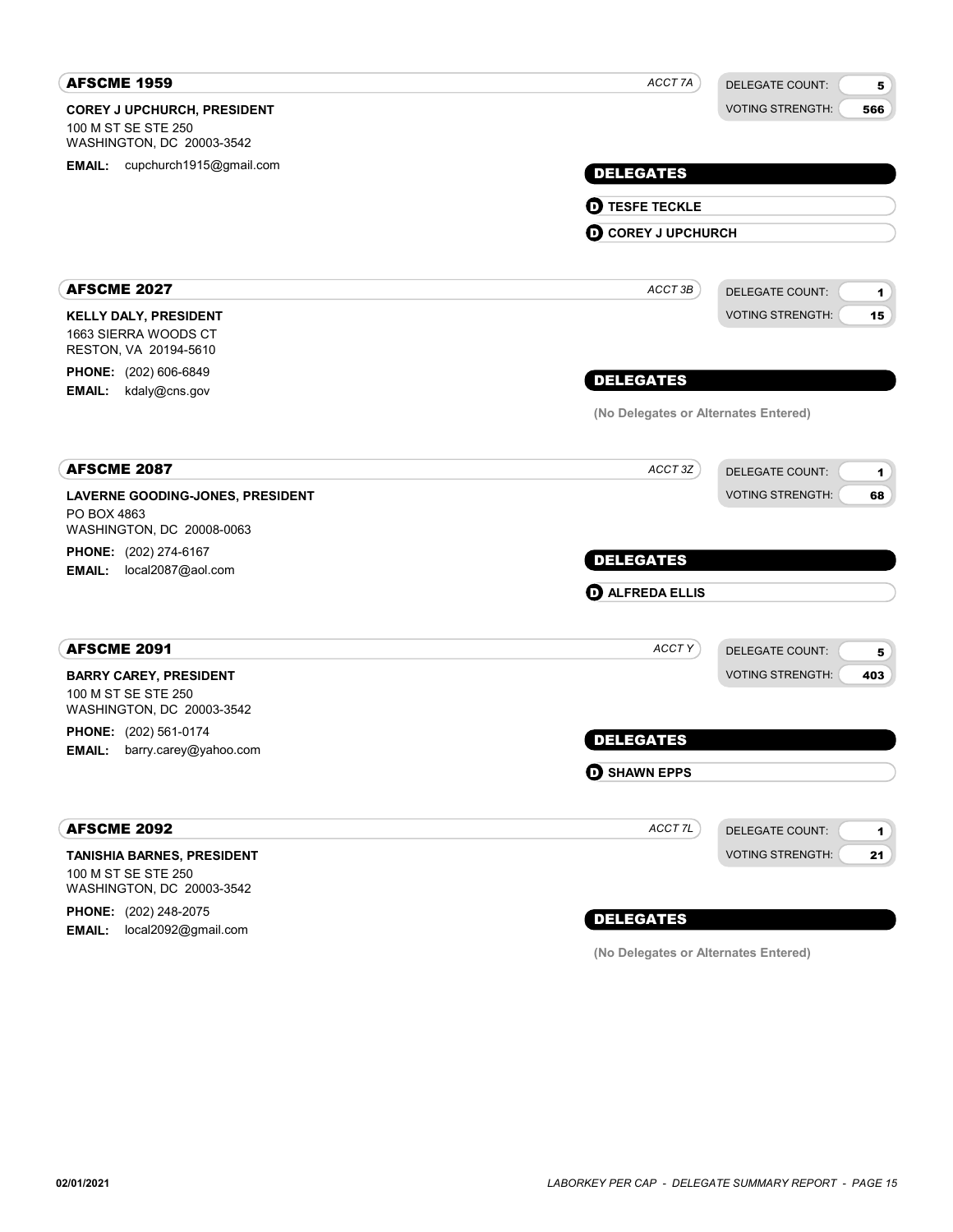| <b>AFSCME 1959</b>                               | ACCT 7A<br><b>DELEGATE COUNT:</b>            | 5   |
|--------------------------------------------------|----------------------------------------------|-----|
| <b>COREY J UPCHURCH, PRESIDENT</b>               | <b>VOTING STRENGTH:</b>                      | 566 |
| 100 M ST SE STE 250<br>WASHINGTON, DC 20003-3542 |                                              |     |
| EMAIL: cupchurch1915@gmail.com                   | <b>DELEGATES</b>                             |     |
|                                                  |                                              |     |
|                                                  | <b>O TESFE TECKLE</b>                        |     |
|                                                  | <b>O COREY J UPCHURCH</b>                    |     |
| <b>AFSCME 2027</b>                               | ACCT 3B<br><b>DELEGATE COUNT:</b>            | 1   |
| <b>KELLY DALY, PRESIDENT</b>                     | <b>VOTING STRENGTH:</b>                      | 15  |
| 1663 SIERRA WOODS CT<br>RESTON, VA 20194-5610    |                                              |     |
| PHONE: (202) 606-6849                            | <b>DELEGATES</b>                             |     |
| <b>EMAIL:</b><br>kdaly@cns.gov                   |                                              |     |
|                                                  | (No Delegates or Alternates Entered)         |     |
| <b>AFSCME 2087</b>                               | ACCT 3Z<br><b>DELEGATE COUNT:</b>            | 1   |
| LAVERNE GOODING-JONES, PRESIDENT<br>PO BOX 4863  | <b>VOTING STRENGTH:</b>                      | 68  |
| WASHINGTON, DC 20008-0063                        |                                              |     |
| PHONE: (202) 274-6167                            | <b>DELEGATES</b>                             |     |
| EMAIL: local2087@aol.com                         | <b>O ALFREDA ELLIS</b>                       |     |
|                                                  |                                              |     |
| <b>AFSCME 2091</b>                               | ACCT Y<br><b>DELEGATE COUNT:</b>             | 5   |
| <b>BARRY CAREY, PRESIDENT</b>                    | <b>VOTING STRENGTH:</b>                      | 403 |
| 100 M ST SE STE 250<br>WASHINGTON, DC 20003-3542 |                                              |     |
| <b>PHONE:</b> (202) 561-0174                     | <b>DELEGATES</b>                             |     |
| <b>EMAIL:</b><br>barry.carey@yahoo.com           |                                              |     |
|                                                  | <b>O SHAWN EPPS</b>                          |     |
| <b>AFSCME 2092</b>                               | ACCT <sub>7L</sub><br><b>DELEGATE COUNT:</b> | 1   |
| TANISHIA BARNES, PRESIDENT                       | <b>VOTING STRENGTH:</b>                      | 21  |
| 100 M ST SE STE 250<br>WASHINGTON, DC 20003-3542 |                                              |     |
| <b>PHONE:</b> (202) 248-2075                     |                                              |     |
| local2092@gmail.com<br><b>EMAIL:</b>             | <b>DELEGATES</b>                             |     |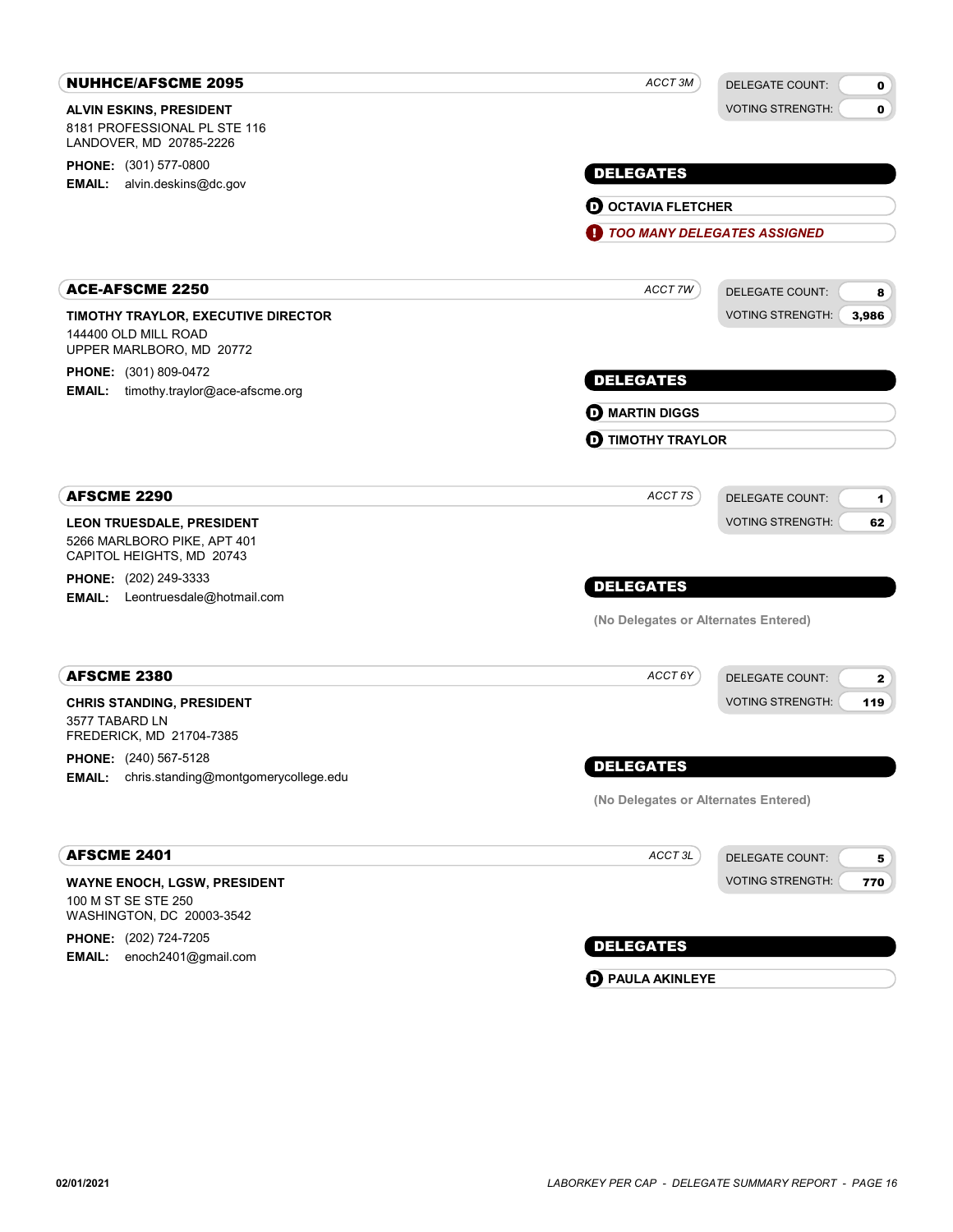| <b>NUHHCE/AFSCME 2095</b>                                                               | ACCT 3M                              | <b>DELEGATE COUNT:</b><br>$\mathbf 0$  |
|-----------------------------------------------------------------------------------------|--------------------------------------|----------------------------------------|
| <b>ALVIN ESKINS, PRESIDENT</b>                                                          |                                      | <b>VOTING STRENGTH:</b><br>0           |
| 8181 PROFESSIONAL PL STE 116<br>LANDOVER, MD 20785-2226                                 |                                      |                                        |
| PHONE: (301) 577-0800                                                                   | <b>DELEGATES</b>                     |                                        |
| <b>EMAIL:</b> alvin.deskins@dc.gov                                                      |                                      |                                        |
|                                                                                         | <b>O OCTAVIA FLETCHER</b>            |                                        |
|                                                                                         | O                                    | <b>TOO MANY DELEGATES ASSIGNED</b>     |
| <b>ACE-AFSCME 2250</b>                                                                  | ACCT 7W                              | <b>DELEGATE COUNT:</b><br>8            |
| TIMOTHY TRAYLOR, EXECUTIVE DIRECTOR<br>144400 OLD MILL ROAD<br>UPPER MARLBORO, MD 20772 |                                      | <b>VOTING STRENGTH:</b><br>3,986       |
| <b>PHONE:</b> (301) 809-0472<br><b>EMAIL:</b> timothy.traylor@ace-afscme.org            | <b>DELEGATES</b>                     |                                        |
|                                                                                         | <b>MARTIN DIGGS</b>                  |                                        |
|                                                                                         | <b>D</b> TIMOTHY TRAYLOR             |                                        |
| <b>AFSCME 2290</b>                                                                      | ACCT 7S                              | <b>DELEGATE COUNT:</b><br>1            |
| LEON TRUESDALE, PRESIDENT<br>5266 MARLBORO PIKE, APT 401<br>CAPITOL HEIGHTS, MD 20743   |                                      | <b>VOTING STRENGTH:</b><br>62          |
| <b>PHONE:</b> (202) 249-3333                                                            | <b>DELEGATES</b>                     |                                        |
| <b>EMAIL:</b> Leontruesdale@hotmail.com                                                 | (No Delegates or Alternates Entered) |                                        |
| <b>AFSCME 2380</b>                                                                      | ACCT 6Y                              | <b>DELEGATE COUNT:</b><br>$\mathbf{2}$ |
| <b>CHRIS STANDING, PRESIDENT</b><br>3577 TABARD LN<br>FREDERICK, MD 21704-7385          |                                      | <b>VOTING STRENGTH:</b><br>119         |
| PHONE: (240) 567-5128                                                                   | <b>DELEGATES</b>                     |                                        |
| <b>EMAIL:</b> chris.standing@montgomerycollege.edu                                      | (No Delegates or Alternates Entered) |                                        |
|                                                                                         |                                      |                                        |
| <b>AFSCME 2401</b>                                                                      | ACCT 3L                              | <b>DELEGATE COUNT:</b><br>5            |
| <b>WAYNE ENOCH, LGSW, PRESIDENT</b><br>100 M ST SE STE 250<br>WASHINGTON, DC 20003-3542 |                                      | <b>VOTING STRENGTH:</b><br>770         |
| PHONE: (202) 724-7205                                                                   | <b>DELEGATES</b>                     |                                        |
| <b>EMAIL:</b><br>enoch2401@gmail.com                                                    | <b>D</b> PAULA AKINLEYE              |                                        |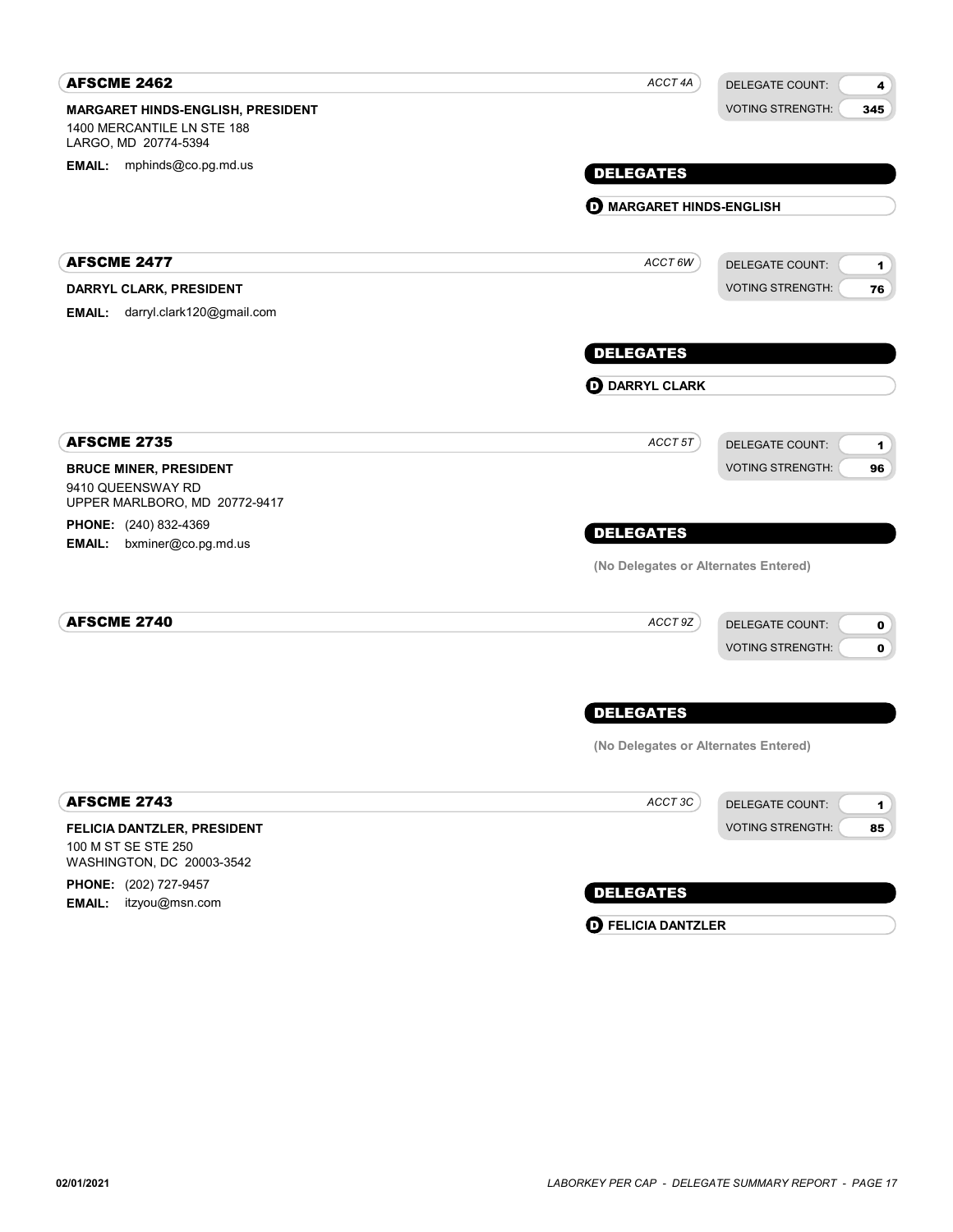| <b>AFSCME 2462</b>                                                                      | ACCT 4A                              | <b>DELEGATE COUNT:</b><br>4                                                     |
|-----------------------------------------------------------------------------------------|--------------------------------------|---------------------------------------------------------------------------------|
| MARGARET HINDS-ENGLISH, PRESIDENT<br>1400 MERCANTILE LN STE 188<br>LARGO, MD 20774-5394 |                                      | <b>VOTING STRENGTH:</b><br>345                                                  |
| EMAIL: mphinds@co.pg.md.us                                                              | <b>DELEGATES</b>                     |                                                                                 |
|                                                                                         | <b>O MARGARET HINDS-ENGLISH</b>      |                                                                                 |
|                                                                                         |                                      |                                                                                 |
| <b>AFSCME 2477</b>                                                                      | $ACCT$ 6W                            | <b>DELEGATE COUNT:</b><br>1                                                     |
| DARRYL CLARK, PRESIDENT                                                                 |                                      | <b>VOTING STRENGTH:</b><br>76                                                   |
| darryl.clark120@gmail.com<br><b>EMAIL:</b>                                              |                                      |                                                                                 |
|                                                                                         | <b>DELEGATES</b>                     |                                                                                 |
|                                                                                         | <b>OD</b> DARRYL CLARK               |                                                                                 |
|                                                                                         |                                      |                                                                                 |
| <b>AFSCME 2735</b>                                                                      | ACCT 5T                              | <b>DELEGATE COUNT:</b><br>1                                                     |
| <b>BRUCE MINER, PRESIDENT</b><br>9410 QUEENSWAY RD                                      |                                      | <b>VOTING STRENGTH:</b><br>96                                                   |
| UPPER MARLBORO, MD 20772-9417                                                           |                                      |                                                                                 |
| <b>PHONE:</b> (240) 832-4369<br><b>EMAIL:</b><br>bxminer@co.pg.md.us                    | <b>DELEGATES</b>                     |                                                                                 |
|                                                                                         | (No Delegates or Alternates Entered) |                                                                                 |
| <b>AFSCME 2740</b>                                                                      | ACCT 9Z                              |                                                                                 |
|                                                                                         |                                      | <b>DELEGATE COUNT:</b><br>$\mathbf 0$<br><b>VOTING STRENGTH:</b><br>$\mathbf 0$ |
|                                                                                         |                                      |                                                                                 |
|                                                                                         | <b>DELEGATES</b>                     |                                                                                 |
|                                                                                         | (No Delegates or Alternates Entered) |                                                                                 |
| <b>AFSCME 2743</b>                                                                      | ACCT 3C                              | <b>DELEGATE COUNT:</b><br>1                                                     |
| FELICIA DANTZLER, PRESIDENT                                                             |                                      | <b>VOTING STRENGTH:</b><br>85                                                   |
| 100 M ST SE STE 250<br>WASHINGTON, DC 20003-3542                                        |                                      |                                                                                 |
| PHONE: (202) 727-9457                                                                   | <b>DELEGATES</b>                     |                                                                                 |
| <b>EMAIL:</b><br>itzyou@msn.com                                                         | <b>O</b> FELICIA DANTZLER            |                                                                                 |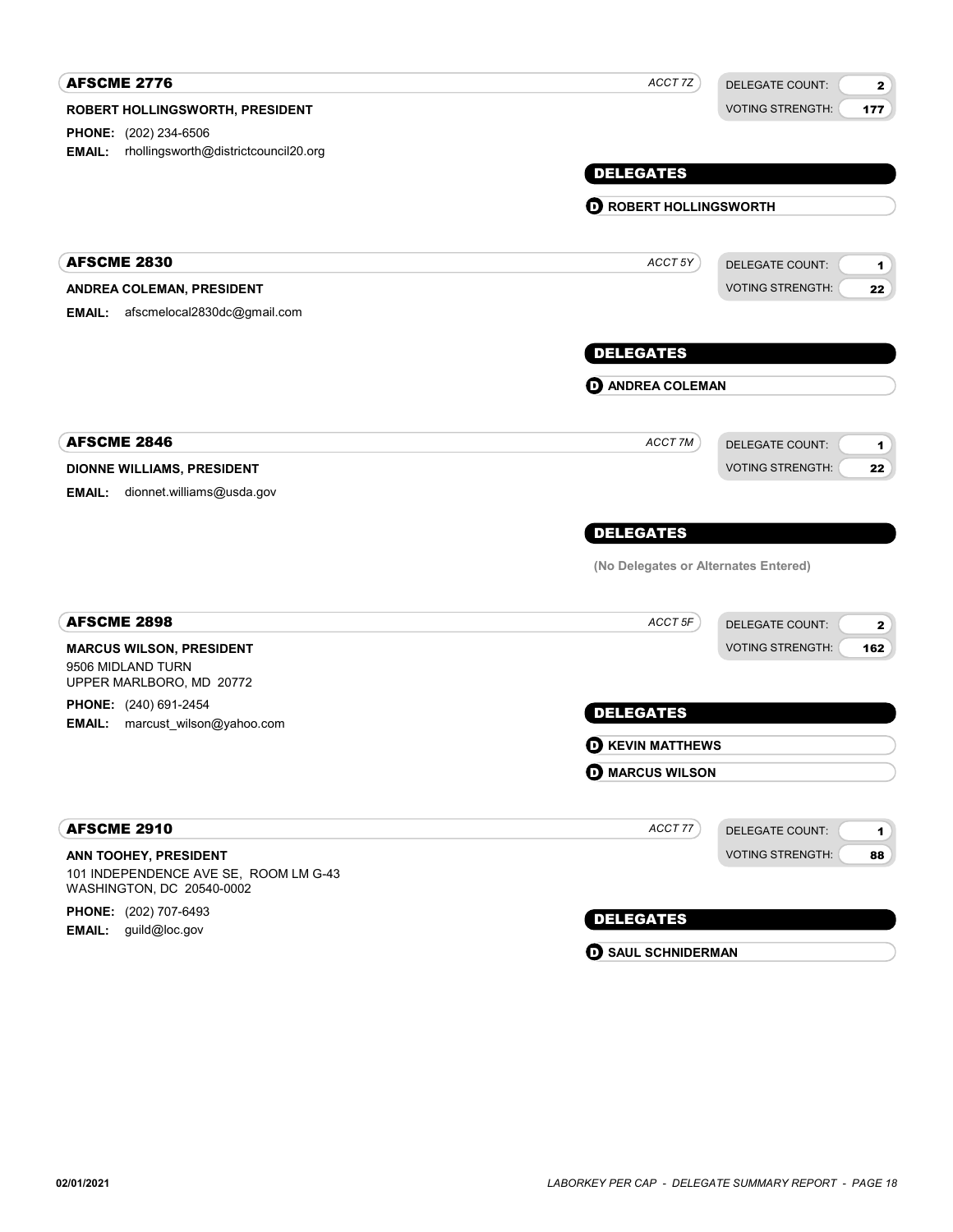| <b>AFSCME 2776</b>                                                             | ACCT 7Z                              |                                        |
|--------------------------------------------------------------------------------|--------------------------------------|----------------------------------------|
|                                                                                |                                      | <b>DELEGATE COUNT:</b><br>$\mathbf{2}$ |
| ROBERT HOLLINGSWORTH, PRESIDENT                                                |                                      | <b>VOTING STRENGTH:</b><br>177         |
| PHONE: (202) 234-6506<br>rhollingsworth@districtcouncil20.org<br><b>EMAIL:</b> |                                      |                                        |
|                                                                                | <b>DELEGATES</b>                     |                                        |
|                                                                                |                                      |                                        |
|                                                                                | <b>O ROBERT HOLLINGSWORTH</b>        |                                        |
| <b>AFSCME 2830</b>                                                             | ACCT 5Y                              | DELEGATE COUNT:<br>1                   |
| ANDREA COLEMAN, PRESIDENT                                                      |                                      | <b>VOTING STRENGTH:</b><br>22          |
| afscmelocal2830dc@gmail.com<br><b>EMAIL:</b>                                   |                                      |                                        |
|                                                                                | <b>DELEGATES</b>                     |                                        |
|                                                                                | <b>O ANDREA COLEMAN</b>              |                                        |
| <b>AFSCME 2846</b>                                                             | ACCT 7M                              | <b>DELEGATE COUNT:</b>                 |
|                                                                                |                                      | 1<br><b>VOTING STRENGTH:</b><br>22     |
| DIONNE WILLIAMS, PRESIDENT<br>EMAIL:<br>dionnet.williams@usda.gov              |                                      |                                        |
|                                                                                |                                      |                                        |
|                                                                                | <b>DELEGATES</b>                     |                                        |
|                                                                                | (No Delegates or Alternates Entered) |                                        |
| <b>AFSCME 2898</b>                                                             | ACCT 5F                              | <b>DELEGATE COUNT:</b><br>$\mathbf{2}$ |
| <b>MARCUS WILSON, PRESIDENT</b>                                                |                                      | <b>VOTING STRENGTH:</b><br>162         |
| 9506 MIDLAND TURN<br>UPPER MARLBORO, MD 20772                                  |                                      |                                        |
| PHONE: (240) 691-2454                                                          | <b>DELEGATES</b>                     |                                        |
| <b>EMAIL:</b><br>marcust_wilson@yahoo.com                                      | <b>D</b> KEVIN MATTHEWS              |                                        |
|                                                                                | <b>O MARCUS WILSON</b>               |                                        |
|                                                                                |                                      |                                        |
| <b>AFSCME 2910</b>                                                             | ACCT 77                              | <b>DELEGATE COUNT:</b><br>1            |
| ANN TOOHEY, PRESIDENT                                                          |                                      | <b>VOTING STRENGTH:</b><br>88          |
| 101 INDEPENDENCE AVE SE, ROOM LM G-43<br>WASHINGTON, DC 20540-0002             |                                      |                                        |
| PHONE: (202) 707-6493                                                          | <b>DELEGATES</b>                     |                                        |
| <b>EMAIL:</b><br>guild@loc.gov                                                 |                                      |                                        |

**D** SAUL SCHNIDERMAN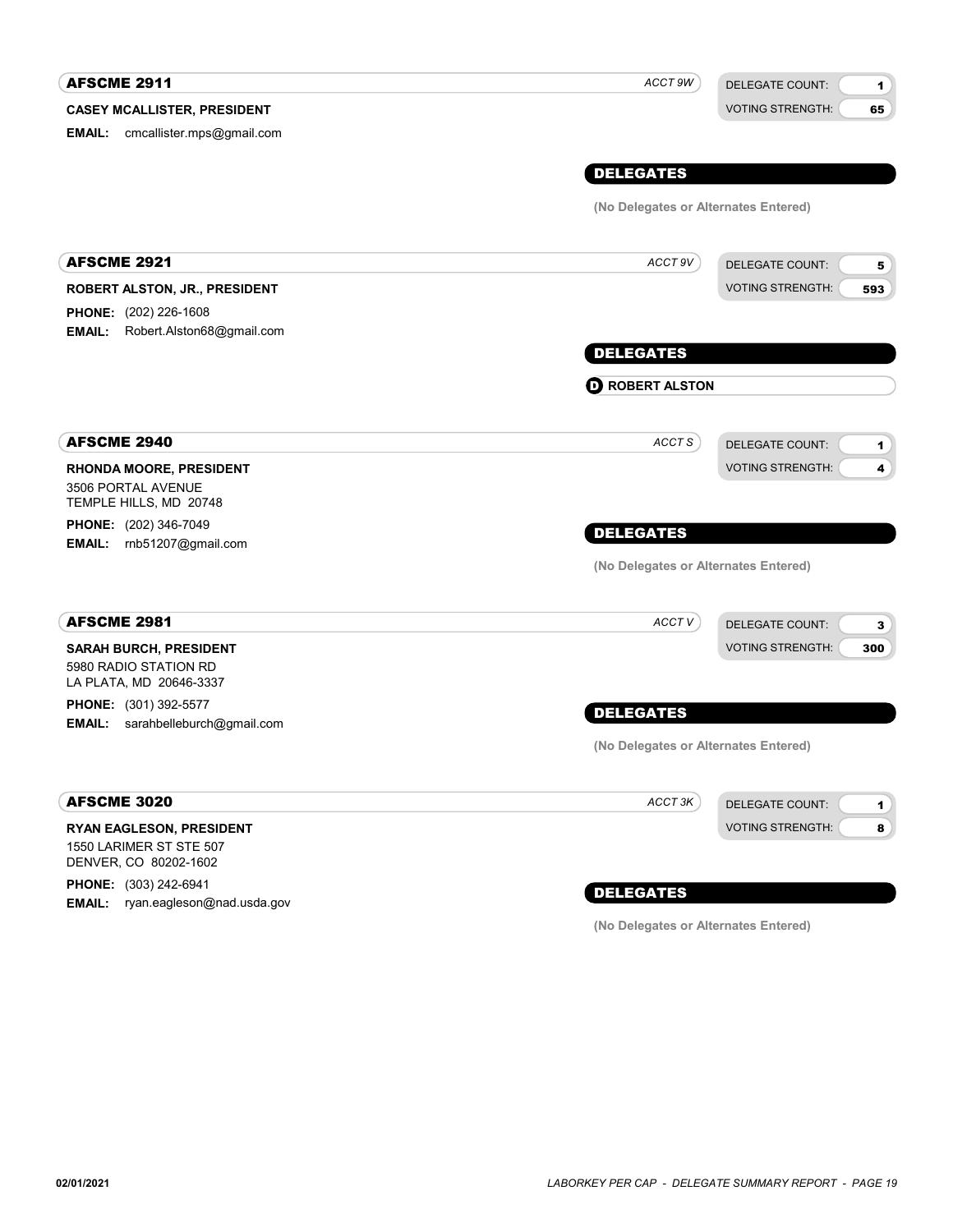#### CASEY MCALLISTER, PRESIDENT **AFSCME 2911** DELEGATE COUNT: VOTING STRENGTH: 1 65 DELEGATES EMAIL: cmcallister.mps@gmail.com ACCT 9W (No Delegates or Alternates Entered) ROBERT ALSTON, JR., PRESIDENT **AFSCME 2921** DELEGATE COUNT: VOTING STRENGTH: 5 593 DELEGATES PHONE: (202) 226-1608 EMAIL: Robert.Alston68@gmail.com ACCT 9V **D** ROBERT ALSTON RHONDA MOORE, PRESIDENT AFSCME 2940 3506 PORTAL AVENUE TEMPLE HILLS, MD 20748 PHONE: (202) 346-7049 EMAIL: rnb51207@gmail.com DELEGATE COUNT: VOTING STRENGTH: 1 4 DELEGATES ACCT<sub>S</sub> (No Delegates or Alternates Entered) SARAH BURCH, PRESIDENT AFSCME 2981 5980 RADIO STATION RD LA PLATA, MD 20646-3337 **PHONE:** (301) 392-5577 **EMAIL:** sarahbelleburch@gmail.com DELEGATE COUNT: VOTING STRENGTH: 3 300 DELEGATES ACCT V (No Delegates or Alternates Entered) RYAN EAGLESON, PRESIDENT AFSCME 3020 1550 LARIMER ST STE 507 DENVER, CO 80202-1602 DELEGATE COUNT: VOTING STRENGTH: 1 8 ACCT 3K

PHONE: (303) 242-6941 EMAIL: ryan.eagleson@nad.usda.gov

# DELEGATES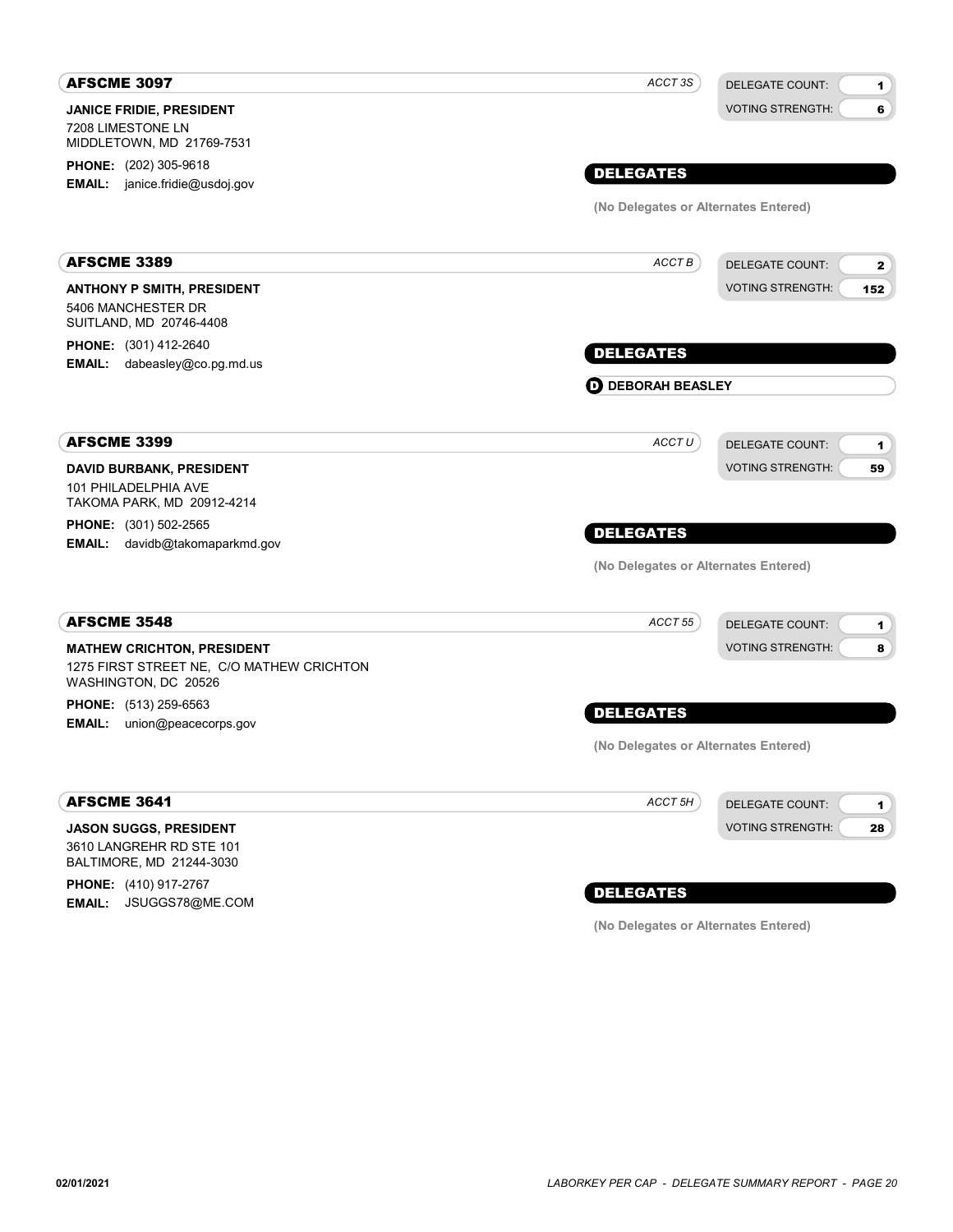| <b>AFSCME 3097</b>                                                                | ACCT 3S                              | <b>DELEGATE COUNT:</b><br>1            |
|-----------------------------------------------------------------------------------|--------------------------------------|----------------------------------------|
| <b>JANICE FRIDIE, PRESIDENT</b><br>7208 LIMESTONE LN<br>MIDDLETOWN, MD 21769-7531 |                                      | <b>VOTING STRENGTH:</b><br>6           |
| <b>PHONE:</b> (202) 305-9618                                                      | <b>DELEGATES</b>                     |                                        |
| <b>EMAIL:</b> janice.fridie@usdoj.gov                                             |                                      |                                        |
|                                                                                   | (No Delegates or Alternates Entered) |                                        |
| <b>AFSCME 3389</b>                                                                | ACCT B                               | <b>DELEGATE COUNT:</b><br>$\mathbf{2}$ |
| <b>ANTHONY P SMITH, PRESIDENT</b>                                                 |                                      | <b>VOTING STRENGTH:</b><br>152         |
| 5406 MANCHESTER DR<br>SUITLAND, MD 20746-4408                                     |                                      |                                        |
| <b>PHONE:</b> (301) 412-2640                                                      | <b>DELEGATES</b>                     |                                        |
| EMAIL: dabeasley@co.pg.md.us                                                      |                                      |                                        |
|                                                                                   | <b>D</b> DEBORAH BEASLEY             |                                        |
| <b>AFSCME 3399</b>                                                                | ACCT U                               | DELEGATE COUNT:<br>1                   |
| <b>DAVID BURBANK, PRESIDENT</b>                                                   |                                      | <b>VOTING STRENGTH:</b><br>59          |
| 101 PHILADELPHIA AVE<br>TAKOMA PARK, MD 20912-4214                                |                                      |                                        |
| <b>PHONE:</b> (301) 502-2565                                                      |                                      |                                        |
| <b>EMAIL:</b> davidb@takomaparkmd.gov                                             | <b>DELEGATES</b>                     |                                        |
|                                                                                   | (No Delegates or Alternates Entered) |                                        |
| <b>AFSCME 3548</b>                                                                | ACCT <sub>55</sub>                   | <b>DELEGATE COUNT:</b><br>1            |
| <b>MATHEW CRICHTON, PRESIDENT</b>                                                 |                                      | <b>VOTING STRENGTH:</b><br>8           |
| 1275 FIRST STREET NE, C/O MATHEW CRICHTON<br>WASHINGTON, DC 20526                 |                                      |                                        |
| PHONE: (513) 259-6563                                                             | <b>DELEGATES</b>                     |                                        |
| <b>EMAIL:</b> union@peacecorps.gov                                                |                                      |                                        |
|                                                                                   | (No Delegates or Alternates Entered) |                                        |
| <b>AFSCME 3641</b>                                                                | ACCT 5H                              | <b>DELEGATE COUNT:</b><br>1            |
| <b>JASON SUGGS, PRESIDENT</b>                                                     |                                      | <b>VOTING STRENGTH:</b><br>28          |
| 3610 LANGREHR RD STE 101                                                          |                                      |                                        |
| BALTIMORE, MD 21244-3030                                                          |                                      |                                        |

PHONE: (410) 917-2767 EMAIL: JSUGGS78@ME.COM

## DELEGATES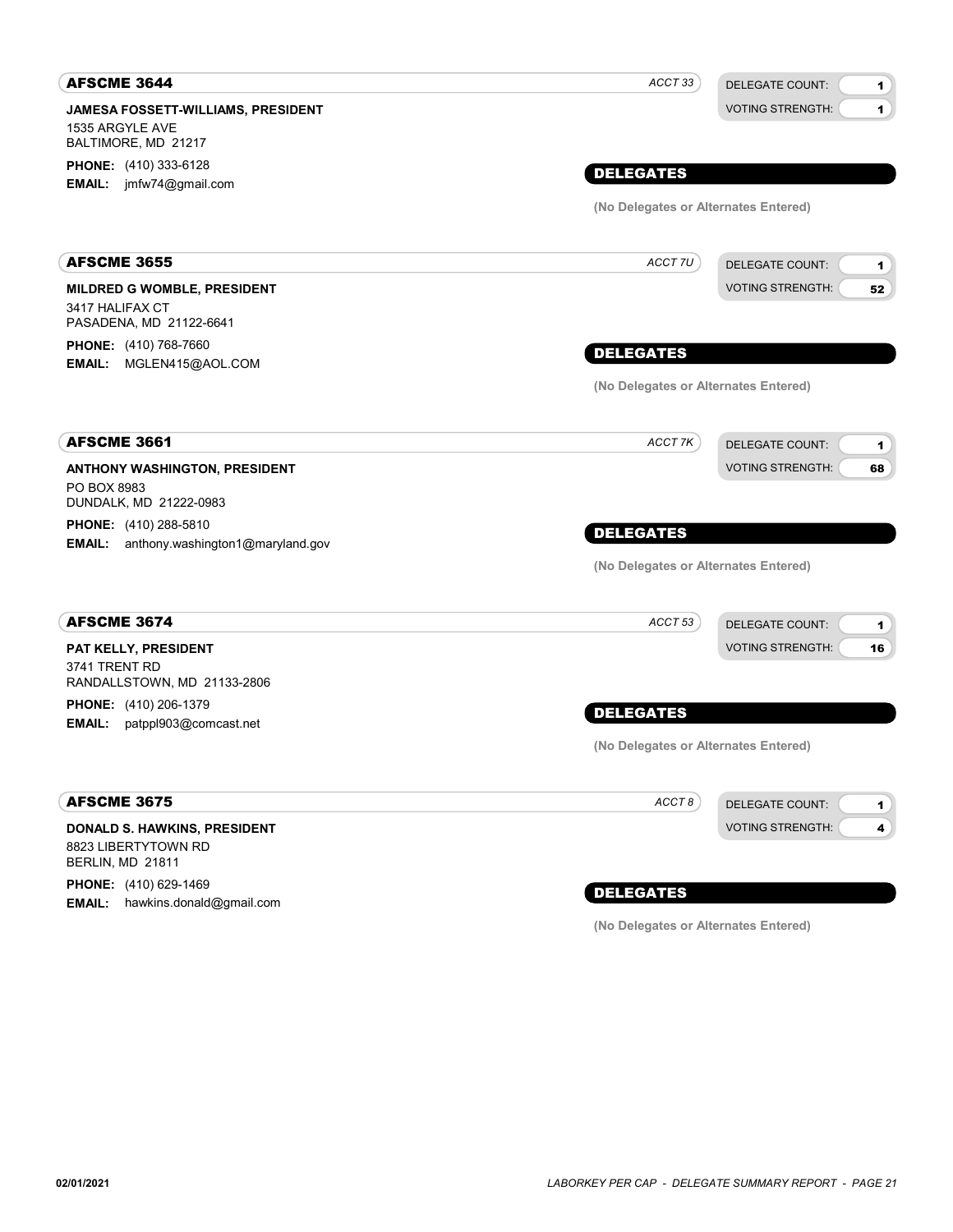| <b>AFSCME 3644</b>                                                               | ACCT 33                              | <b>DELEGATE COUNT:</b><br>1                        |
|----------------------------------------------------------------------------------|--------------------------------------|----------------------------------------------------|
| JAMESA FOSSETT-WILLIAMS, PRESIDENT<br>1535 ARGYLE AVE<br>BALTIMORE, MD 21217     |                                      | <b>VOTING STRENGTH:</b><br>$\blacksquare$          |
| <b>PHONE:</b> (410) 333-6128                                                     |                                      |                                                    |
| <b>EMAIL:</b> jmfw74@gmail.com                                                   | <b>DELEGATES</b>                     |                                                    |
|                                                                                  | (No Delegates or Alternates Entered) |                                                    |
| <b>AFSCME 3655</b>                                                               | ACCT 7U                              | <b>DELEGATE COUNT:</b><br>1                        |
| <b>MILDRED G WOMBLE, PRESIDENT</b><br>3417 HALIFAX CT<br>PASADENA, MD 21122-6641 |                                      | <b>VOTING STRENGTH:</b><br>52                      |
| <b>PHONE:</b> (410) 768-7660<br>EMAIL: MGLEN415@AOL.COM                          | <b>DELEGATES</b>                     |                                                    |
|                                                                                  | (No Delegates or Alternates Entered) |                                                    |
| <b>AFSCME 3661</b>                                                               | ACCT 7K                              | <b>DELEGATE COUNT:</b><br>1                        |
| ANTHONY WASHINGTON, PRESIDENT<br>PO BOX 8983<br>DUNDALK, MD 21222-0983           |                                      | <b>VOTING STRENGTH:</b><br>68                      |
| <b>PHONE:</b> (410) 288-5810                                                     | <b>DELEGATES</b>                     |                                                    |
| <b>EMAIL:</b> anthony.washington1@maryland.gov                                   | (No Delegates or Alternates Entered) |                                                    |
| <b>AFSCME 3674</b>                                                               | ACCT 53                              | <b>DELEGATE COUNT:</b><br>1                        |
| PAT KELLY, PRESIDENT<br>3741 TRENT RD<br>RANDALLSTOWN, MD 21133-2806             |                                      | <b>VOTING STRENGTH:</b><br>16                      |
| <b>PHONE:</b> (410) 206-1379<br>EMAIL:<br>patppl903@comcast.net                  | <b>DELEGATES</b>                     |                                                    |
|                                                                                  | (No Delegates or Alternates Entered) |                                                    |
| <b>AFSCME 3675</b>                                                               | ACCT8                                | <b>DELEGATE COUNT:</b><br>$\mathbf{1}$             |
| DONALD S. HAWKINS, PRESIDENT<br>8823 LIBERTYTOWN RD<br>BERLIN, MD 21811          |                                      | $\overline{\mathbf{4}}$<br><b>VOTING STRENGTH:</b> |

PHONE: (410) 629-1469 **EMAIL:** hawkins.donald@gmail.com

## DELEGATES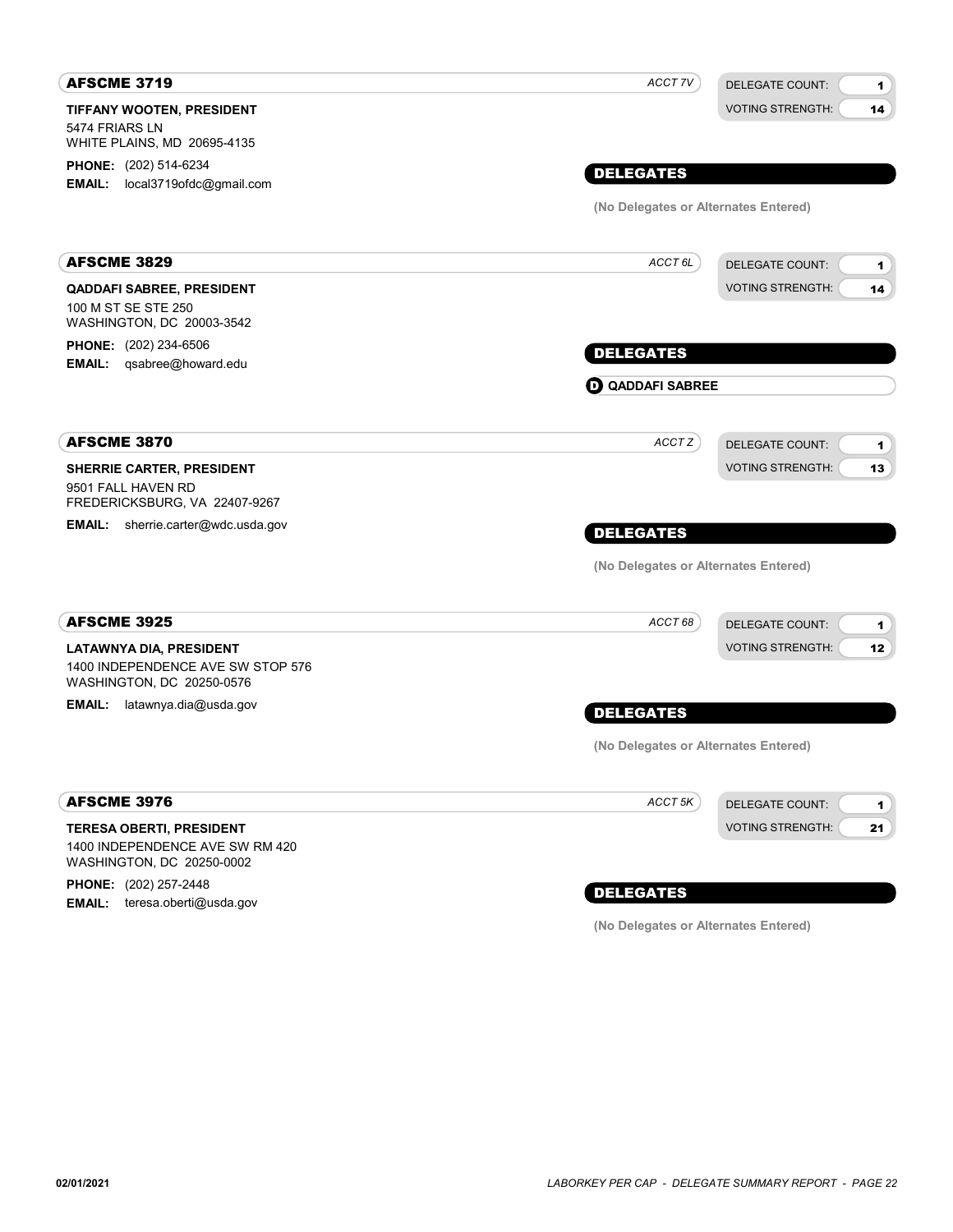| <b>AFSCME 3719</b>                                                                              | ACCT 7V                              | <b>DELEGATE COUNT:</b><br>1              |
|-------------------------------------------------------------------------------------------------|--------------------------------------|------------------------------------------|
| <b>TIFFANY WOOTEN, PRESIDENT</b><br>5474 FRIARS LN<br>WHITE PLAINS, MD 20695-4135               |                                      | <b>VOTING STRENGTH:</b><br>14            |
| PHONE: (202) 514-6234                                                                           | <b>DELEGATES</b>                     |                                          |
| local3719ofdc@gmail.com<br><b>EMAIL:</b>                                                        | (No Delegates or Alternates Entered) |                                          |
|                                                                                                 |                                      |                                          |
| <b>AFSCME 3829</b>                                                                              | ACCT <sub>6L</sub>                   | <b>DELEGATE COUNT:</b><br>1              |
| <b>QADDAFI SABREE, PRESIDENT</b><br>100 M ST SE STE 250<br>WASHINGTON, DC 20003-3542            |                                      | <b>VOTING STRENGTH:</b><br>14            |
| PHONE: (202) 234-6506<br>EMAIL: qsabree@howard.edu                                              | <b>DELEGATES</b>                     |                                          |
|                                                                                                 | <b>O QADDAFI SABREE</b>              |                                          |
| <b>AFSCME 3870</b>                                                                              | ACCT Z                               | <b>DELEGATE COUNT:</b><br>1              |
| SHERRIE CARTER, PRESIDENT<br>9501 FALL HAVEN RD<br>FREDERICKSBURG, VA 22407-9267                |                                      | <b>VOTING STRENGTH:</b><br>13            |
| <b>EMAIL:</b> sherrie.carter@wdc.usda.gov                                                       | <b>DELEGATES</b>                     |                                          |
|                                                                                                 | (No Delegates or Alternates Entered) |                                          |
| <b>AFSCME 3925</b>                                                                              | ACCT 68                              | <b>DELEGATE COUNT:</b><br>1              |
| <b>LATAWNYA DIA, PRESIDENT</b><br>1400 INDEPENDENCE AVE SW STOP 576                             |                                      | <b>VOTING STRENGTH:</b><br>12            |
| WASHINGTON, DC 20250-0576<br>latawnya.dia@usda.gov<br><b>EMAIL:</b>                             |                                      |                                          |
|                                                                                                 | <b>DELEGATES</b>                     |                                          |
|                                                                                                 | (No Delegates or Alternates Entered) |                                          |
| <b>AFSCME 3976</b>                                                                              | ACCT 5K                              | <b>DELEGATE COUNT:</b><br>$\blacksquare$ |
| <b>TERESA OBERTI, PRESIDENT</b><br>1400 INDEPENDENCE AVE SW RM 420<br>WASHINGTON, DC 20250-0002 |                                      | <b>VOTING STRENGTH:</b><br>21            |
| PHONE: (202) 257-2448                                                                           | <b>BELEASTER</b>                     |                                          |

EMAIL: teresa.oberti@usda.gov

# DELEGATES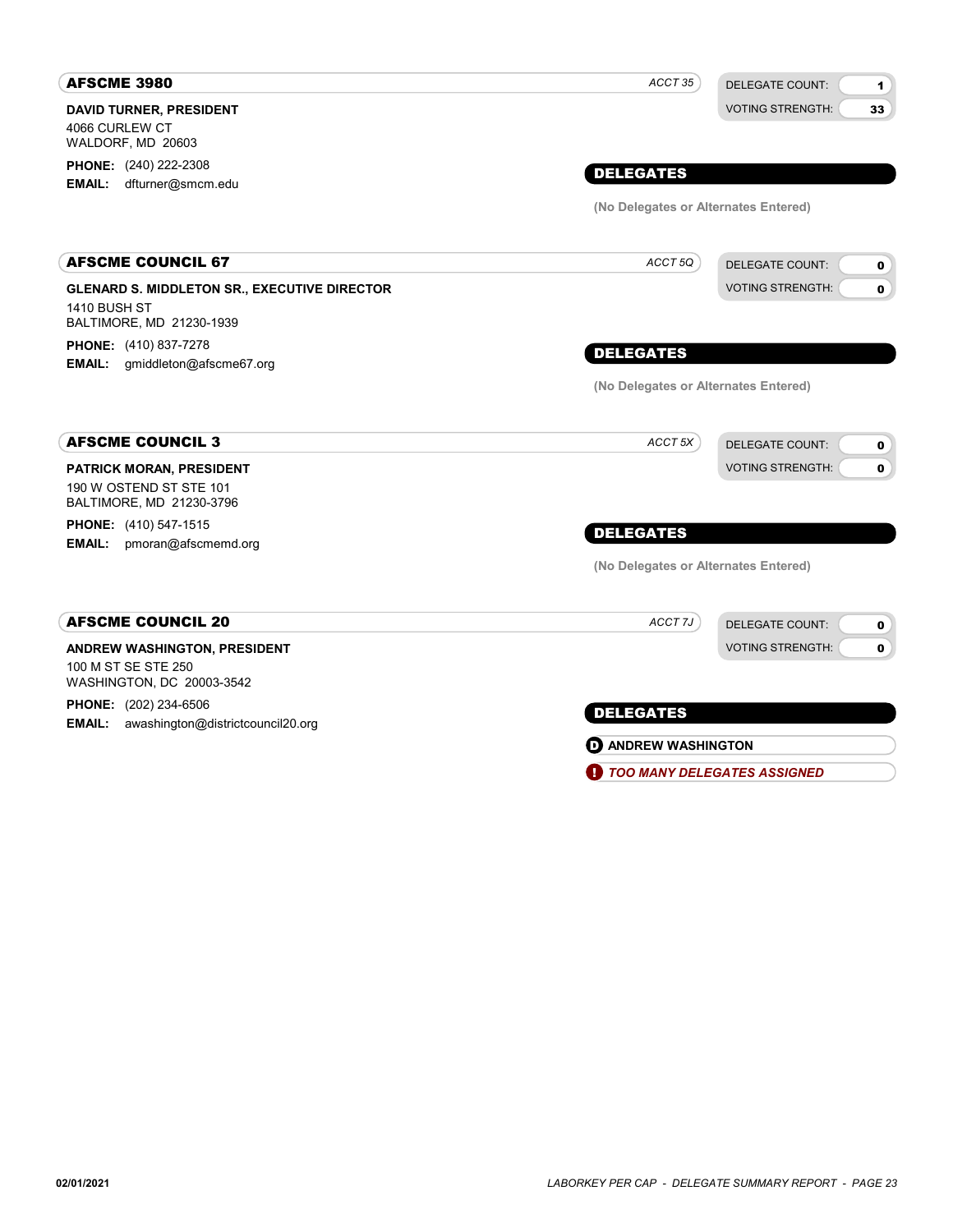| <b>AFSCME 3980</b>                                                                                     | ACCT 35                              | <b>DELEGATE COUNT:</b><br>1            |
|--------------------------------------------------------------------------------------------------------|--------------------------------------|----------------------------------------|
| <b>DAVID TURNER, PRESIDENT</b><br>4066 CURLEW CT<br>WALDORF, MD 20603                                  |                                      | <b>VOTING STRENGTH:</b><br>33          |
| <b>PHONE:</b> (240) 222-2308<br>dfturner@smcm.edu<br><b>EMAIL:</b>                                     | <b>DELEGATES</b>                     |                                        |
|                                                                                                        | (No Delegates or Alternates Entered) |                                        |
| <b>AFSCME COUNCIL 67</b>                                                                               | ACCT 5Q                              | <b>DELEGATE COUNT:</b><br>0            |
| <b>GLENARD S. MIDDLETON SR., EXECUTIVE DIRECTOR</b><br><b>1410 BUSH ST</b><br>BALTIMORE, MD 21230-1939 |                                      | <b>VOTING STRENGTH:</b><br>0           |
| PHONE: (410) 837-7278<br>EMAIL: gmiddleton@afscme67.org                                                | <b>DELEGATES</b>                     |                                        |
|                                                                                                        | (No Delegates or Alternates Entered) |                                        |
| <b>AFSCME COUNCIL 3</b>                                                                                | ACCT <sub>5X</sub>                   | <b>DELEGATE COUNT:</b><br>0            |
| <b>PATRICK MORAN, PRESIDENT</b><br>190 W OSTEND ST STE 101<br>BALTIMORE, MD 21230-3796                 |                                      | <b>VOTING STRENGTH:</b><br>$\mathbf o$ |
| <b>PHONE:</b> (410) 547-1515<br><b>EMAIL:</b><br>pmoran@afscmemd.org                                   | <b>DELEGATES</b>                     |                                        |
|                                                                                                        | (No Delegates or Alternates Entered) |                                        |
| <b>AFSCME COUNCIL 20</b>                                                                               | ACCT 7J                              | <b>DELEGATE COUNT:</b><br>0            |
| ANDREW WASHINGTON, PRESIDENT<br>100 M ST SE STE 250<br>WASHINGTON, DC 20003-3542                       |                                      | <b>VOTING STRENGTH:</b><br>0           |
| <b>PHONE:</b> (202) 234-6506<br><b>EMAIL:</b> awashington@districtcouncil20.org                        | <b>DELEGATES</b>                     |                                        |
|                                                                                                        | <b>D</b> ANDREW WASHINGTON           |                                        |
|                                                                                                        | <b>TOO MANY DELEGATES ASSIGNED</b>   |                                        |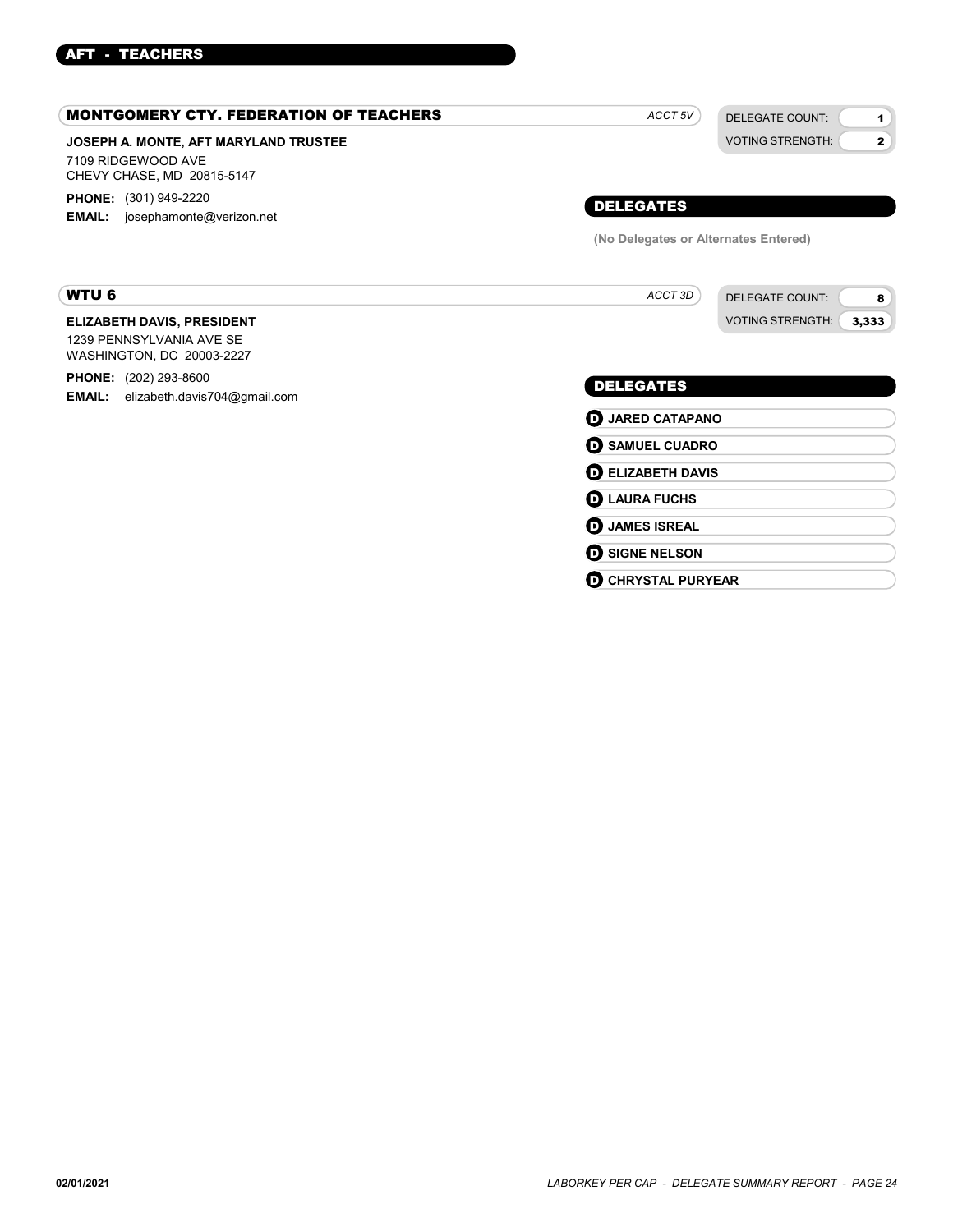### AFT - TEACHERS

| <b>MONTGOMERY CTY. FEDERATION OF TEACHERS</b>                                              | ACCT <sub>5V</sub>                   | <b>DELEGATE COUNT:</b><br>1             |
|--------------------------------------------------------------------------------------------|--------------------------------------|-----------------------------------------|
| JOSEPH A. MONTE, AFT MARYLAND TRUSTEE<br>7109 RIDGEWOOD AVE<br>CHEVY CHASE, MD 20815-5147  |                                      | <b>VOTING STRENGTH:</b><br>$\mathbf{2}$ |
| <b>PHONE:</b> (301) 949-2220<br>EMAIL: josephamonte@verizon.net                            | <b>DELEGATES</b>                     |                                         |
|                                                                                            | (No Delegates or Alternates Entered) |                                         |
| <b>WTU 6</b>                                                                               | ACCT 3D                              | <b>DELEGATE COUNT:</b><br>8             |
| <b>ELIZABETH DAVIS, PRESIDENT</b><br>1239 PENNSYLVANIA AVE SE<br>WASHINGTON, DC 20003-2227 |                                      | <b>VOTING STRENGTH:</b><br>3,333        |
| <b>PHONE:</b> (202) 293-8600<br><b>EMAIL:</b> elizabeth.davis704@gmail.com                 | <b>DELEGATES</b>                     |                                         |
|                                                                                            | <b>D</b> JARED CATAPANO              |                                         |
|                                                                                            | <b>O SAMUEL CUADRO</b>               |                                         |
|                                                                                            | <b>DELIZABETH DAVIS</b>              |                                         |
|                                                                                            | <b>D</b> LAURA FUCHS                 |                                         |
|                                                                                            | <b>D</b> JAMES ISREAL                |                                         |
|                                                                                            | <b>SIGNE NELSON</b><br>6             |                                         |

**O CHRYSTAL PURYEAR**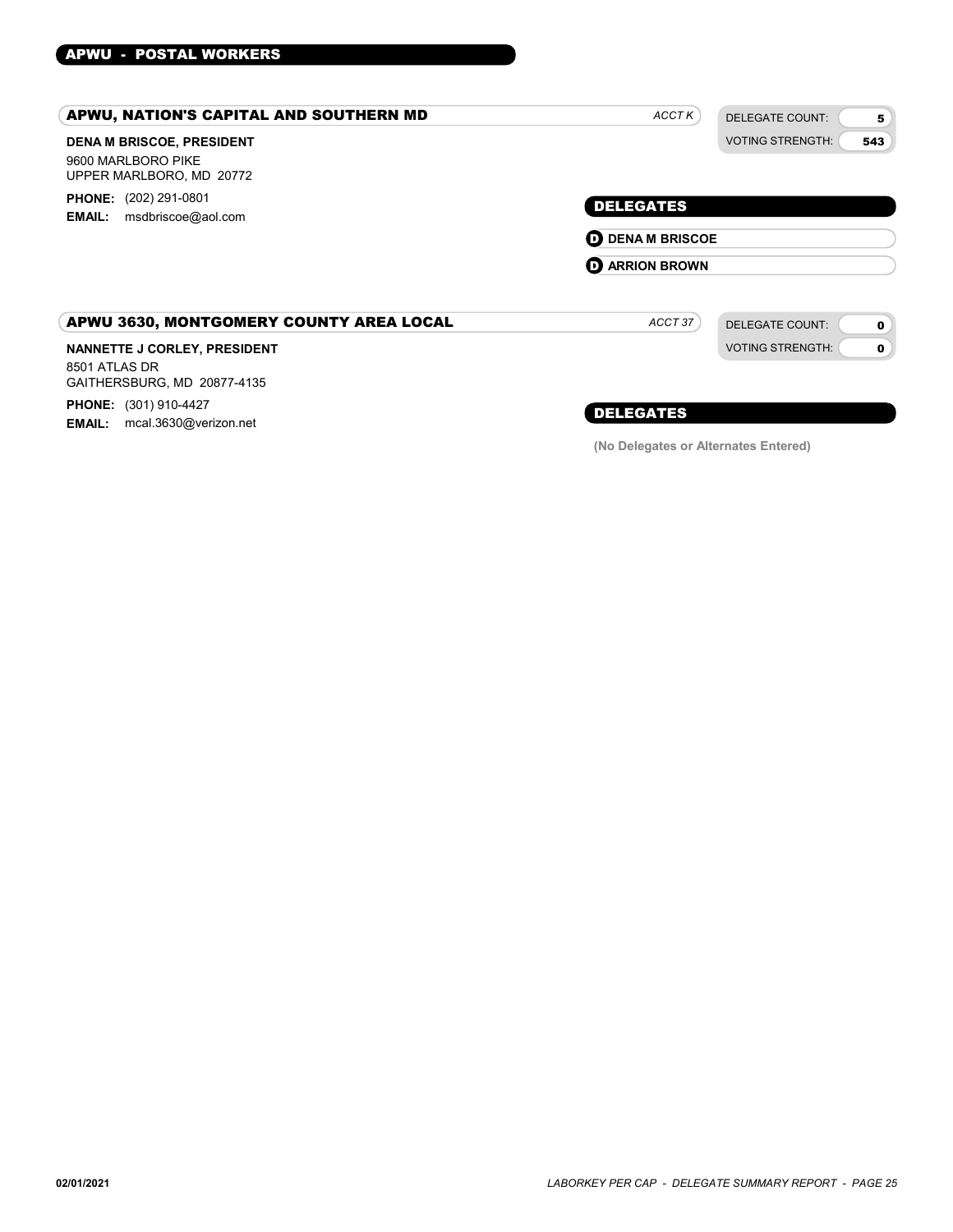### APWU - POSTAL WORKERS

| APWU, NATION'S CAPITAL AND SOUTHERN MD                                                                                  | <b>ACCTK</b>                                                         | <b>DELEGATE COUNT:</b><br>5                                           |
|-------------------------------------------------------------------------------------------------------------------------|----------------------------------------------------------------------|-----------------------------------------------------------------------|
| <b>DENA M BRISCOE, PRESIDENT</b><br>9600 MARLBORO PIKE<br>UPPER MARLBORO, MD 20772                                      |                                                                      | <b>VOTING STRENGTH:</b><br>543                                        |
| <b>PHONE:</b> (202) 291-0801<br>msdbriscoe@aol.com<br><b>EMAIL:</b>                                                     | <b>DELEGATES</b><br><b>D</b> DENA M BRISCOE<br><b>D</b> ARRION BROWN |                                                                       |
| APWU 3630, MONTGOMERY COUNTY AREA LOCAL<br>NANNETTE J CORLEY, PRESIDENT<br>8501 ATLAS DR<br>GAITHERSBURG, MD 20877-4135 | ACCT 37                                                              | <b>DELEGATE COUNT:</b><br>$\mathbf 0$<br><b>VOTING STRENGTH:</b><br>0 |

PHONE: (301) 910-4427 EMAIL: mcal.3630@verizon.net

### DELEGATES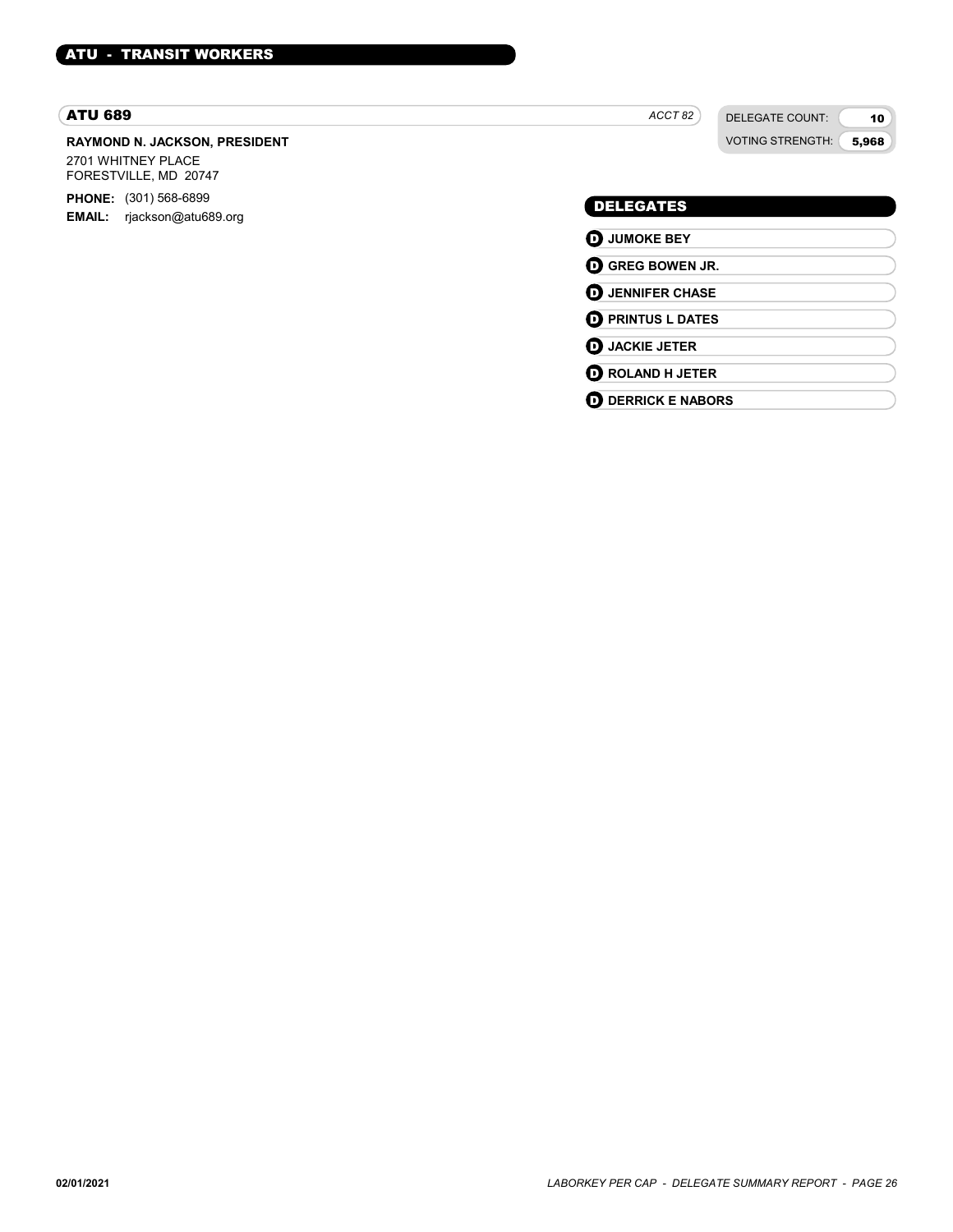### ATU 689

### RAYMOND N. JACKSON, PRESIDENT

2701 WHITNEY PLACE FORESTVILLE, MD 20747

PHONE: (301) 568-6899 EMAIL: rjackson@atu689.org ACCT<sub>82</sub>

DELEGATE COUNT: VOTING STRENGTH:

10 5,968

### DELEGATES

**D** JUMOKE BEY **D** GREG BOWEN JR. **D** JENNIFER CHASE **D** PRINTUS L DATES **D** JACKIE JETER **D** ROLAND H JETER **O** DERRICK E NABORS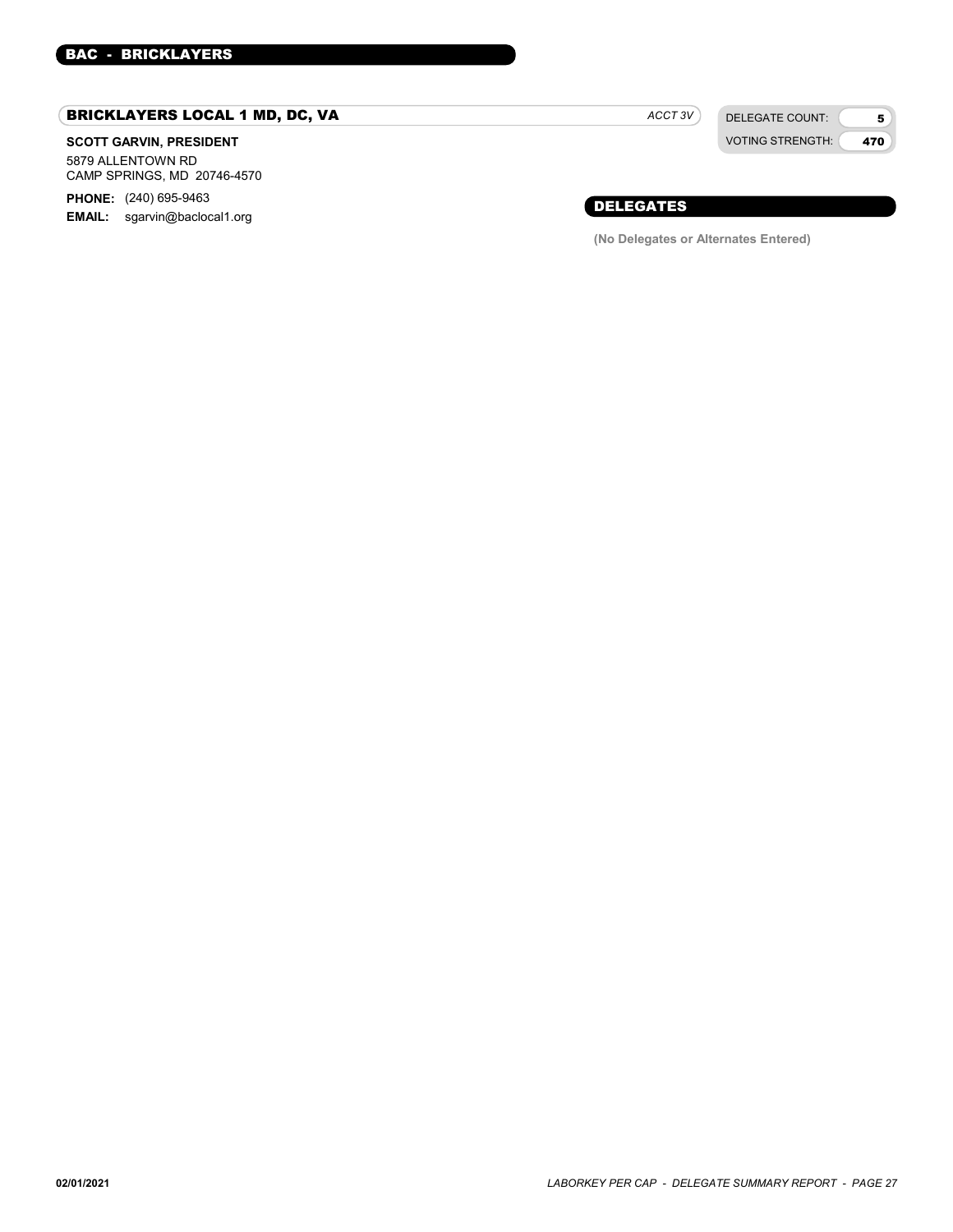### BRICKLAYERS LOCAL 1 MD, DC, VA

### SCOTT GARVIN, PRESIDENT

5879 ALLENTOWN RD CAMP SPRINGS, MD 20746-4570

**PHONE:** (240) 695-9463 EMAIL: sgarvin@baclocal1.org ACCT 3V

DELEGATE COUNT: VOTING STRENGTH:

5 470

### DELEGATES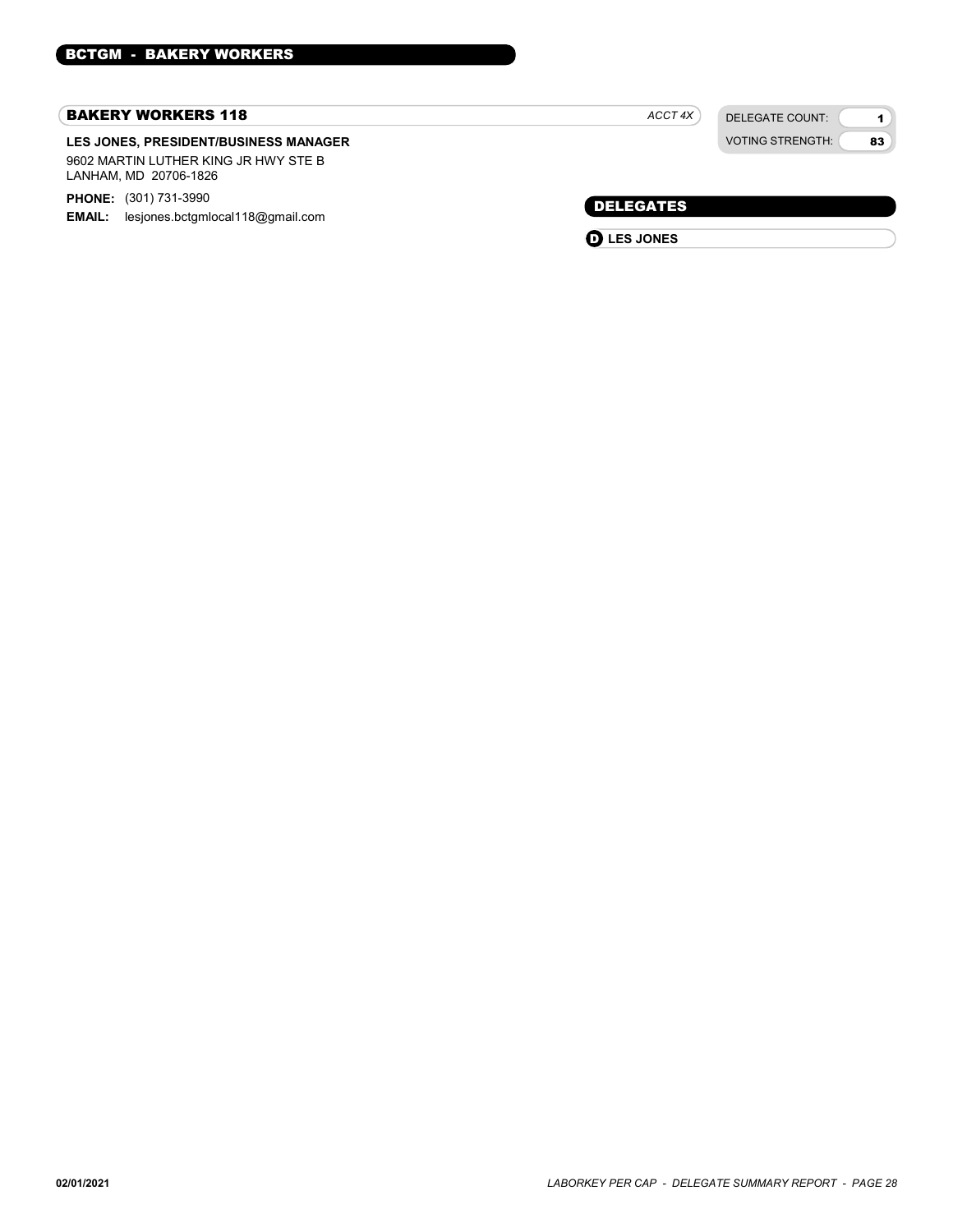#### BAKERY WORKERS 118

#### LES JONES, PRESIDENT/BUSINESS MANAGER 9602 MARTIN LUTHER KING JR HWY STE B LANHAM, MD 20706-1826

PHONE: (301) 731-3990

**EMAIL:** lesjones.bctgmlocal118@gmail.com

| ACCT 4X | DELEGATE COUNT:        |
|---------|------------------------|
|         | <b>VOTING STRENGTH</b> |

1 83

DELEGATES

**D** LES JONES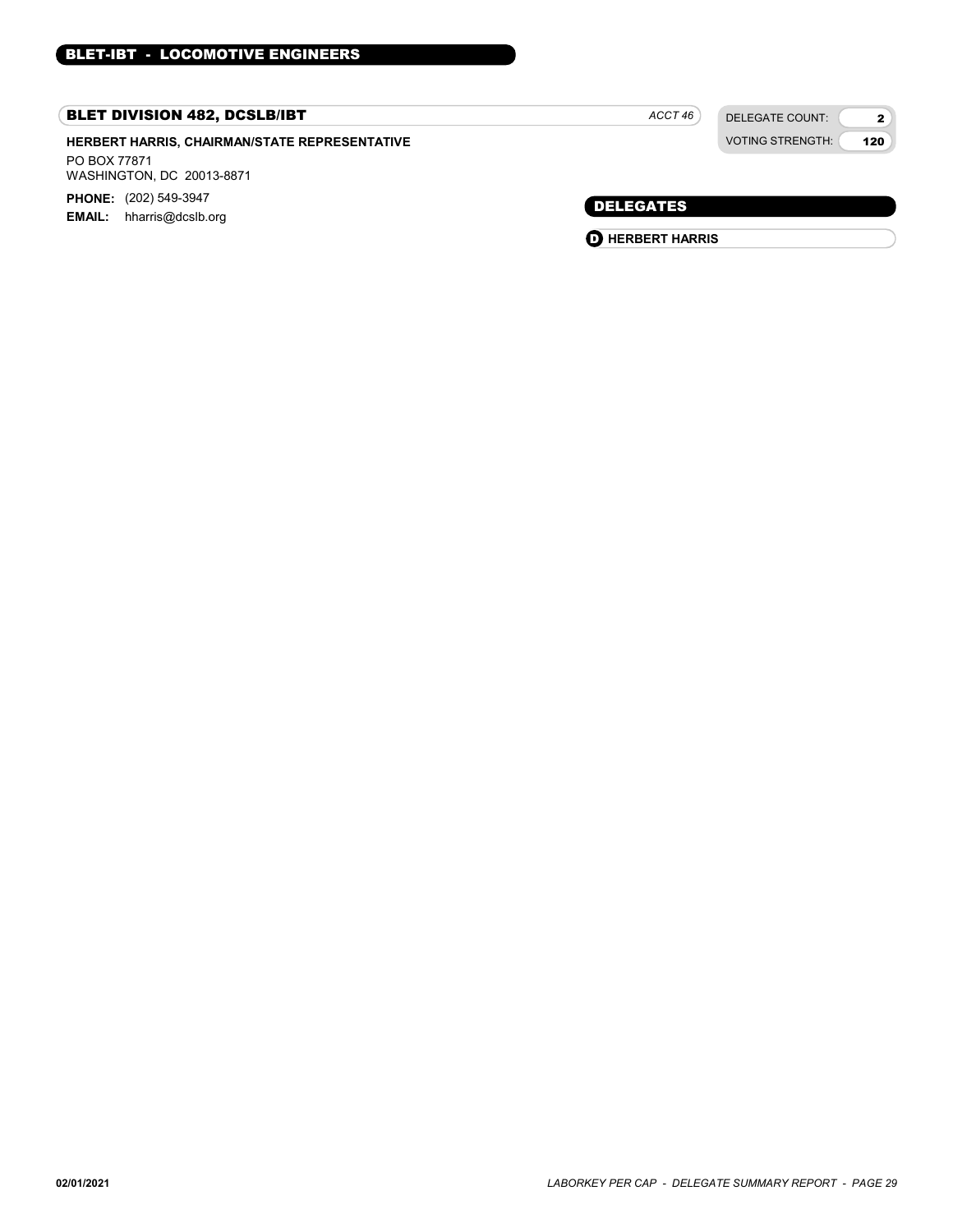### BLET DIVISION 482, DCSLB/IBT

HERBERT HARRIS, CHAIRMAN/STATE REPRESENTATIVE PO BOX 77871 WASHINGTON, DC 20013-8871 PHONE: (202) 549-3947

EMAIL: hharris@dcslb.org

 $ACCT 46$ 

DELEGATE COUNT: VOTING STRENGTH:

2 120

DELEGATES

**O** HERBERT HARRIS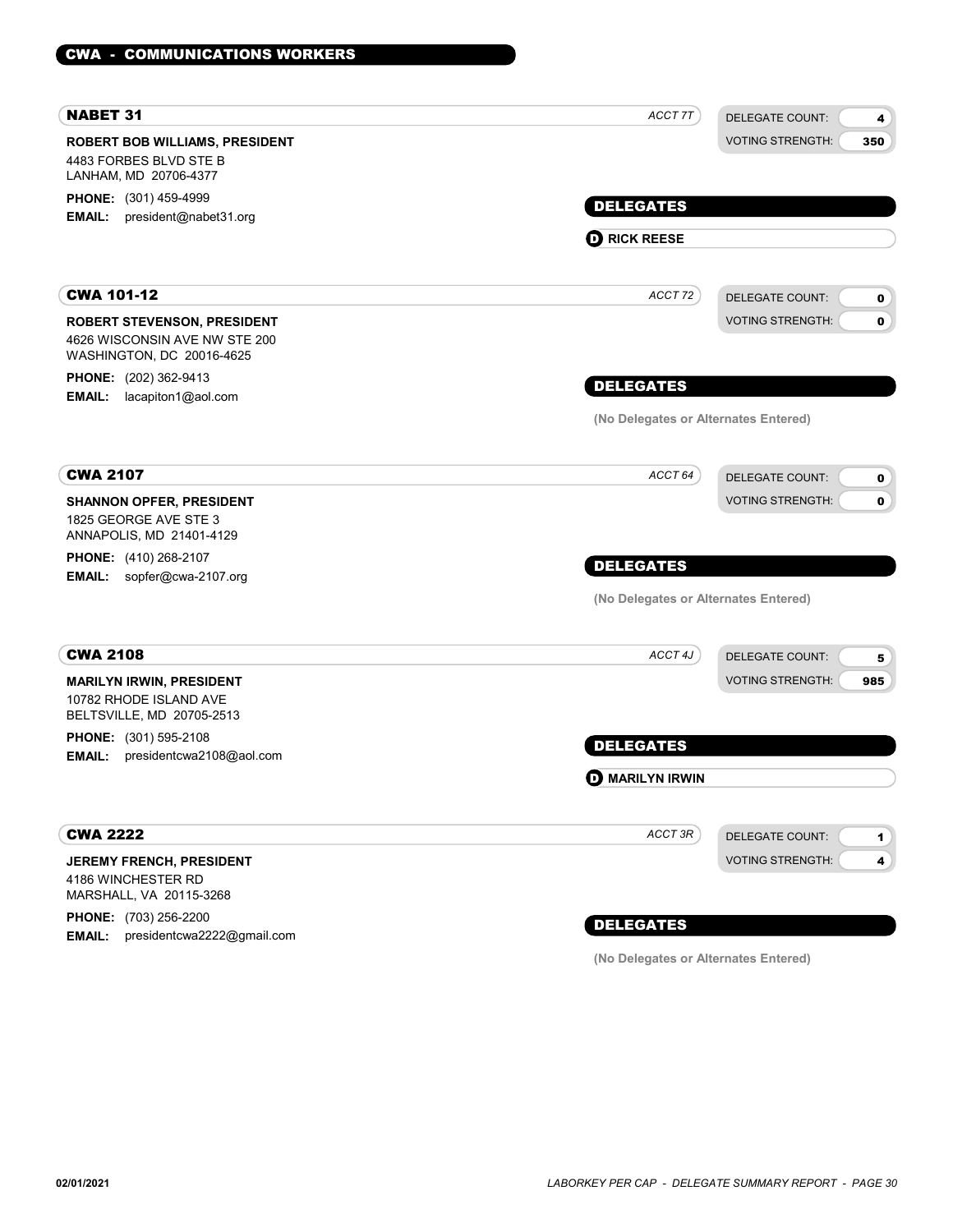| <b>NABET 31</b>                                                 | ACCT 7T                              | <b>DELEGATE COUNT:</b>                 |
|-----------------------------------------------------------------|--------------------------------------|----------------------------------------|
|                                                                 |                                      | 4                                      |
| <b>ROBERT BOB WILLIAMS, PRESIDENT</b><br>4483 FORBES BLVD STE B |                                      | <b>VOTING STRENGTH:</b><br>350         |
| LANHAM, MD 20706-4377                                           |                                      |                                        |
| PHONE: (301) 459-4999                                           |                                      |                                        |
| president@nabet31.org<br>EMAIL:                                 | <b>DELEGATES</b>                     |                                        |
|                                                                 | <b>D</b> RICK REESE                  |                                        |
|                                                                 |                                      |                                        |
| <b>CWA 101-12</b>                                               | ACCT 72                              | <b>DELEGATE COUNT:</b><br>0            |
| <b>ROBERT STEVENSON, PRESIDENT</b>                              |                                      | <b>VOTING STRENGTH:</b><br>$\mathbf 0$ |
| 4626 WISCONSIN AVE NW STE 200                                   |                                      |                                        |
| WASHINGTON, DC 20016-4625                                       |                                      |                                        |
| <b>PHONE:</b> (202) 362-9413                                    | <b>DELEGATES</b>                     |                                        |
| lacapiton1@aol.com<br><b>EMAIL:</b>                             |                                      |                                        |
|                                                                 | (No Delegates or Alternates Entered) |                                        |
|                                                                 |                                      |                                        |
| <b>CWA 2107</b>                                                 | ACCT 64                              | <b>DELEGATE COUNT:</b><br>0            |
| <b>SHANNON OPFER, PRESIDENT</b>                                 |                                      | <b>VOTING STRENGTH:</b><br>0           |
| 1825 GEORGE AVE STE 3                                           |                                      |                                        |
| ANNAPOLIS, MD 21401-4129                                        |                                      |                                        |
| <b>PHONE:</b> (410) 268-2107                                    | <b>DELEGATES</b>                     |                                        |
| EMAIL: sopfer@cwa-2107.org                                      |                                      |                                        |
|                                                                 | (No Delegates or Alternates Entered) |                                        |
|                                                                 |                                      |                                        |
| <b>CWA 2108</b>                                                 | ACCT 4J                              | <b>DELEGATE COUNT:</b><br>5            |
| <b>MARILYN IRWIN, PRESIDENT</b>                                 |                                      | <b>VOTING STRENGTH:</b><br>985         |
| 10782 RHODE ISLAND AVE                                          |                                      |                                        |
| BELTSVILLE, MD 20705-2513                                       |                                      |                                        |
| PHONE: (301) 595-2108                                           | <b>DELEGATES</b>                     |                                        |
| EMAIL:<br>presidentcwa2108@aol.com                              |                                      |                                        |
|                                                                 | <b>O MARILYN IRWIN</b>               |                                        |
|                                                                 |                                      |                                        |
| <b>CWA 2222</b>                                                 | ACCT 3R                              | <b>DELEGATE COUNT:</b><br>1            |
| <b>JEREMY FRENCH, PRESIDENT</b>                                 |                                      | <b>VOTING STRENGTH:</b><br>4           |
| 4186 WINCHESTER RD<br>MARSHALL, VA 20115-3268                   |                                      |                                        |
| PHONE: (703) 256-2200                                           |                                      |                                        |
| EMAIL: presidentcwa2222@gmail.com                               | <b>DELEGATES</b>                     |                                        |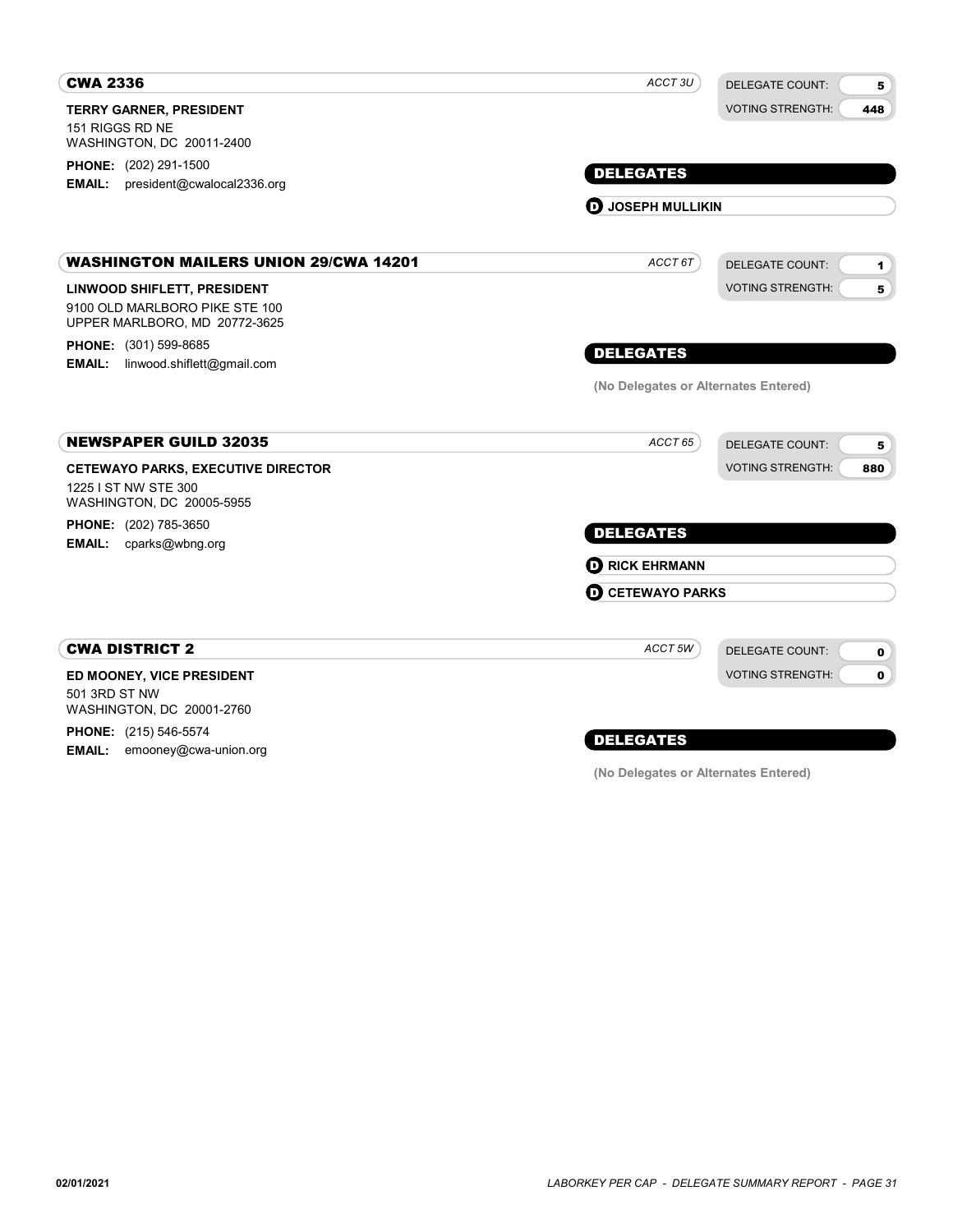| <b>CWA 2336</b>                                                         | ACCT <sub>3U</sub>                   | <b>DELEGATE COUNT:</b><br>5    |
|-------------------------------------------------------------------------|--------------------------------------|--------------------------------|
| TERRY GARNER, PRESIDENT                                                 |                                      | <b>VOTING STRENGTH:</b><br>448 |
| 151 RIGGS RD NE<br>WASHINGTON, DC 20011-2400                            |                                      |                                |
| <b>PHONE:</b> (202) 291-1500                                            |                                      |                                |
| president@cwalocal2336.org<br><b>EMAIL:</b>                             | <b>DELEGATES</b>                     |                                |
|                                                                         | <b>D</b> JOSEPH MULLIKIN             |                                |
| <b>WASHINGTON MAILERS UNION 29/CWA 14201</b>                            | ACCT 6T                              | <b>DELEGATE COUNT:</b><br>1    |
| LINWOOD SHIFLETT, PRESIDENT                                             |                                      | <b>VOTING STRENGTH:</b><br>5   |
| 9100 OLD MARLBORO PIKE STE 100<br>UPPER MARLBORO, MD 20772-3625         |                                      |                                |
| PHONE: (301) 599-8685                                                   | <b>DELEGATES</b>                     |                                |
| linwood.shiflett@gmail.com<br><b>EMAIL:</b>                             |                                      |                                |
|                                                                         | (No Delegates or Alternates Entered) |                                |
| <b>NEWSPAPER GUILD 32035</b>                                            | ACCT 65                              | <b>DELEGATE COUNT:</b><br>5    |
| <b>CETEWAYO PARKS, EXECUTIVE DIRECTOR</b>                               |                                      | <b>VOTING STRENGTH:</b><br>880 |
| 1225 I ST NW STE 300<br>WASHINGTON, DC 20005-5955                       |                                      |                                |
| <b>PHONE:</b> (202) 785-3650<br><b>EMAIL:</b><br>cparks@wbng.org        | <b>DELEGATES</b>                     |                                |
|                                                                         | <b>O RICK EHRMANN</b>                |                                |
|                                                                         | <b>O CETEWAYO PARKS</b>              |                                |
| <b>CWA DISTRICT 2</b>                                                   | ACCT 5W                              | <b>DELEGATE COUNT:</b>         |
|                                                                         |                                      | 0                              |
| ED MOONEY, VICE PRESIDENT<br>501 3RD ST NW<br>WASHINGTON, DC 20001-2760 |                                      | <b>VOTING STRENGTH:</b><br>0   |
| <b>PHONE:</b> (215) 546-5574                                            |                                      |                                |
| <b>EMAIL:</b><br>emooney@cwa-union.org                                  | <b>DELEGATES</b>                     |                                |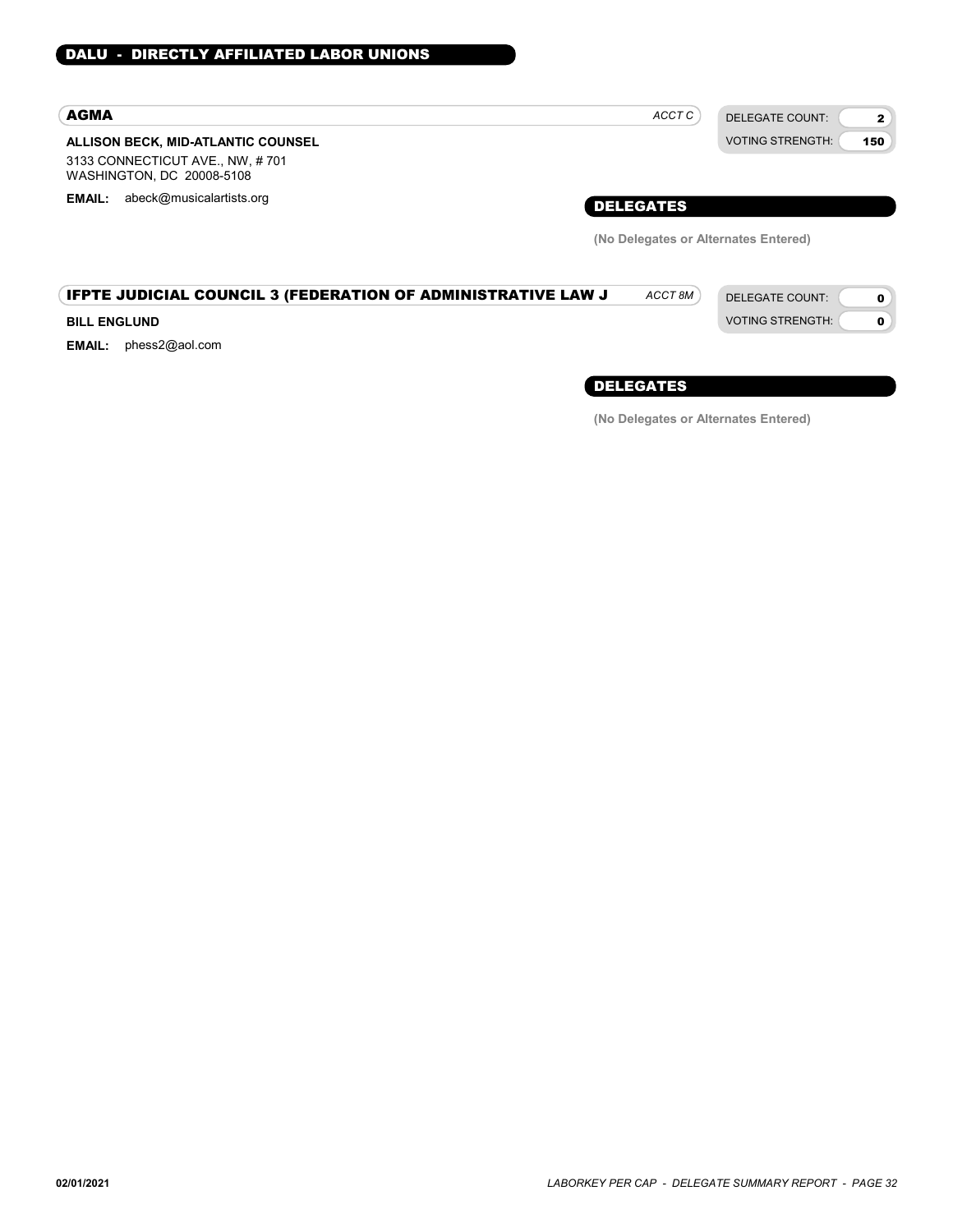### AGMA

#### ALLISON BECK, MID-ATLANTIC COUNSEL 3133 CONNECTICUT AVE., NW, # 701

WASHINGTON, DC 20008-5108

EMAIL: abeck@musicalartists.org **EMAIL: abeck@musicalartists.org** 

| ACCT C | DELEGATE COUNT:         |
|--------|-------------------------|
|        | <b>VOTING STRENGTH:</b> |
|        |                         |

VOTING STRENGTH:

2 150

> $\mathbf{o}$ 0

(No Delegates or Alternates Entered)

### **IFPTE JUDICIAL COUNCIL 3 (FEDERATION OF ADMINISTRATIVE LAW J** ACCT 8M) DELEGATE COUNT:

#### BILL ENGLUND

EMAIL: phess2@aol.com

DELEGATES

ACCT 8M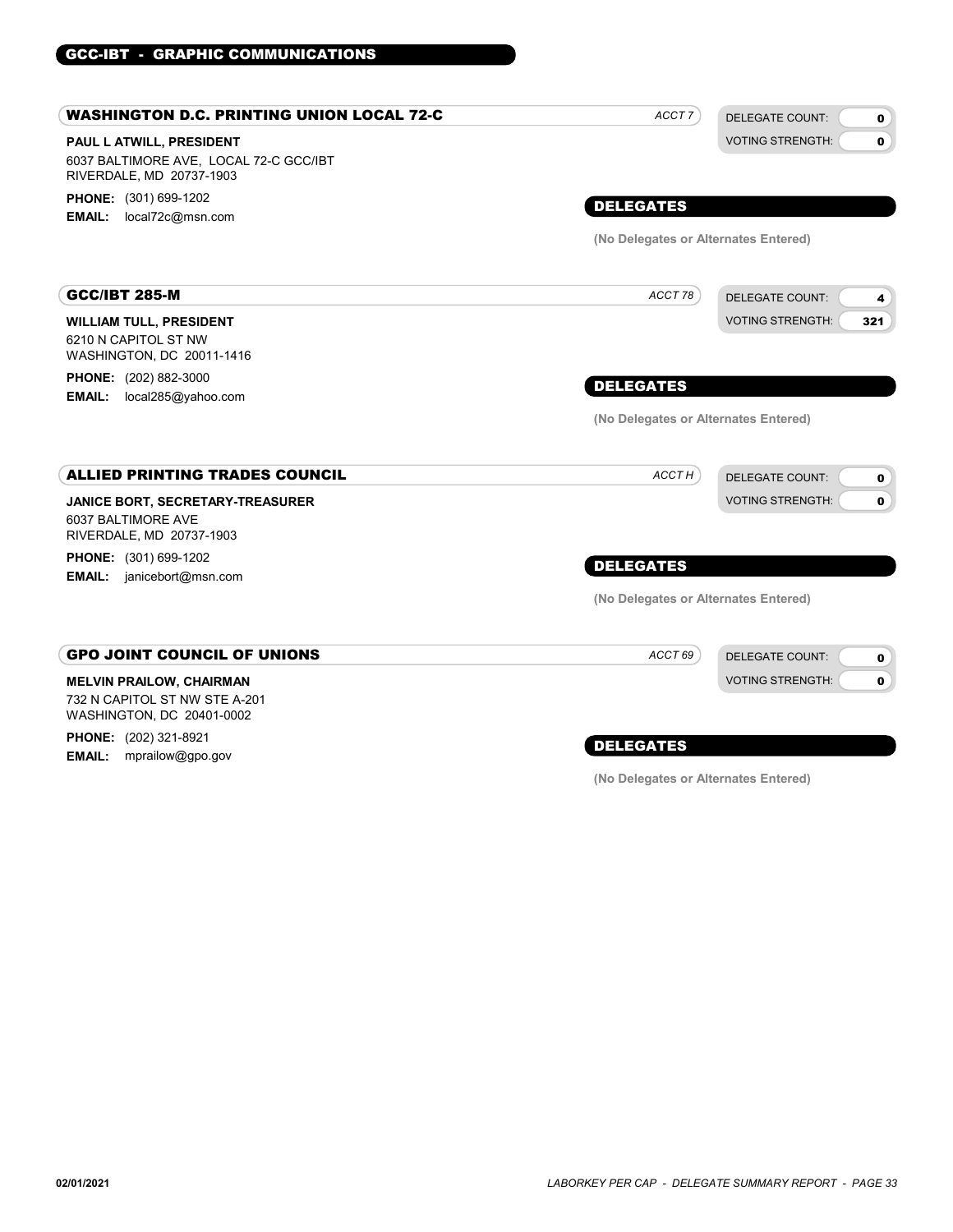#### PAUL L ATWILL, PRESIDENT WASHINGTON D.C. PRINTING UNION LOCAL 72-C 6037 BALTIMORE AVE, LOCAL 72-C GCC/IBT RIVERDALE, MD 20737-1903 PHONE: (301) 699-1202 EMAIL: local72c@msn.com DELEGATE COUNT: VOTING STRENGTH: 0  $\mathbf{0}$ DELEGATES ACCT<sub>7</sub> (No Delegates or Alternates Entered) WILLIAM TULL, PRESIDENT GCC/IBT 285-M 6210 N CAPITOL ST NW WASHINGTON, DC 20011-1416 PHONE: (202) 882-3000 EMAIL: local285@yahoo.com DELEGATE COUNT: VOTING STRENGTH: 4 321 DELEGATES ACCT 78 (No Delegates or Alternates Entered) JANICE BORT, SECRETARY-TREASURER ALLIED PRINTING TRADES COUNCIL 6037 BALTIMORE AVE RIVERDALE, MD 20737-1903 PHONE: (301) 699-1202 **EMAIL:** janicebort@msn.com DELEGATE COUNT: VOTING STRENGTH:  $\mathbf{o}$ 0 DELEGATES ACCT<sub>H</sub> (No Delegates or Alternates Entered) MELVIN PRAILOW, CHAIRMAN GPO JOINT COUNCIL OF UNIONS 732 N CAPITOL ST NW STE A-201 WASHINGTON, DC 20401-0002 PHONE: (202) 321-8921 **EMAIL:** mprailow@gpo.gov DELEGATE COUNT: VOTING STRENGTH: 0 0 DELEGATES ACCT 69

GCC-IBT - GRAPHIC COMMUNICATIONS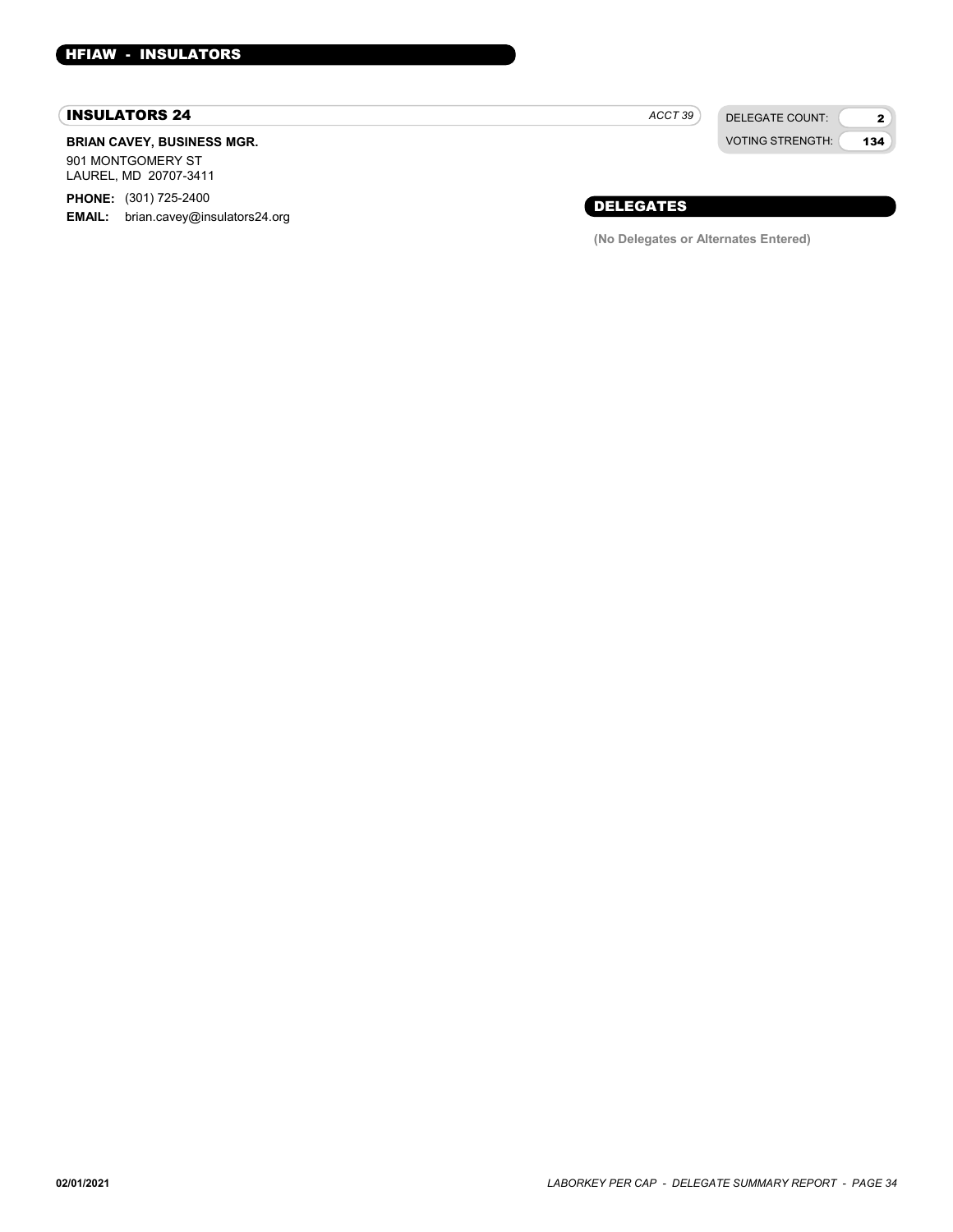#### INSULATORS 24

### BRIAN CAVEY, BUSINESS MGR.

901 MONTGOMERY ST LAUREL, MD 20707-3411

PHONE: (301) 725-2400

EMAIL: brian.cavey@insulators24.org

DELEGATE COUNT:  $ACCT 39$ 

VOTING STRENGTH: 2 134

### DELEGATES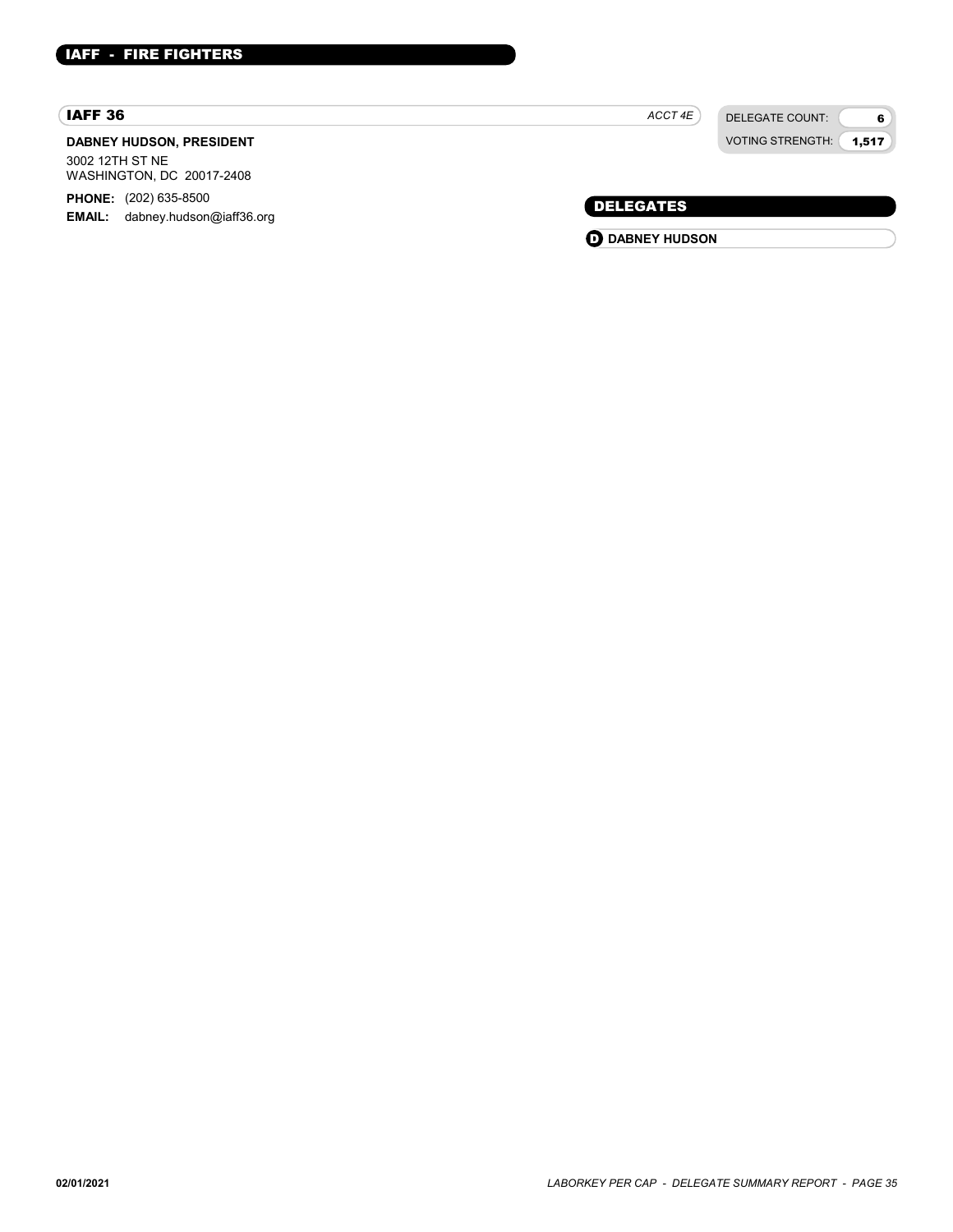### IAFF 36

### DABNEY HUDSON, PRESIDENT 3002 12TH ST NE

WASHINGTON, DC 20017-2408

PHONE: (202) 635-8500 EMAIL: dabney.hudson@iaff36.org  $ACCT 4E$ 

DELEGATE COUNT: VOTING STRENGTH: 6 1,517

### DELEGATES

**O** DABNEY HUDSON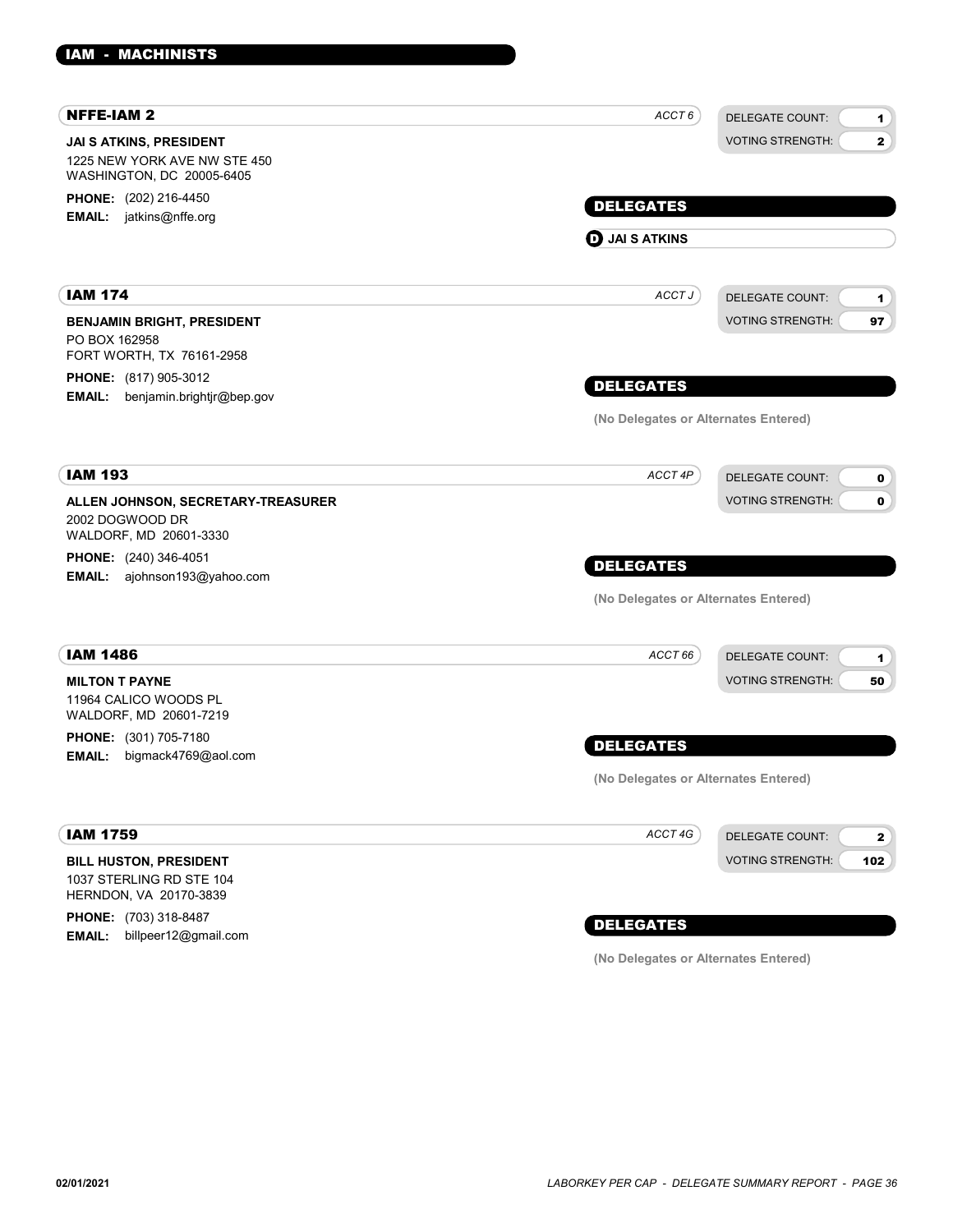| <b>NFFE-IAM 2</b>                                                                    | ACCT 6                               | <b>DELEGATE COUNT:</b><br>1.            |
|--------------------------------------------------------------------------------------|--------------------------------------|-----------------------------------------|
| JAI S ATKINS, PRESIDENT<br>1225 NEW YORK AVE NW STE 450<br>WASHINGTON, DC 20005-6405 |                                      | <b>VOTING STRENGTH:</b><br>$\mathbf{2}$ |
| <b>PHONE:</b> (202) 216-4450                                                         | <b>DELEGATES</b>                     |                                         |
| <b>EMAIL:</b> jatkins@nffe.org                                                       |                                      |                                         |
|                                                                                      | $\mathbf 0$ JAI S ATKINS             |                                         |
| <b>IAM 174</b>                                                                       | ACCT J                               | <b>DELEGATE COUNT:</b><br>1.            |
| <b>BENJAMIN BRIGHT, PRESIDENT</b>                                                    |                                      | <b>VOTING STRENGTH:</b><br>97           |
| PO BOX 162958                                                                        |                                      |                                         |
| FORT WORTH, TX 76161-2958<br><b>PHONE:</b> (817) 905-3012                            |                                      |                                         |
| <b>EMAIL:</b><br>benjamin.brightjr@bep.gov                                           | <b>DELEGATES</b>                     |                                         |
|                                                                                      | (No Delegates or Alternates Entered) |                                         |
| <b>IAM 193</b>                                                                       | ACCT 4P                              | <b>DELEGATE COUNT:</b><br>0             |
| ALLEN JOHNSON, SECRETARY-TREASURER                                                   |                                      | <b>VOTING STRENGTH:</b><br>$\mathbf 0$  |
| 2002 DOGWOOD DR<br>WALDORF, MD 20601-3330                                            |                                      |                                         |
| <b>PHONE:</b> (240) 346-4051                                                         | <b>DELEGATES</b>                     |                                         |
| EMAIL: ajohnson193@yahoo.com                                                         |                                      |                                         |
|                                                                                      | (No Delegates or Alternates Entered) |                                         |
| <b>IAM 1486</b>                                                                      | ACCT 66                              | <b>DELEGATE COUNT:</b><br>1.            |
| <b>MILTON T PAYNE</b>                                                                |                                      | <b>VOTING STRENGTH:</b><br>50           |
| 11964 CALICO WOODS PL<br>WALDORF, MD 20601-7219                                      |                                      |                                         |
| <b>PHONE:</b> (301) 705-7180                                                         | <b>DELEGATES</b>                     |                                         |
| EMAIL: bigmack4769@aol.com                                                           |                                      |                                         |
|                                                                                      | (No Delegates or Alternates Entered) |                                         |
| <b>IAM 1759</b>                                                                      | ACCT 4G                              | <b>DELEGATE COUNT:</b><br>$\mathbf{2}$  |
| <b>BILL HUSTON, PRESIDENT</b>                                                        |                                      | <b>VOTING STRENGTH:</b><br>102          |
| 1037 STERLING RD STE 104                                                             |                                      |                                         |
| HERNDON, VA 20170-3839<br>PHONE: (703) 318-8487                                      |                                      |                                         |
|                                                                                      | <b>BELEASTER</b>                     |                                         |

EMAIL: billpeer12@gmail.com

## DELEGATES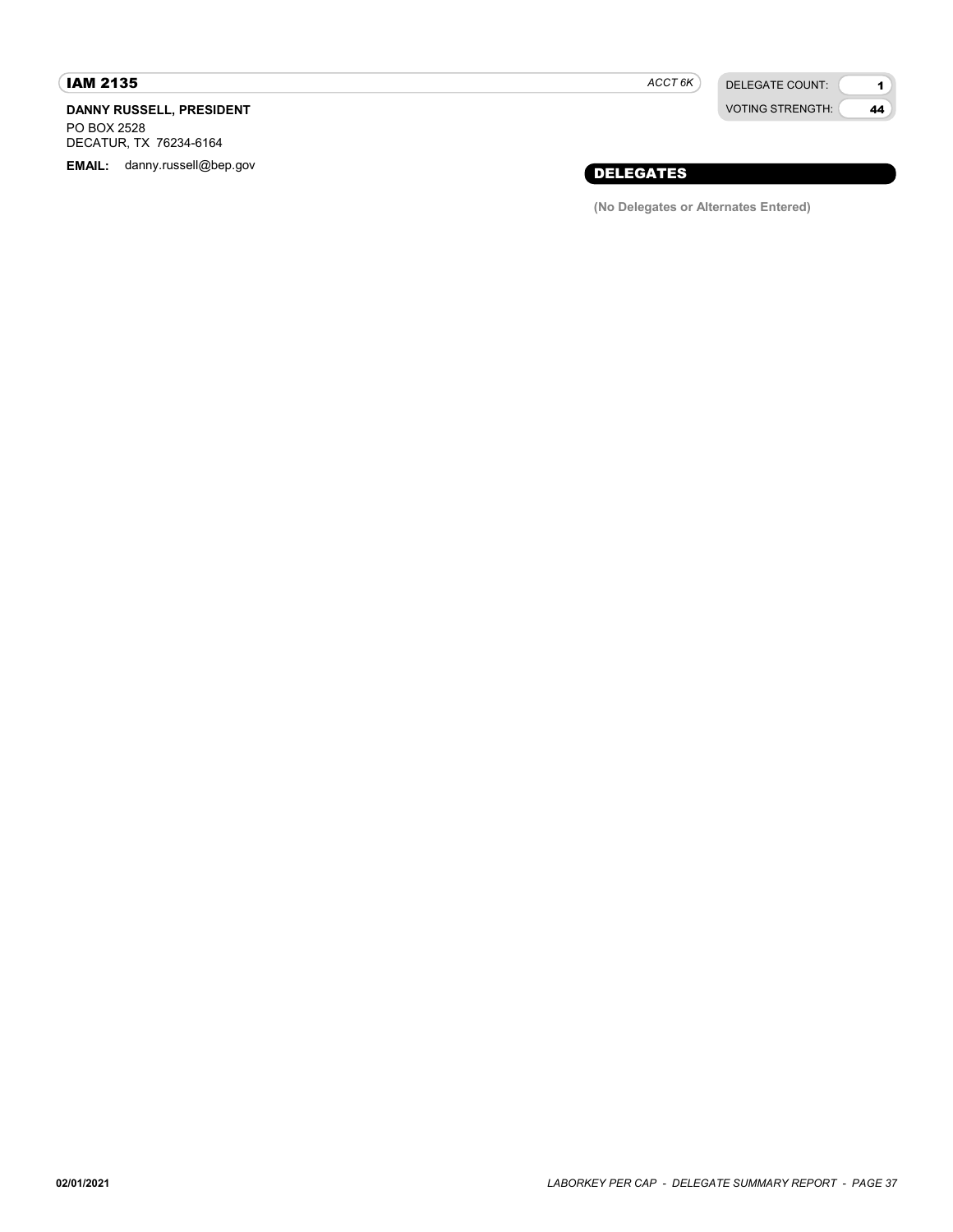### IAM 2135

### DANNY RUSSELL, PRESIDENT

PO BOX 2528 DECATUR, TX 76234-6164 ACCT<sub>6K</sub>

DELEGATE COUNT: VOTING STRENGTH:

1 44

# EMAIL: danny.russell@bep.gov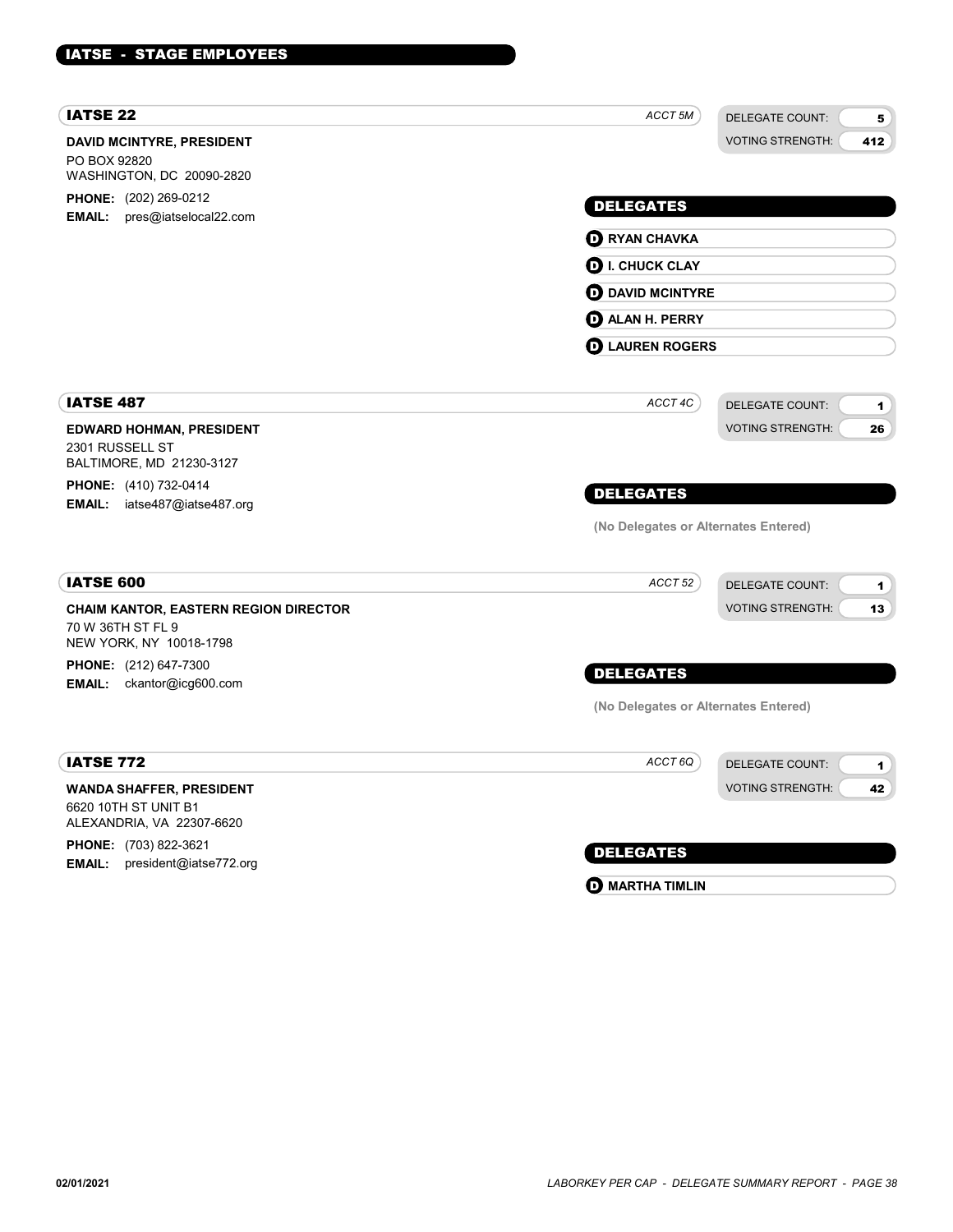| <b>IATSE 22</b>                                                                              | ACCT 5M                              | <b>DELEGATE COUNT:</b><br>5    |
|----------------------------------------------------------------------------------------------|--------------------------------------|--------------------------------|
| <b>DAVID MCINTYRE, PRESIDENT</b><br>PO BOX 92820<br>WASHINGTON, DC 20090-2820                |                                      | <b>VOTING STRENGTH:</b><br>412 |
| PHONE: (202) 269-0212                                                                        |                                      |                                |
| EMAIL: pres@iatselocal22.com                                                                 | <b>DELEGATES</b>                     |                                |
|                                                                                              | <b>O RYAN CHAVKA</b>                 |                                |
|                                                                                              | $\mathbf 0$ I. CHUCK CLAY            |                                |
|                                                                                              | <b>O</b> DAVID MCINTYRE              |                                |
|                                                                                              | <b>D</b> ALAN H. PERRY               |                                |
|                                                                                              | <b>D</b> LAUREN ROGERS               |                                |
|                                                                                              |                                      |                                |
| <b>IATSE 487</b>                                                                             | ACCT 4C                              | <b>DELEGATE COUNT:</b><br>1    |
| <b>EDWARD HOHMAN, PRESIDENT</b><br>2301 RUSSELL ST<br>BALTIMORE, MD 21230-3127               |                                      | <b>VOTING STRENGTH:</b><br>26  |
| PHONE: (410) 732-0414                                                                        | <b>DELEGATES</b>                     |                                |
| <b>EMAIL:</b> iatse487@iatse487.org                                                          | (No Delegates or Alternates Entered) |                                |
|                                                                                              |                                      |                                |
| <b>IATSE 600</b>                                                                             | ACCT <sub>52</sub>                   | <b>DELEGATE COUNT:</b><br>1    |
| <b>CHAIM KANTOR, EASTERN REGION DIRECTOR</b><br>70 W 36TH ST FL 9<br>NEW YORK, NY 10018-1798 |                                      | <b>VOTING STRENGTH:</b><br>13  |
| PHONE: (212) 647-7300                                                                        | <b>DELEGATES</b>                     |                                |
| <b>EMAIL:</b> ckantor@icg600.com                                                             | (No Delegates or Alternates Entered) |                                |
|                                                                                              |                                      |                                |
| <b>IATSE 772</b>                                                                             | ACCT 6Q                              | <b>DELEGATE COUNT:</b><br>1    |
| <b>WANDA SHAFFER, PRESIDENT</b><br>6620 10TH ST UNIT B1<br>ALEXANDRIA, VA 22307-6620         |                                      | <b>VOTING STRENGTH:</b><br>42  |
| PHONE: (703) 822-3621                                                                        |                                      |                                |
| $1.11 \t\t m$ $1.11 \t\t m$                                                                  | <b>DELEGATES</b>                     |                                |

**EMAIL:** president@iatse772.org

# **O** MARTHA TIMLIN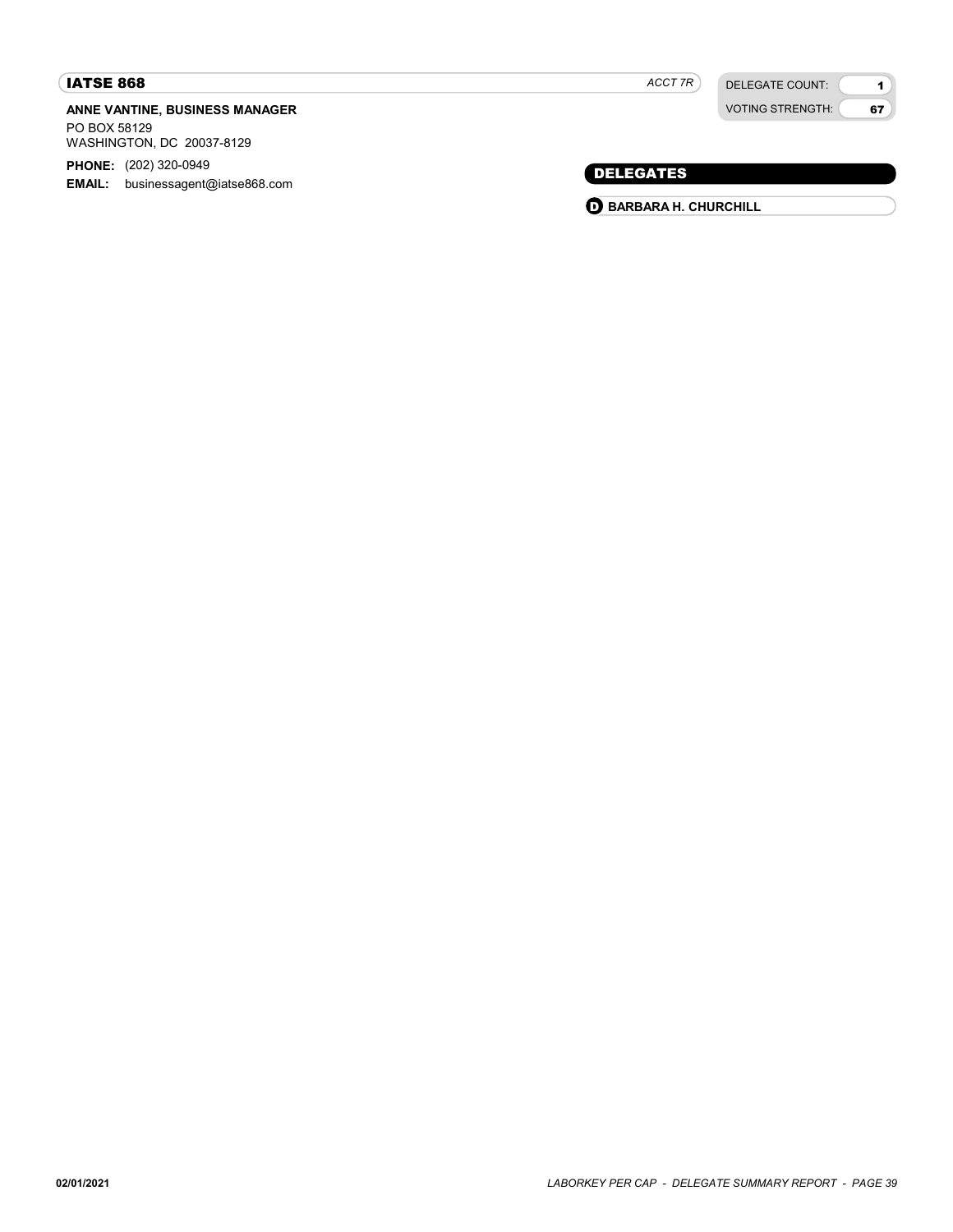### IATSE 868

### ANNE VANTINE, BUSINESS MANAGER

PO BOX 58129 WASHINGTON, DC 20037-8129

PHONE: (202) 320-0949

EMAIL: businessagent@iatse868.com

DELEGATE COUNT: VOTING STRENGTH:

1 67

### DELEGATES

**O BARBARA H. CHURCHILL**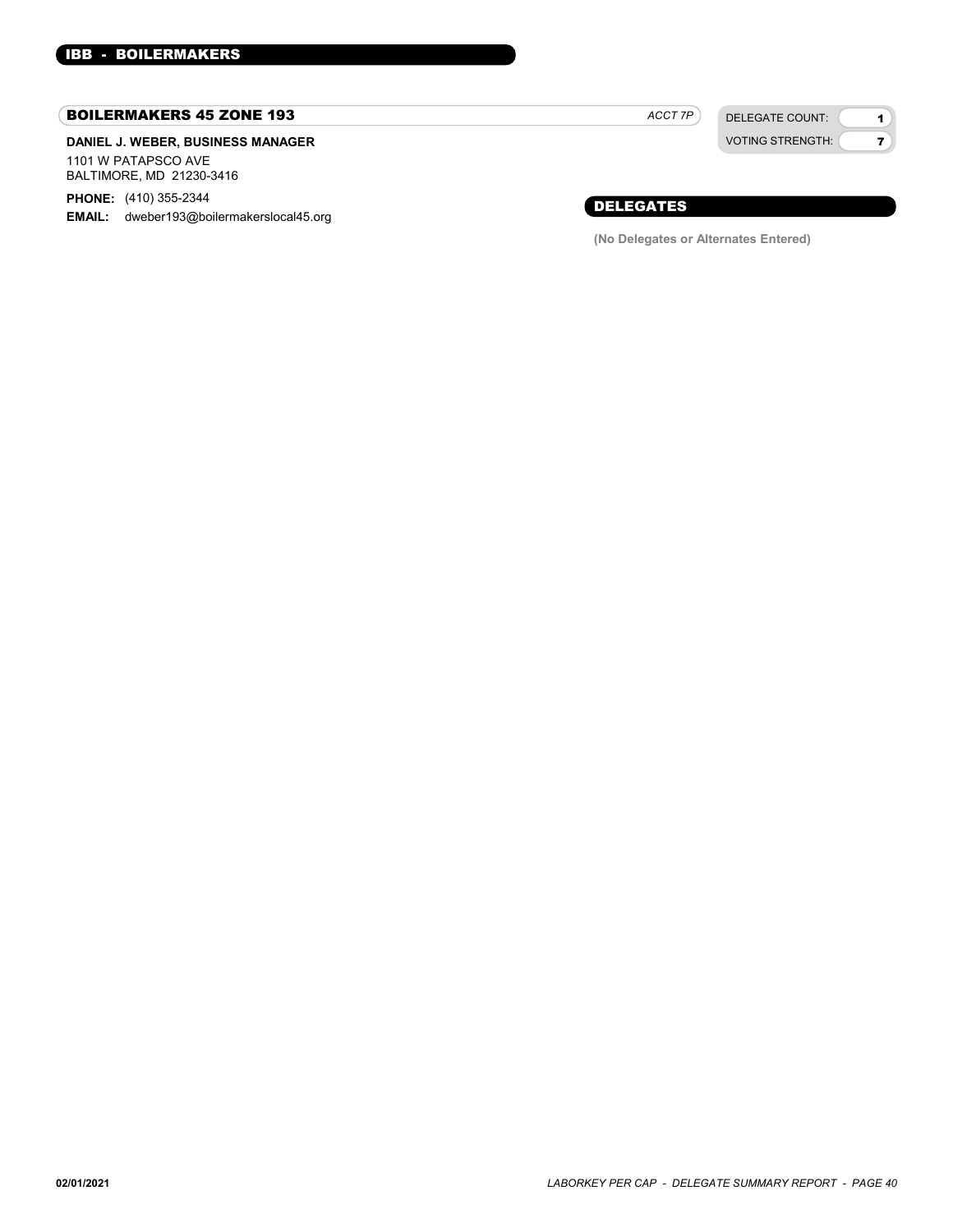#### BOILERMAKERS 45 ZONE 193

#### DANIEL J. WEBER, BUSINESS MANAGER 1101 W PATAPSCO AVE BALTIMORE, MD 21230-3416

PHONE: (410) 355-2344

EMAIL: dweber193@boilermakerslocal45.org

DELEGATE COUNT: ACCT 7P

VOTING STRENGTH:

1 7

### DELEGATES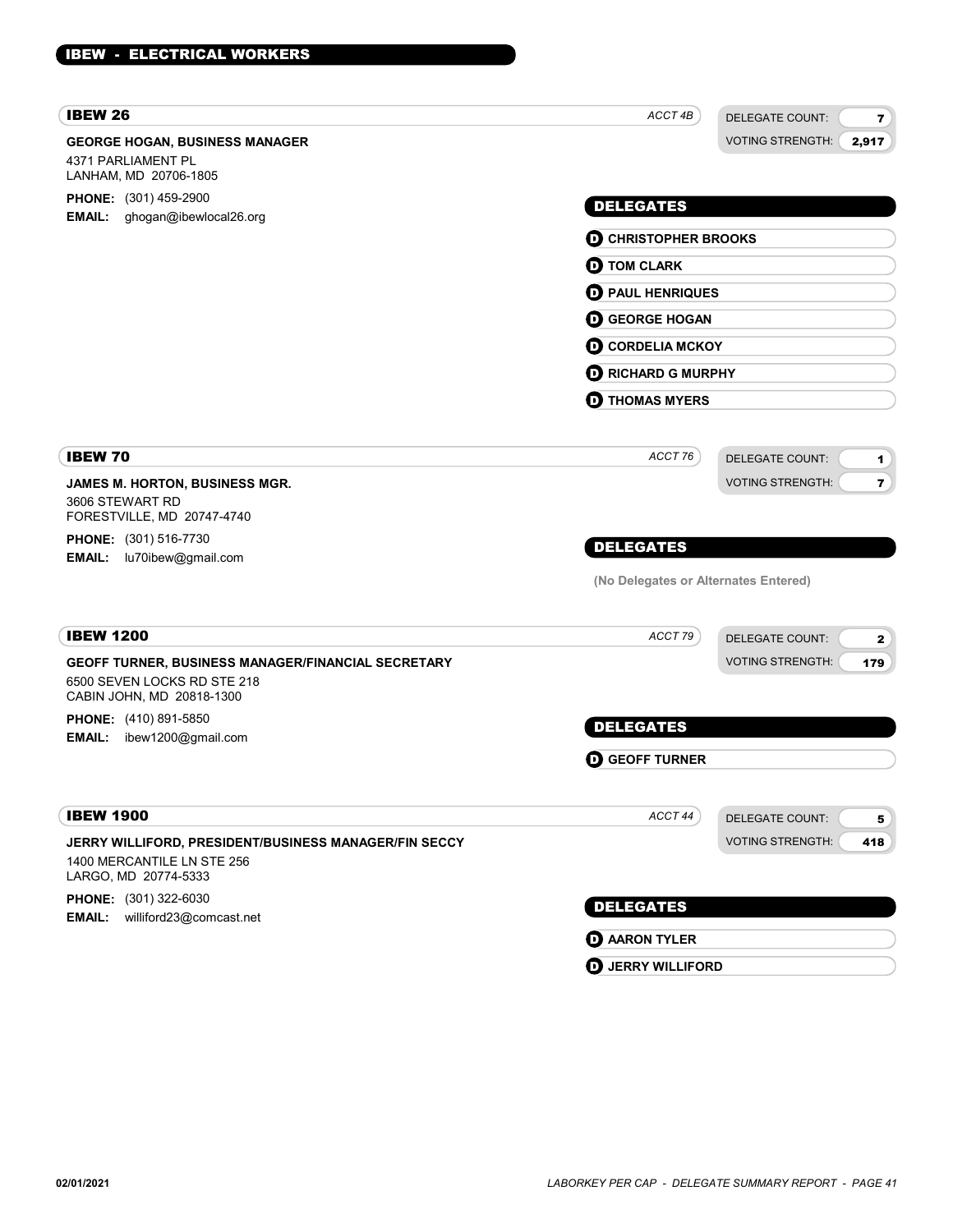| <b>IBEW 26</b>                                                                                                 | ACCT 4B                              | <b>DELEGATE COUNT:</b>  | $\mathbf{7}$   |
|----------------------------------------------------------------------------------------------------------------|--------------------------------------|-------------------------|----------------|
| <b>GEORGE HOGAN, BUSINESS MANAGER</b><br>4371 PARLIAMENT PL<br>LANHAM, MD 20706-1805                           |                                      | <b>VOTING STRENGTH:</b> | 2,917          |
| <b>PHONE:</b> (301) 459-2900<br>ghogan@ibewlocal26.org<br><b>EMAIL:</b>                                        | <b>DELEGATES</b>                     |                         |                |
|                                                                                                                | <b>D</b> CHRISTOPHER BROOKS          |                         |                |
|                                                                                                                | <b>D</b> TOM CLARK                   |                         |                |
|                                                                                                                | <b>D</b> PAUL HENRIQUES              |                         |                |
|                                                                                                                | <b>O</b> GEORGE HOGAN                |                         |                |
|                                                                                                                | <b>O CORDELIA MCKOY</b>              |                         |                |
|                                                                                                                | <b>D</b> RICHARD G MURPHY            |                         |                |
|                                                                                                                | <b>D</b> THOMAS MYERS                |                         |                |
| <b>IBEW 70</b>                                                                                                 | ACCT 76                              | <b>DELEGATE COUNT:</b>  | 1              |
| <b>JAMES M. HORTON, BUSINESS MGR.</b>                                                                          |                                      | <b>VOTING STRENGTH:</b> | $\overline{7}$ |
| 3606 STEWART RD<br>FORESTVILLE, MD 20747-4740                                                                  |                                      |                         |                |
| <b>PHONE:</b> (301) 516-7730                                                                                   | <b>DELEGATES</b>                     |                         |                |
| <b>EMAIL:</b><br>lu70ibew@gmail.com                                                                            | (No Delegates or Alternates Entered) |                         |                |
| <b>IBEW 1200</b>                                                                                               | ACCT 79                              | <b>DELEGATE COUNT:</b>  | $\mathbf{2}$   |
| GEOFF TURNER, BUSINESS MANAGER/FINANCIAL SECRETARY<br>6500 SEVEN LOCKS RD STE 218<br>CABIN JOHN, MD 20818-1300 |                                      | <b>VOTING STRENGTH:</b> | 179            |
| <b>PHONE:</b> (410) 891-5850                                                                                   | <b>DELEGATES</b>                     |                         |                |
| ibew1200@gmail.com<br><b>EMAIL:</b>                                                                            |                                      |                         |                |
|                                                                                                                | <b>GEOFF TURNER</b><br>D             |                         |                |
| <b>IBEW 1900</b>                                                                                               | ACCT 44                              | <b>DELEGATE COUNT:</b>  | 5 <sub>1</sub> |
| JERRY WILLIFORD, PRESIDENT/BUSINESS MANAGER/FIN SECCY<br>1400 MERCANTILE LN STE 256<br>LARGO, MD 20774-5333    |                                      | <b>VOTING STRENGTH:</b> | 418            |
| PHONE: (301) 322-6030                                                                                          | <b>DELEGATES</b>                     |                         |                |
| williford23@comcast.net<br><b>EMAIL:</b>                                                                       |                                      |                         |                |
|                                                                                                                | <b>O</b> AARON TYLER                 |                         |                |

**D** JERRY WILLIFORD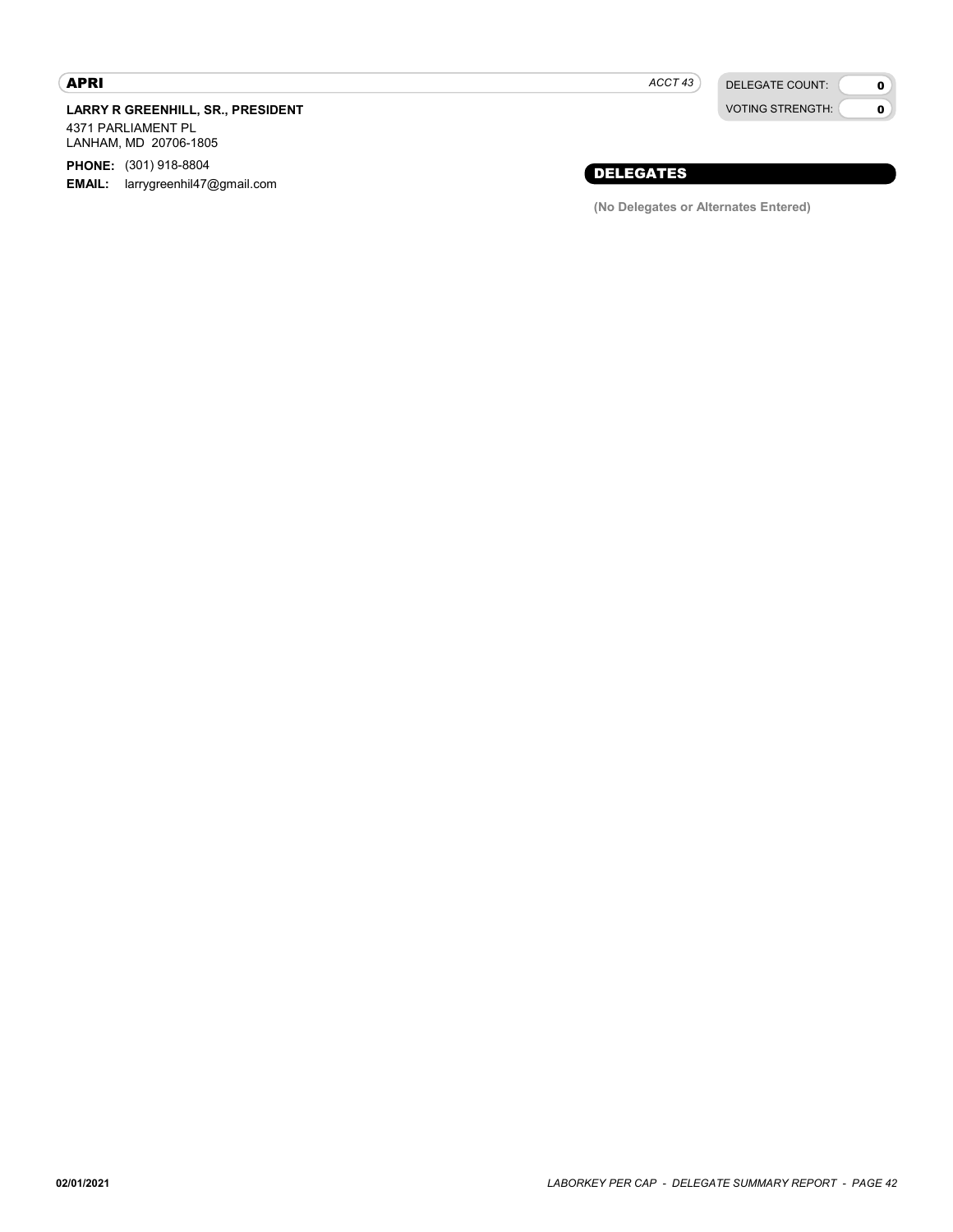### APRI

LARRY R GREENHILL, SR., PRESIDENT

4371 PARLIAMENT PL LANHAM, MD 20706-1805

PHONE: (301) 918-8804

**EMAIL:** larrygreenhil47@gmail.com

 $ACCT 43$ 

DELEGATE COUNT: VOTING STRENGTH:

### 0  $\mathbf{o}$

### DELEGATES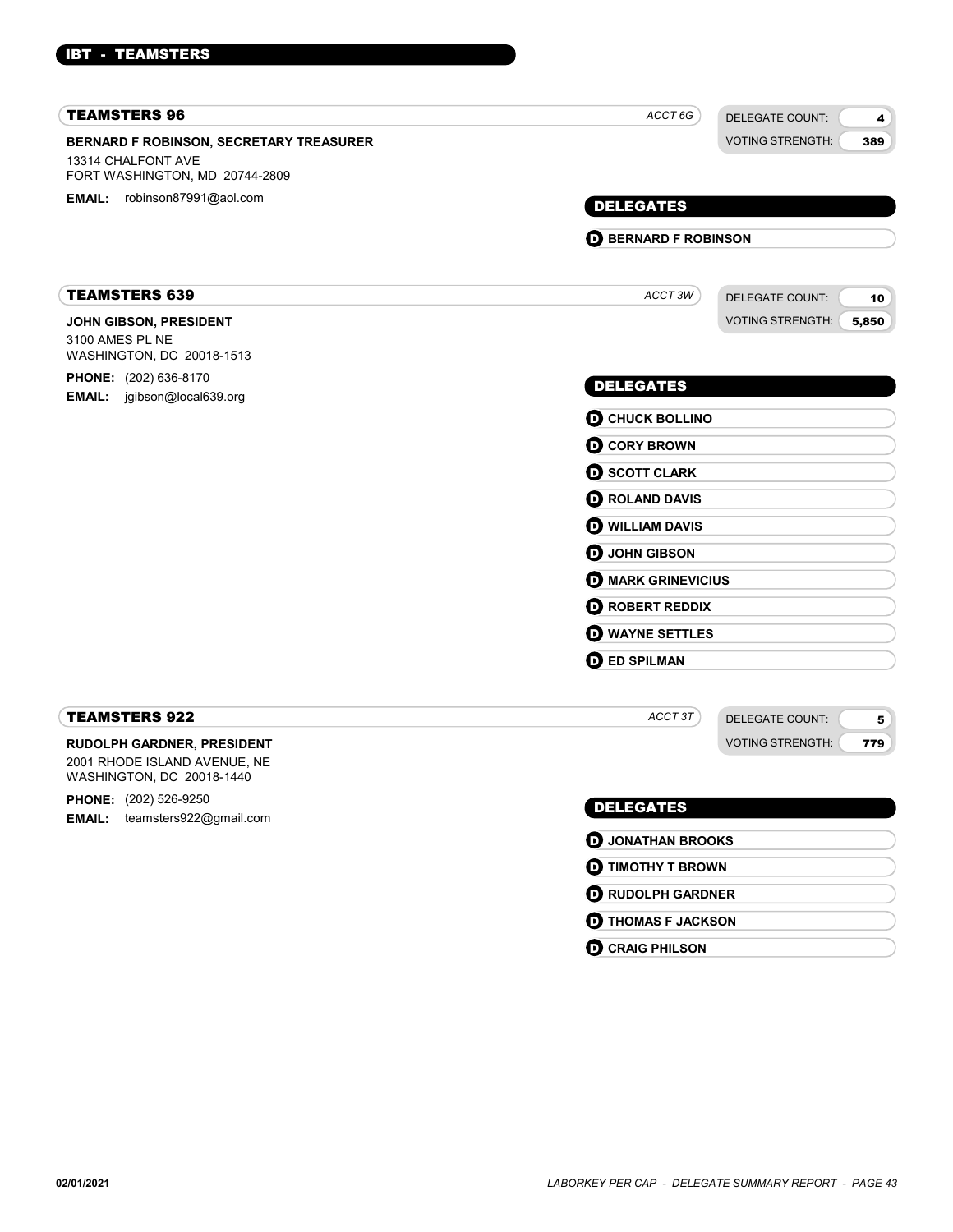### IBT - TEAMSTERS

| <b>TEAMSTERS 96</b>                                                                                    | ACCT 6G                     | <b>DELEGATE COUNT:</b>  | 4     |
|--------------------------------------------------------------------------------------------------------|-----------------------------|-------------------------|-------|
| <b>BERNARD F ROBINSON, SECRETARY TREASURER</b><br>13314 CHALFONT AVE<br>FORT WASHINGTON, MD 20744-2809 |                             | <b>VOTING STRENGTH:</b> | 389   |
| EMAIL: robinson87991@aol.com                                                                           | <b>DELEGATES</b>            |                         |       |
|                                                                                                        | <b>D</b> BERNARD F ROBINSON |                         |       |
|                                                                                                        |                             |                         |       |
| <b>TEAMSTERS 639</b>                                                                                   | ACCT3W                      | <b>DELEGATE COUNT:</b>  | 10    |
| JOHN GIBSON, PRESIDENT<br>3100 AMES PL NE<br>WASHINGTON, DC 20018-1513                                 |                             | <b>VOTING STRENGTH:</b> | 5,850 |
| PHONE: (202) 636-8170<br>EMAIL: jgibson@local639.org                                                   | <b>DELEGATES</b>            |                         |       |
|                                                                                                        | <b>O CHUCK BOLLINO</b>      |                         |       |
|                                                                                                        | <b>O</b> CORY BROWN         |                         |       |
|                                                                                                        | <b>O SCOTT CLARK</b>        |                         |       |
|                                                                                                        | <b>O</b> ROLAND DAVIS       |                         |       |
|                                                                                                        | <b>O WILLIAM DAVIS</b>      |                         |       |
|                                                                                                        | <b>O</b> JOHN GIBSON        |                         |       |
|                                                                                                        | <b>D</b> MARK GRINEVICIUS   |                         |       |
|                                                                                                        | <b>O</b> ROBERT REDDIX      |                         |       |
|                                                                                                        | <b>O</b> WAYNE SETTLES      |                         |       |
|                                                                                                        | <b>O</b> ED SPILMAN         |                         |       |
| <b>TEAMSTERS 922</b>                                                                                   | ACCT3T                      | <b>DELEGATE COUNT:</b>  | 5     |
| <b>RUDOLPH GARDNER, PRESIDENT</b><br>2001 RHODE ISLAND AVENUE, NE<br>WASHINGTON, DC 20018-1440         |                             | <b>VOTING STRENGTH:</b> | 779   |
| <b>PHONE:</b> (202) 526-9250                                                                           | <b>DELEGATES</b>            |                         |       |
| teamsters922@gmail.com<br><b>EMAIL:</b>                                                                | <b>D</b> JONATHAN BROOKS    |                         |       |
|                                                                                                        | <b>O TIMOTHY T BROWN</b>    |                         |       |

**D** RUDOLPH GARDNER **O** THOMAS F JACKSON

**O** CRAIG PHILSON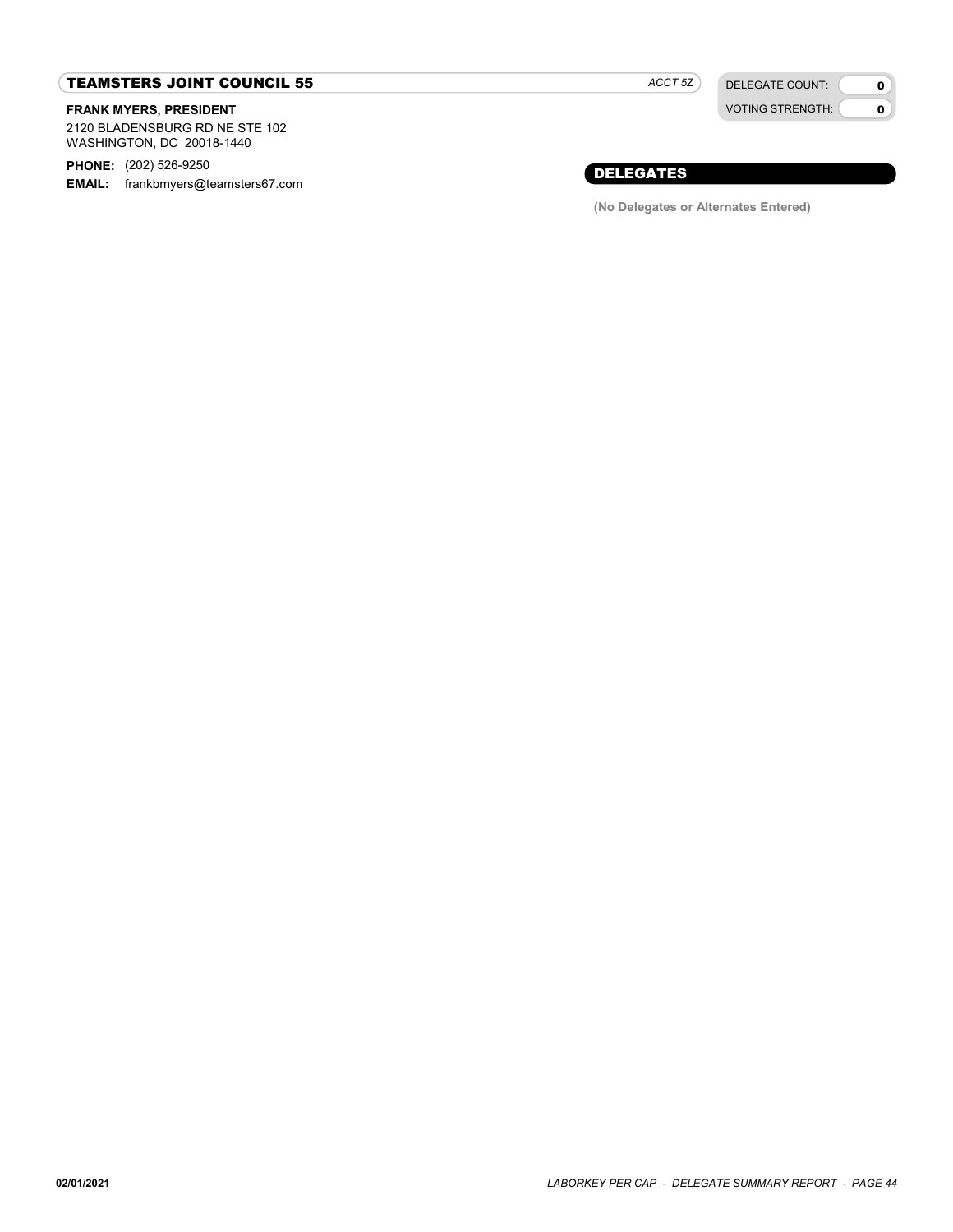### TEAMSTERS JOINT COUNCIL 55

#### FRANK MYERS, PRESIDENT

2120 BLADENSBURG RD NE STE 102 WASHINGTON, DC 20018-1440

PHONE: (202) 526-9250

EMAIL: frankbmyers@teamsters67.com

ACCT 5Z

DELEGATE COUNT: VOTING STRENGTH:

 $\mathbf{0}$  $\bullet$ 

### DELEGATES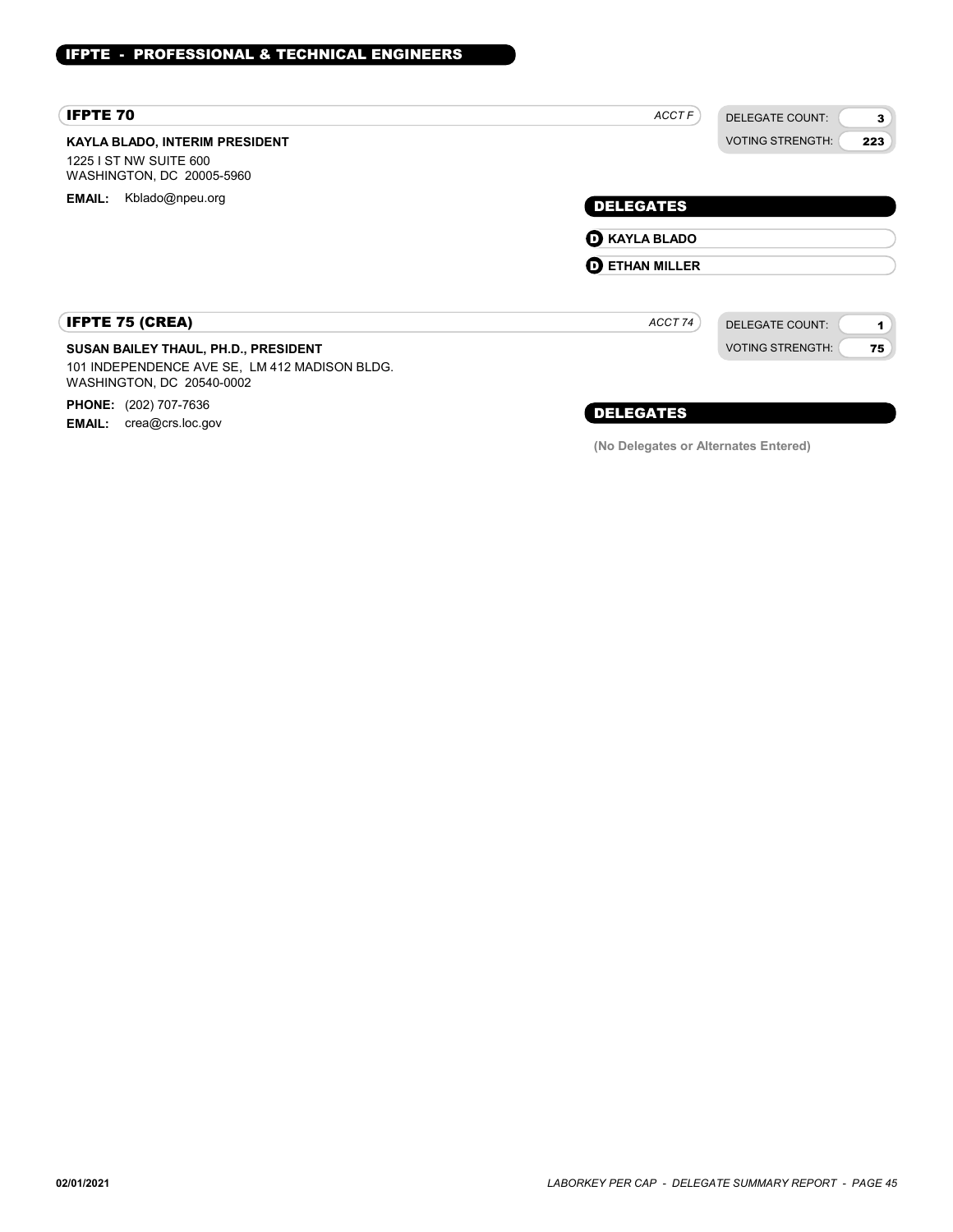| <b>IFPTE 70</b>                                                                                                    | ACCT F                                   | <b>DELEGATE COUNT:</b><br>3                    |
|--------------------------------------------------------------------------------------------------------------------|------------------------------------------|------------------------------------------------|
| <b>KAYLA BLADO, INTERIM PRESIDENT</b><br>1225 I ST NW SUITE 600<br>WASHINGTON, DC 20005-5960                       |                                          | <b>VOTING STRENGTH:</b><br>223                 |
| Kblado@npeu.org<br><b>EMAIL:</b>                                                                                   | <b>DELEGATES</b><br><b>O KAYLA BLADO</b> |                                                |
|                                                                                                                    | <b>O ETHAN MILLER</b>                    |                                                |
| <b>IFPTE 75 (CREA)</b>                                                                                             | ACCT 74                                  | <b>DELEGATE COUNT:</b><br>$\blacktriangleleft$ |
| SUSAN BAILEY THAUL, PH.D., PRESIDENT<br>101 INDEPENDENCE AVE SE, LM 412 MADISON BLDG.<br>WASHINGTON, DC 20540-0002 |                                          | <b>VOTING STRENGTH:</b><br>75                  |

PHONE: (202) 707-7636

**EMAIL:** crea@crs.loc.gov

### DELEGATES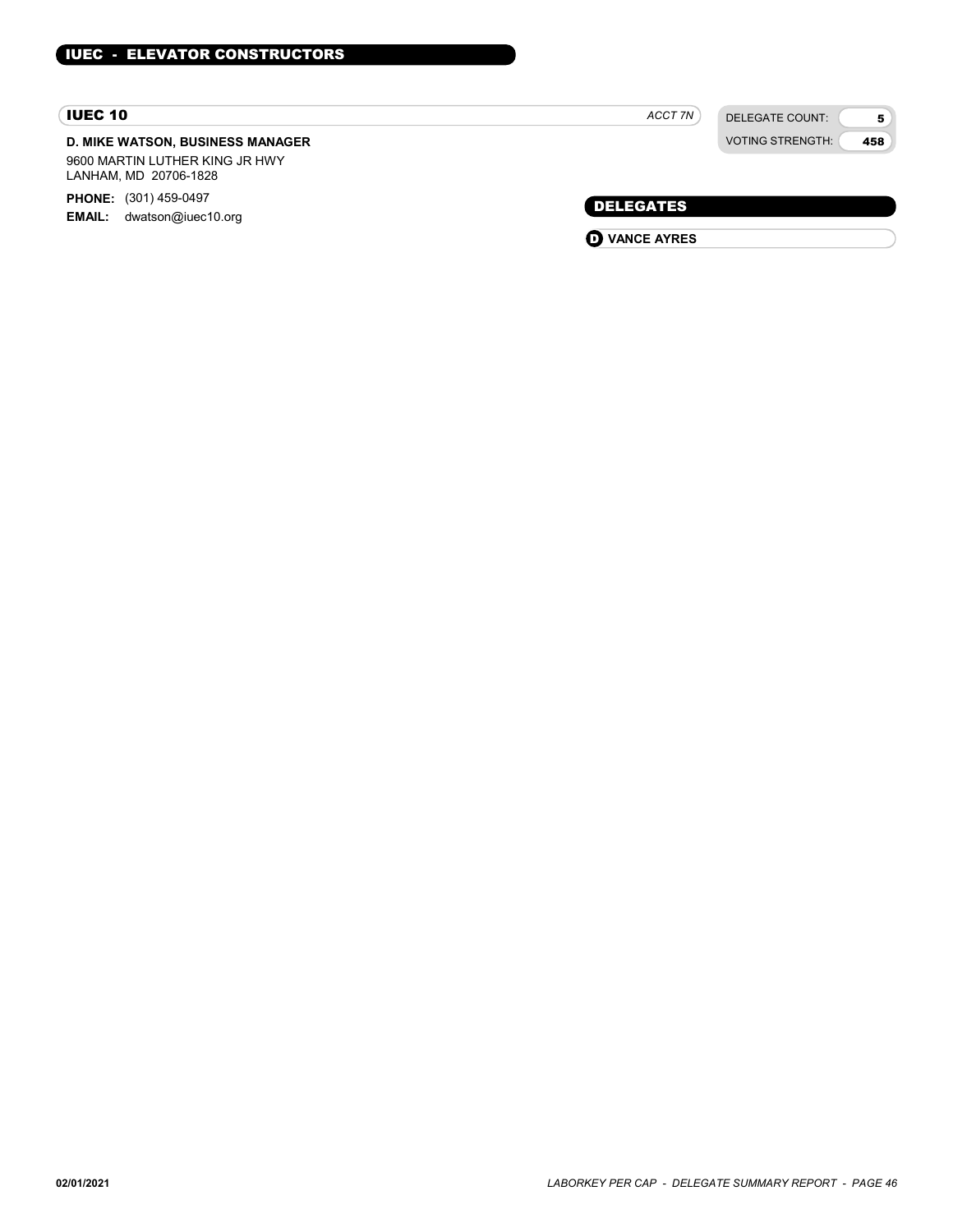### IUEC 10

### D. MIKE WATSON, BUSINESS MANAGER

9600 MARTIN LUTHER KING JR HWY LANHAM, MD 20706-1828

PHONE: (301) 459-0497 EMAIL: dwatson@iuec10.org DELEGATES

ACCT 7N

DELEGATE COUNT: VOTING STRENGTH:

5 458

**O** VANCE AYRES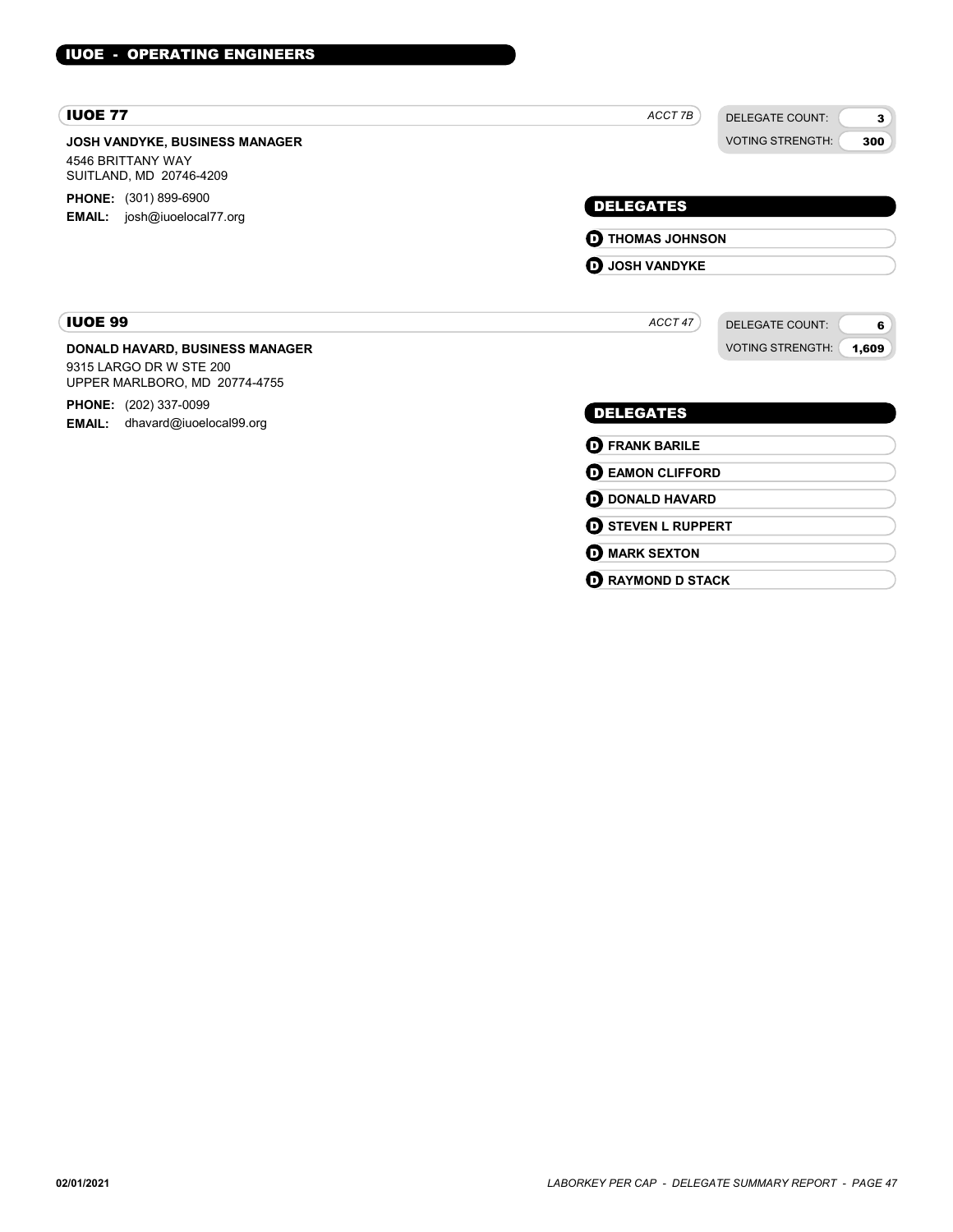| <b>IUOE 77</b>                                                                        | ACCT 7B<br><b>DELEGATE COUNT:</b> |  |
|---------------------------------------------------------------------------------------|-----------------------------------|--|
| <b>JOSH VANDYKE, BUSINESS MANAGER</b><br>4546 BRITTANY WAY<br>SUITLAND, MD 20746-4209 | <b>VOTING STRENGTH:</b><br>300    |  |
| <b>PHONE:</b> (301) 899-6900                                                          | <b>DELEGATES</b>                  |  |
| <b>EMAIL:</b> josh@iuoelocal77.org                                                    | <b>D</b> THOMAS JOHNSON           |  |
|                                                                                       | <b>D</b> JOSH VANDYKE             |  |
| <b>IUOE 99</b>                                                                        | ACCT47<br><b>DELEGATE COUNT:</b>  |  |
| <b>DONALD HAVARD, BUSINESS MANAGER</b>                                                | <b>VOTING STRENGTH:</b><br>1,609  |  |
| 9315 LARGO DR W STE 200<br>UPPER MARLBORO, MD 20774-4755                              |                                   |  |
| <b>PHONE:</b> (202) 337-0099<br>dhavard@iuoelocal99.org<br><b>EMAIL:</b>              | <b>DELEGATES</b>                  |  |
|                                                                                       | <b>D</b> FRANK BARILE             |  |
|                                                                                       | <b>DEAMON CLIFFORD</b>            |  |
|                                                                                       | <b>O DONALD HAVARD</b>            |  |
|                                                                                       | <b>O STEVEN L RUPPERT</b>         |  |
|                                                                                       | <b>O MARK SEXTON</b>              |  |
|                                                                                       | <b>D</b> RAYMOND D STACK          |  |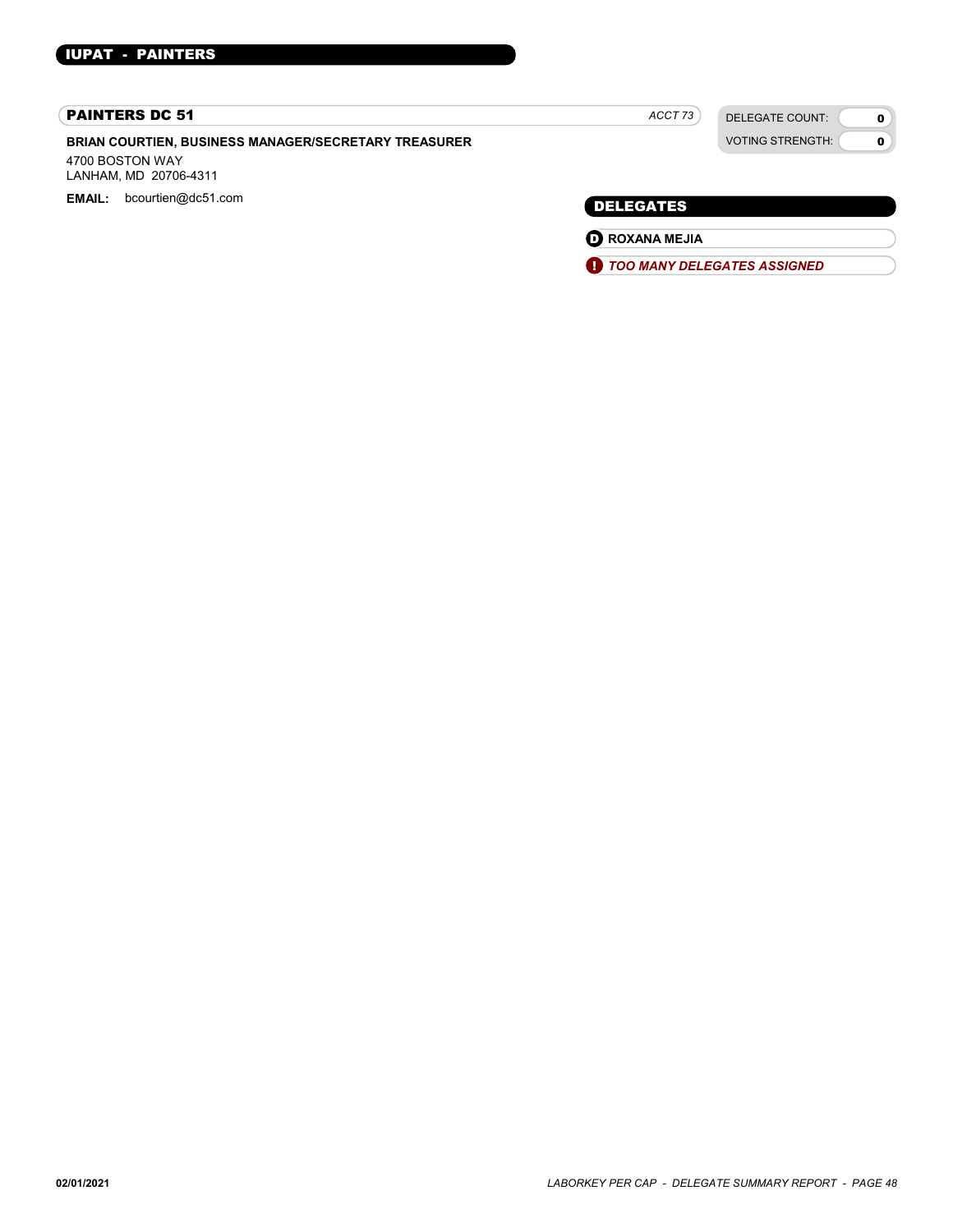#### PAINTERS DC 51

BRIAN COURTIEN, BUSINESS MANAGER/SECRETARY TREASURER

4700 BOSTON WAY LANHAM, MD 20706-4311

EMAIL: bcourtien@dc51.com example and the control of the control of the control of the DELEGATES

ACCT<sub>73</sub>

DELEGATE COUNT: VOTING STRENGTH:

 $\mathbf{0}$  $\mathbf{o}$ 

**O** ROXANA MEJIA

**1** TOO MANY DELEGATES ASSIGNED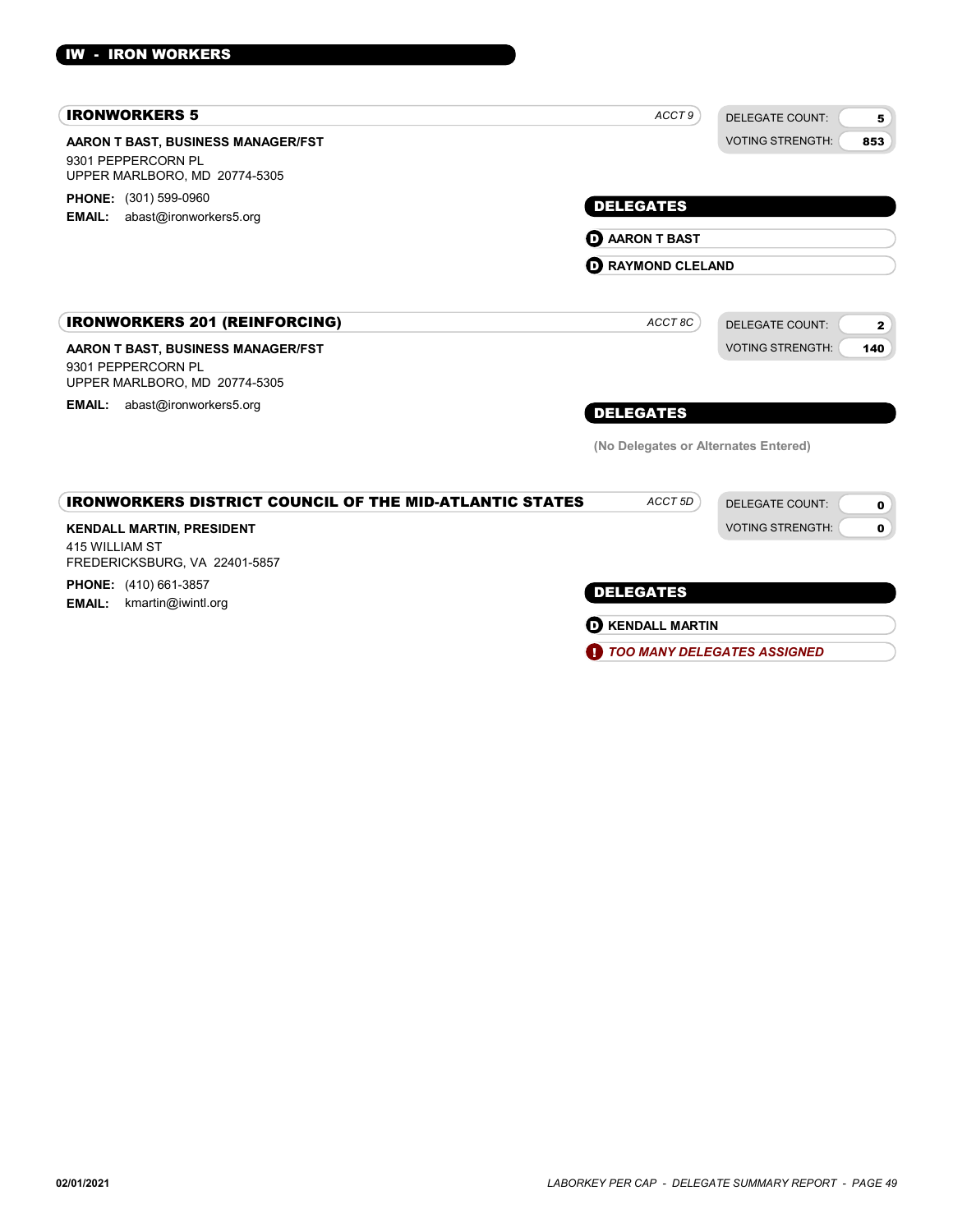| <b>IRONWORKERS 5</b>                                                                                               | ACCT 9                                    | <b>DELEGATE COUNT:</b><br>5            |
|--------------------------------------------------------------------------------------------------------------------|-------------------------------------------|----------------------------------------|
| AARON T BAST, BUSINESS MANAGER/FST<br>9301 PEPPERCORN PL<br>UPPER MARLBORO, MD 20774-5305<br>PHONE: (301) 599-0960 |                                           | <b>VOTING STRENGTH:</b><br>853         |
| abast@ironworkers5.org<br><b>EMAIL:</b>                                                                            | <b>DELEGATES</b><br><b>D</b> AARON T BAST |                                        |
|                                                                                                                    | <b>RAYMOND CLELAND</b><br>O               |                                        |
| <b>IRONWORKERS 201 (REINFORCING)</b>                                                                               | ACCT 8C                                   | <b>DELEGATE COUNT:</b><br>$\mathbf{2}$ |
| AARON T BAST, BUSINESS MANAGER/FST<br>9301 PEPPERCORN PL<br>UPPER MARLBORO, MD 20774-5305                          |                                           | <b>VOTING STRENGTH:</b><br>140         |
| abast@ironworkers5.org<br><b>EMAIL:</b>                                                                            | <b>DELEGATES</b>                          |                                        |
|                                                                                                                    | (No Delegates or Alternates Entered)      |                                        |
| <b>IRONWORKERS DISTRICT COUNCIL OF THE MID-ATLANTIC STATES</b>                                                     | ACCT <sub>5D</sub>                        | <b>DELEGATE COUNT:</b><br>$\mathbf 0$  |
| <b>KENDALL MARTIN, PRESIDENT</b><br>415 WILLIAM ST<br>FREDERICKSBURG, VA 22401-5857                                |                                           | <b>VOTING STRENGTH:</b><br>0           |
| PHONE: (410) 661-3857<br><b>EMAIL:</b><br>kmartin@iwintl.org                                                       | <b>DELEGATES</b>                          |                                        |
|                                                                                                                    | <b>D</b> KENDALL MARTIN                   |                                        |
|                                                                                                                    | H)                                        | <b>TOO MANY DELEGATES ASSIGNED</b>     |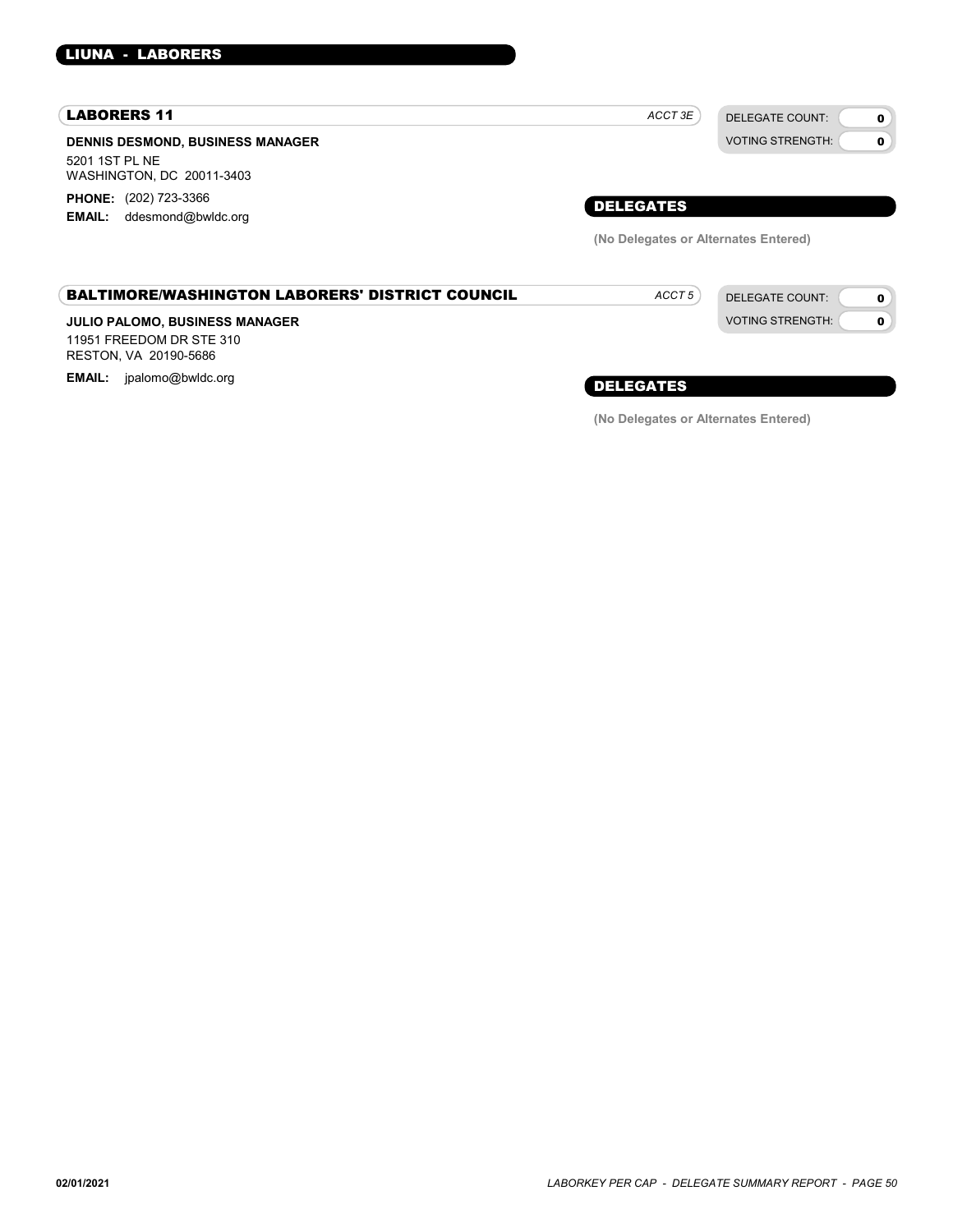### LIUNA - LABORERS

#### LABORERS 11

DENNIS DESMOND, BUSINESS MANAGER 5201 1ST PL NE WASHINGTON, DC 20011-3403 PHONE: (202) 723-3366

EMAIL: ddesmond@bwldc.org

| DELEGATES |  |
|-----------|--|

 $ACCT 3E$ 

(No Delegates or Alternates Entered)

ACCT<sub>5</sub>

DELEGATE COUNT: VOTING STRENGTH:

DELEGATE COUNT: VOTING STRENGTH: 0  $\Omega$ 

 $\mathbf{o}$ 0

#### BALTIMORE/WASHINGTON LABORERS' DISTRICT COUNCIL

### JULIO PALOMO, BUSINESS MANAGER

11951 FREEDOM DR STE 310 RESTON, VA 20190-5686

EMAIL: jpalomo@bwldc.org **EMAIL: include the energy of the energy of the energy of the energy of the energy of the energy of the energy of**  $\bf \emph{DELEGATES}$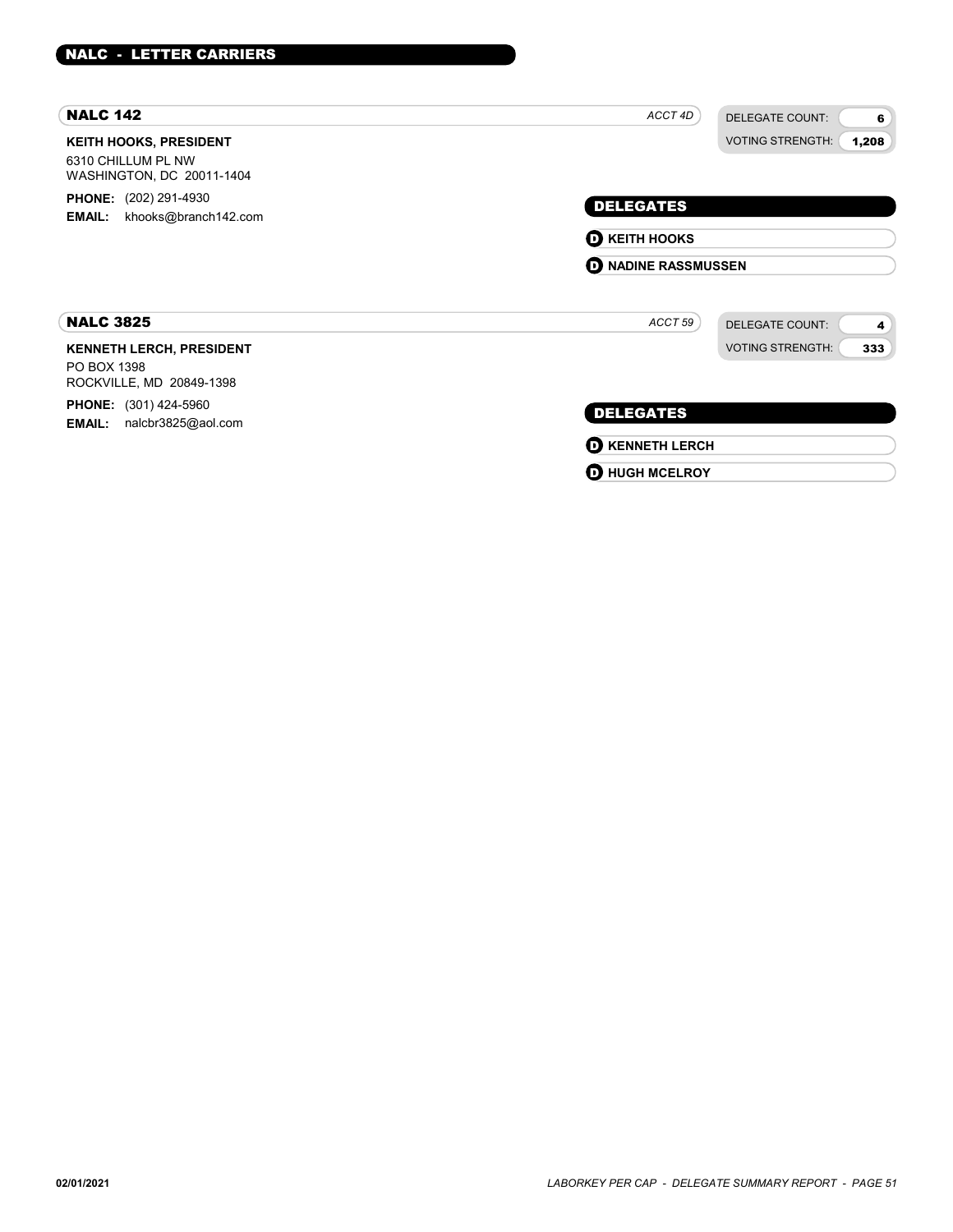| <b>NALC 142</b>                                                                  | ACCT 4D<br><b>DELEGATE COUNT:</b><br>6 |
|----------------------------------------------------------------------------------|----------------------------------------|
| <b>KEITH HOOKS, PRESIDENT</b><br>6310 CHILLUM PL NW<br>WASHINGTON, DC 20011-1404 | <b>VOTING STRENGTH:</b><br>1,208       |
| <b>PHONE:</b> (202) 291-4930                                                     | <b>DELEGATES</b>                       |
| khooks@branch142.com<br><b>EMAIL:</b>                                            | <b>O KEITH HOOKS</b>                   |
|                                                                                  | <b>D</b> NADINE RASSMUSSEN             |
| <b>NALC 3825</b>                                                                 | ACCT 59<br><b>DELEGATE COUNT:</b><br>4 |
| <b>KENNETH LERCH, PRESIDENT</b><br>PO BOX 1398<br>ROCKVILLE, MD 20849-1398       | <b>VOTING STRENGTH:</b><br>333         |
| <b>PHONE:</b> (301) 424-5960<br>nalcbr3825@aol.com<br><b>EMAIL:</b>              | <b>DELEGATES</b>                       |
|                                                                                  | <b>O KENNETH LERCH</b>                 |
|                                                                                  | <b>D</b> HUGH MCELROY                  |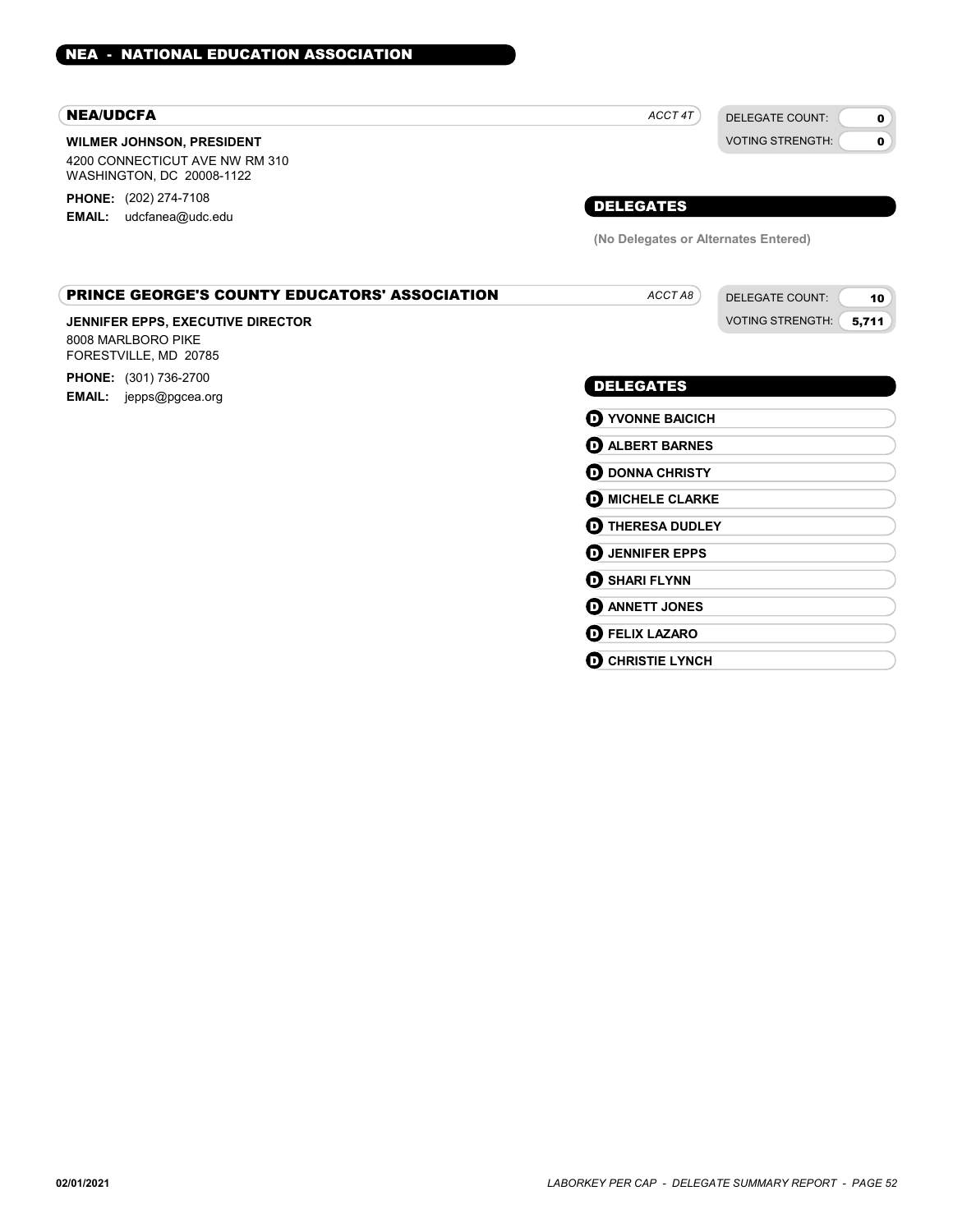#### NEA/UDCFA

#### WILMER JOHNSON, PRESIDENT

4200 CONNECTICUT AVE NW RM 310 WASHINGTON, DC 20008-1122

PHONE: (202) 274-7108 EMAIL: udcfanea@udc.edu

 $ACCTAB$ 

DELEGATE COUNT: VOTING STRENGTH:

DELEGATE COUNT: VOTING STRENGTH: 0  $\Omega$ 

10 5,711

### DELEGATES

(No Delegates or Alternates Entered)

#### PRINCE GEORGE'S COUNTY EDUCATORS' ASSOCIATION

#### JENNIFER EPPS, EXECUTIVE DIRECTOR

8008 MARLBORO PIKE FORESTVILLE, MD 20785 PHONE: (301) 736-2700 EMAIL: jepps@pgcea.org

### DELEGATES

**D** YVONNE BAICICH **O** ALBERT BARNES **D** DONNA CHRISTY **O** MICHELE CLARKE **D** THERESA DUDLEY **D** JENNIFER EPPS **D** SHARI FLYNN **D** ANNETT JONES **D** FELIX LAZARO **O CHRISTIE LYNCH**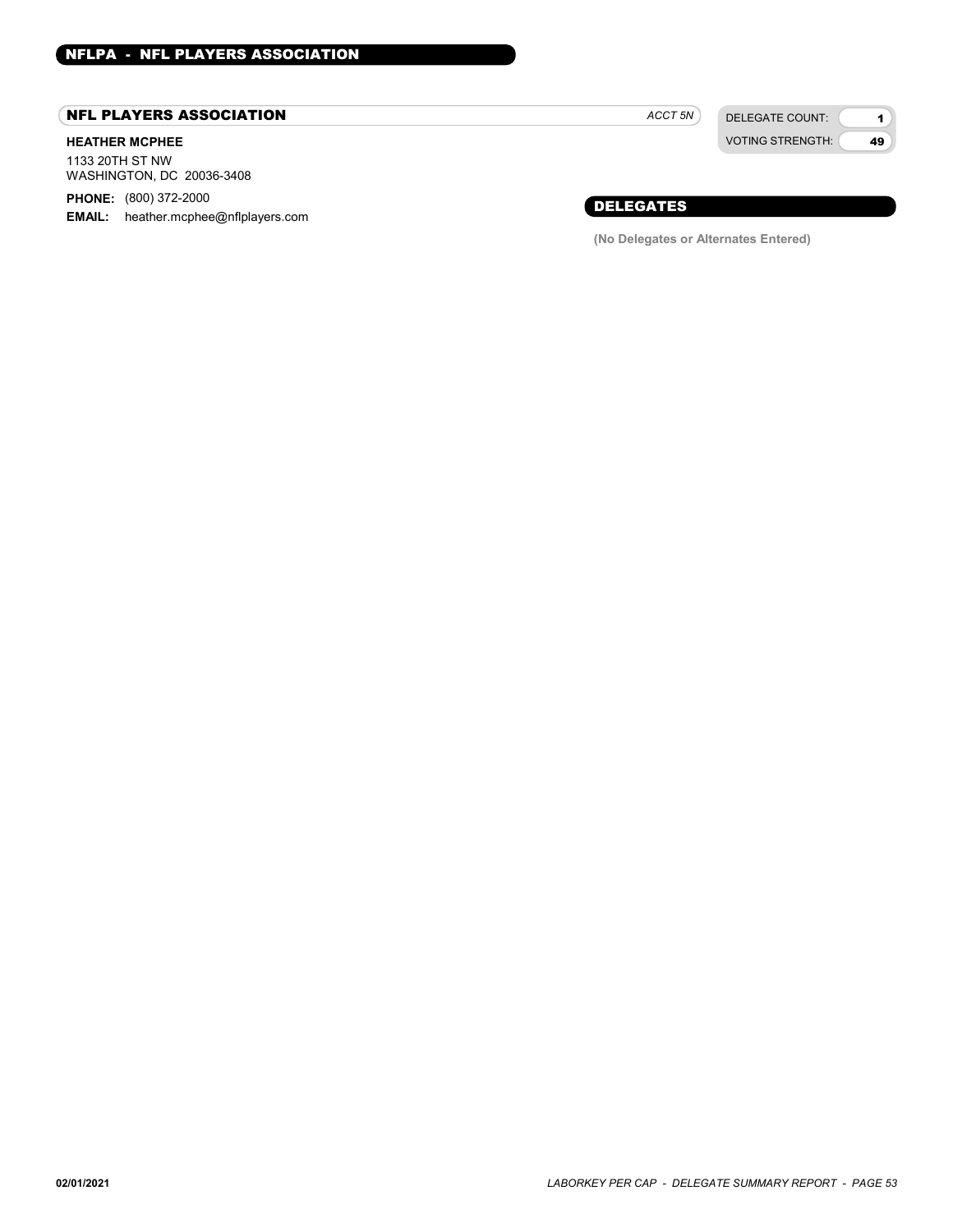### NFL PLAYERS ASSOCIATION

### HEATHER MCPHEE

1133 20TH ST NW WASHINGTON, DC 20036-3408

PHONE: (800) 372-2000

**EMAIL:** heather.mcphee@nflplayers.com

DELEGATE COUNT: ACCT<sub>5N</sub>

VOTING STRENGTH:

1 49

DELEGATES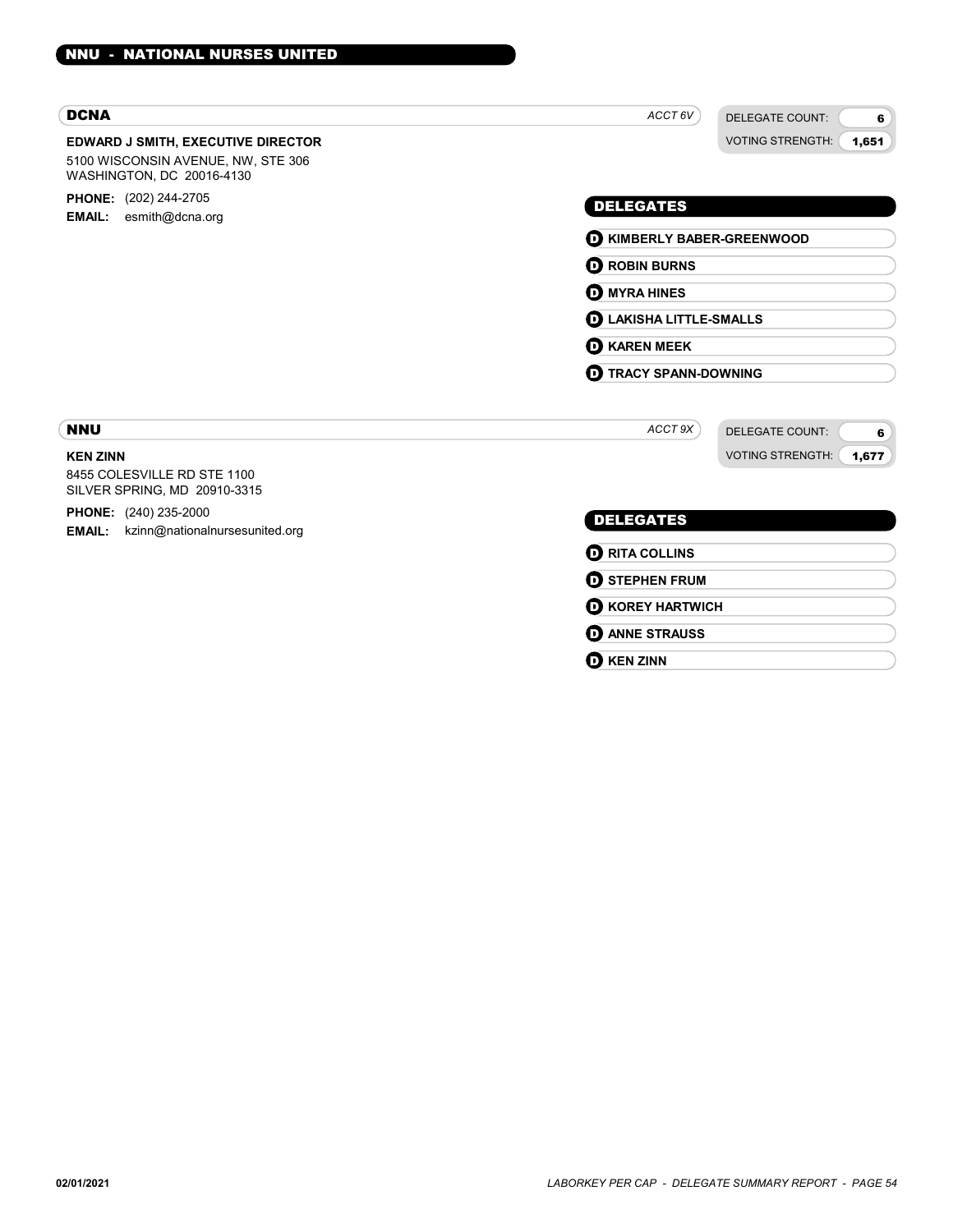| <b>DCNA</b>                                                                                                  | ACCT 6V<br><b>DELEGATE COUNT:</b><br>6                                       |                                  |                                 |                                        |  |
|--------------------------------------------------------------------------------------------------------------|------------------------------------------------------------------------------|----------------------------------|---------------------------------|----------------------------------------|--|
| <b>EDWARD J SMITH, EXECUTIVE DIRECTOR</b><br>5100 WISCONSIN AVENUE, NW, STE 306<br>WASHINGTON, DC 20016-4130 | <b>VOTING STRENGTH:</b><br>1,651                                             |                                  |                                 |                                        |  |
| <b>PHONE:</b> (202) 244-2705<br>esmith@dcna.org<br><b>EMAIL:</b>                                             | <b>DELEGATES</b>                                                             |                                  |                                 |                                        |  |
|                                                                                                              | <b>D</b> KIMBERLY BABER-GREENWOOD                                            |                                  |                                 |                                        |  |
|                                                                                                              | <b>O ROBIN BURNS</b>                                                         |                                  |                                 |                                        |  |
|                                                                                                              | <b>D</b> MYRA HINES<br><b>D</b> LAKISHA LITTLE-SMALLS<br><b>D</b> KAREN MEEK |                                  |                                 |                                        |  |
|                                                                                                              |                                                                              |                                  | <b>TRACY SPANN-DOWNING</b><br>o |                                        |  |
|                                                                                                              |                                                                              |                                  | <b>NNU</b>                      | ACCT 9X<br><b>DELEGATE COUNT:</b><br>6 |  |
|                                                                                                              | <b>KEN ZINN</b>                                                              | <b>VOTING STRENGTH:</b><br>1,677 |                                 |                                        |  |
| 8455 COLESVILLE RD STE 1100<br>SILVER SPRING, MD 20910-3315                                                  |                                                                              |                                  |                                 |                                        |  |
| PHONE: (240) 235-2000<br><b>EMAIL:</b><br>kzinn@nationalnursesunited.org                                     | <b>DELEGATES</b>                                                             |                                  |                                 |                                        |  |

| $\mathbf 0$ RITA COLLINS   |  |
|----------------------------|--|
| $\mathbf 0$ stephen frum   |  |
| $\mathbf D$ KOREY HARTWICH |  |
| <b>D</b> ANNE STRAUSS      |  |
| $\mathbf 0$ KEN ZINN       |  |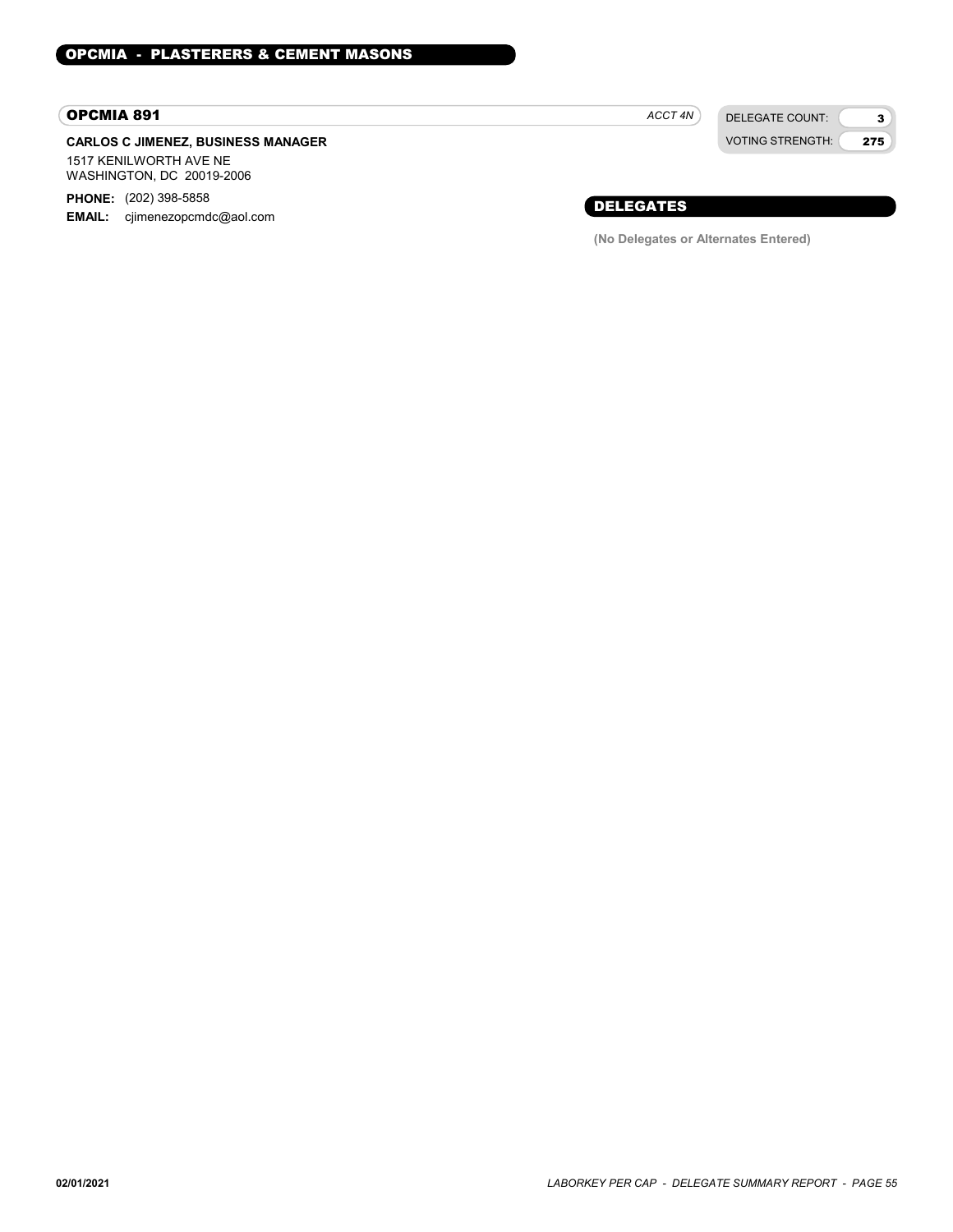### OPCMIA 891

### CARLOS C JIMENEZ, BUSINESS MANAGER 1517 KENILWORTH AVE NE

WASHINGTON, DC 20019-2006

PHONE: (202) 398-5858 EMAIL: cjimenezopcmdc@aol.com ACCT 4N

DELEGATE COUNT: VOTING STRENGTH:

3 275

### DELEGATES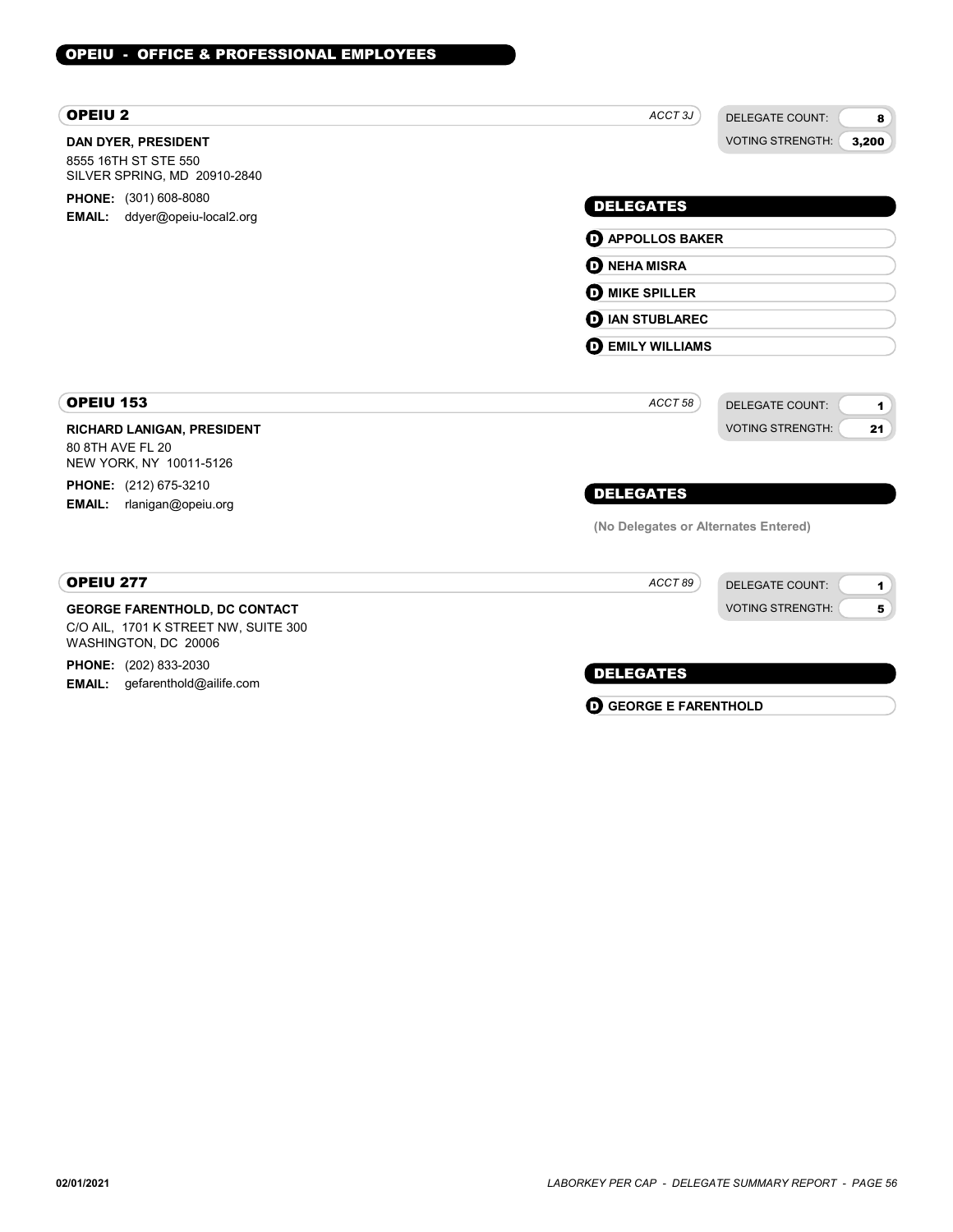| <b>OPEIU2</b>                                                                                        | ACCT <sub>3J</sub><br><b>DELEGATE COUNT:</b><br>8 |
|------------------------------------------------------------------------------------------------------|---------------------------------------------------|
| <b>DAN DYER, PRESIDENT</b><br>8555 16TH ST STE 550<br>SILVER SPRING, MD 20910-2840                   | <b>VOTING STRENGTH:</b><br>3,200                  |
| <b>PHONE:</b> (301) 608-8080                                                                         | <b>DELEGATES</b>                                  |
| ddyer@opeiu-local2.org<br><b>EMAIL:</b>                                                              | <b>D</b> APPOLLOS BAKER                           |
|                                                                                                      | <b>D</b> NEHA MISRA                               |
|                                                                                                      | <b>D</b> MIKE SPILLER                             |
|                                                                                                      | <b>D</b> IAN STUBLAREC                            |
|                                                                                                      | <b>DEMILY WILLIAMS</b>                            |
| OPEIU 153                                                                                            | ACCT 58<br><b>DELEGATE COUNT:</b><br>1            |
| <b>RICHARD LANIGAN, PRESIDENT</b><br>80 8TH AVE FL 20<br>NEW YORK, NY 10011-5126                     | <b>VOTING STRENGTH:</b><br>21                     |
| <b>PHONE:</b> (212) 675-3210                                                                         | <b>DELEGATES</b>                                  |
| rlanigan@opeiu.org<br><b>EMAIL:</b>                                                                  | (No Delegates or Alternates Entered)              |
| OPEIU 277                                                                                            | ACCT89<br><b>DELEGATE COUNT:</b><br>1             |
| <b>GEORGE FARENTHOLD, DC CONTACT</b><br>C/O AIL, 1701 K STREET NW, SUITE 300<br>WASHINGTON, DC 20006 | <b>VOTING STRENGTH:</b><br>5                      |
| <b>PHONE:</b> (202) 833-2030                                                                         | <b>DELEGATES</b>                                  |
| <b>EMAIL:</b><br>gefarenthold@ailife.com                                                             | <b>GEORGE E FARENTHOLD</b><br>O                   |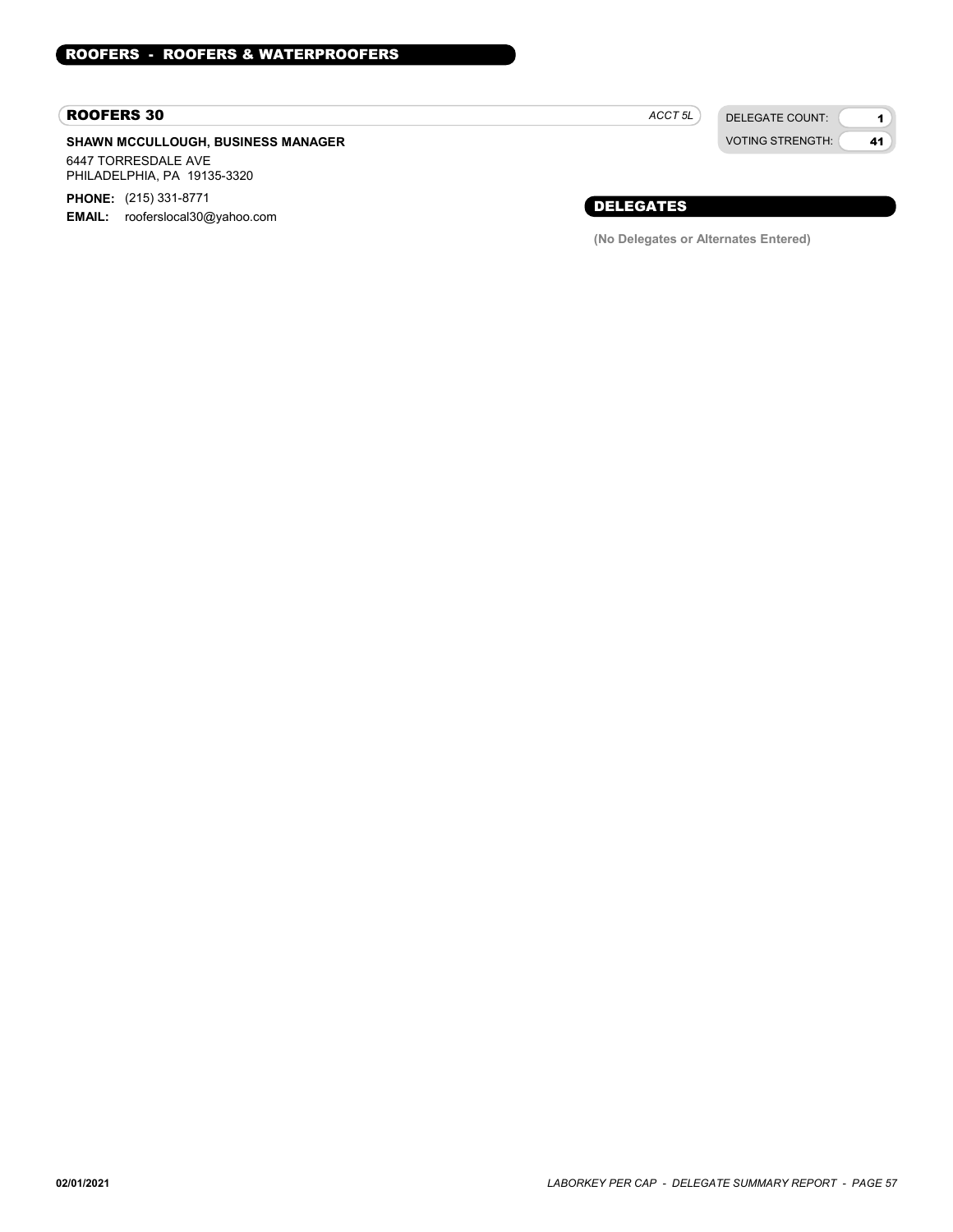#### ROOFERS 30

### SHAWN MCCULLOUGH, BUSINESS MANAGER 6447 TORRESDALE AVE

PHILADELPHIA, PA 19135-3320 PHONE: (215) 331-8771

EMAIL: rooferslocal30@yahoo.com

ACCT<sub>5L</sub>

DELEGATE COUNT: VOTING STRENGTH:

1 41

### DELEGATES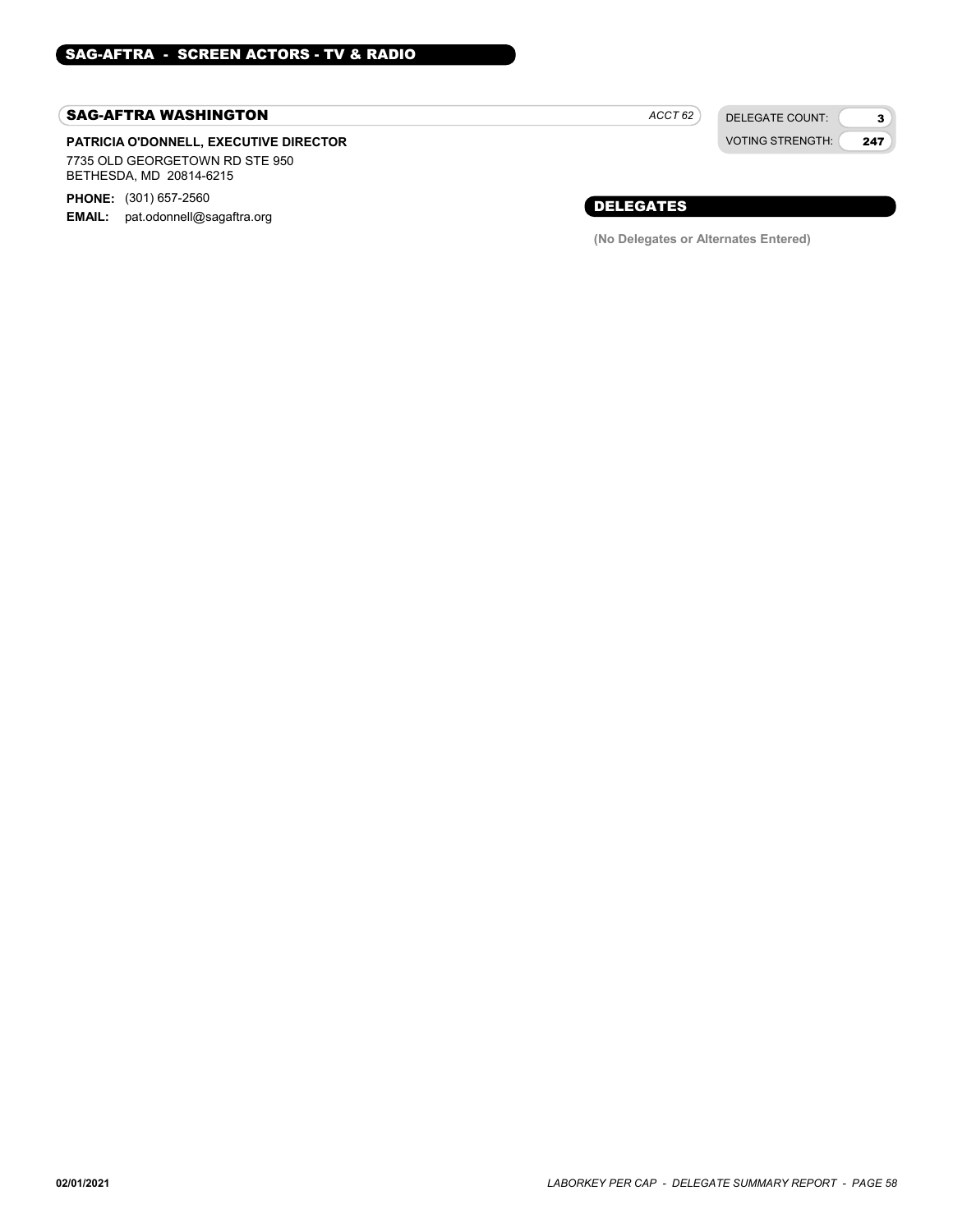### SAG-AFTRA WASHINGTON

### PATRICIA O'DONNELL, EXECUTIVE DIRECTOR 7735 OLD GEORGETOWN RD STE 950 BETHESDA, MD 20814-6215

**PHONE:** (301) 657-2560

EMAIL: pat.odonnell@sagaftra.org

 $ACCT 62$ 

DELEGATE COUNT: VOTING STRENGTH:

3 247

### DELEGATES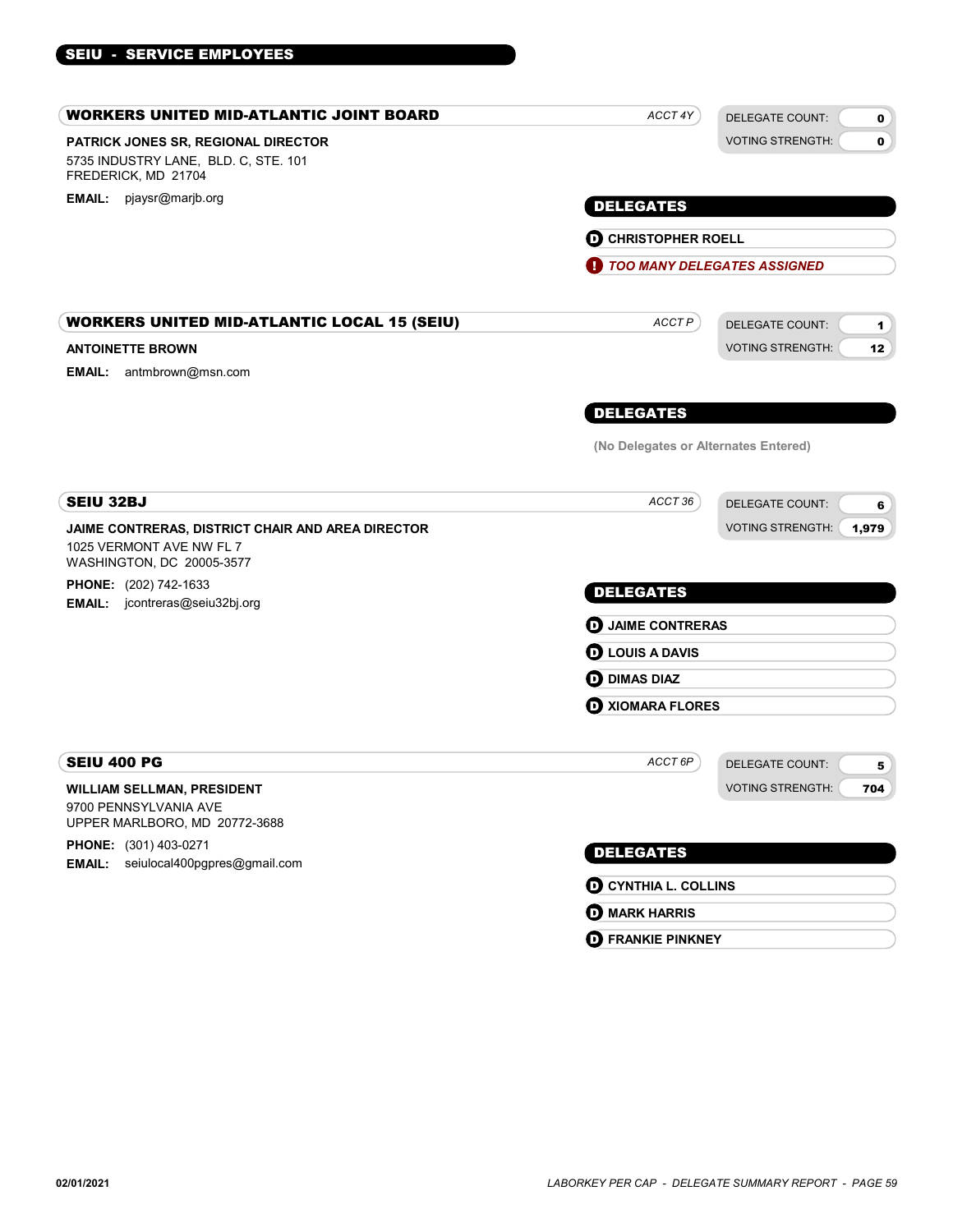### PATRICK JONES SR, REGIONAL DIRECTOR WORKERS UNITED MID-ATLANTIC JOINT BOARD 5735 INDUSTRY LANE, BLD. C, STE. 101 FREDERICK, MD 21704 DELEGATE COUNT: VOTING STRENGTH: 0  $\mathbf{0}$ EMAIL: pjaysr@marjb.org **EMAIL: pjaysr@marjb.org** ACCT 4Y **D** CHRISTOPHER ROELL **1** TOO MANY DELEGATES ASSIGNED ANTOINETTE BROWN WORKERS UNITED MID-ATLANTIC LOCAL 15 (SEIU) ACCTP ACCTP DELEGATE COUNT: VOTING STRENGTH: 1 12 DELEGATES EMAIL: antmbrown@msn.com ACCT<sub>P</sub> (No Delegates or Alternates Entered) JAIME CONTRERAS, DISTRICT CHAIR AND AREA DIRECTOR SEIU 32BJ 1025 VERMONT AVE NW FL 7 WASHINGTON, DC 20005-3577 **PHONE:** (202) 742-1633 EMAIL: jcontreras@seiu32bj.org DELEGATE COUNT: VOTING STRENGTH: 6 1,979 DELEGATES  $ACCT 36$ **D** JAIME CONTRERAS **D** LOUIS A DAVIS **D** DIMAS DIAZ **D** XIOMARA FLORES WILLIAM SELLMAN, PRESIDENT SEIU 400 PG 9700 PENNSYLVANIA AVE UPPER MARLBORO, MD 20772-3688 PHONE: (301) 403-0271 **EMAIL:** seiulocal400pgpres@gmail.com DELEGATE COUNT: VOTING STRENGTH: 5 704 DELEGATES ACCT 6P **D** CYNTHIA L. COLLINS **D** MARK HARRIS

**D** FRANKIE PINKNEY

SEIU - SERVICE EMPLOYEES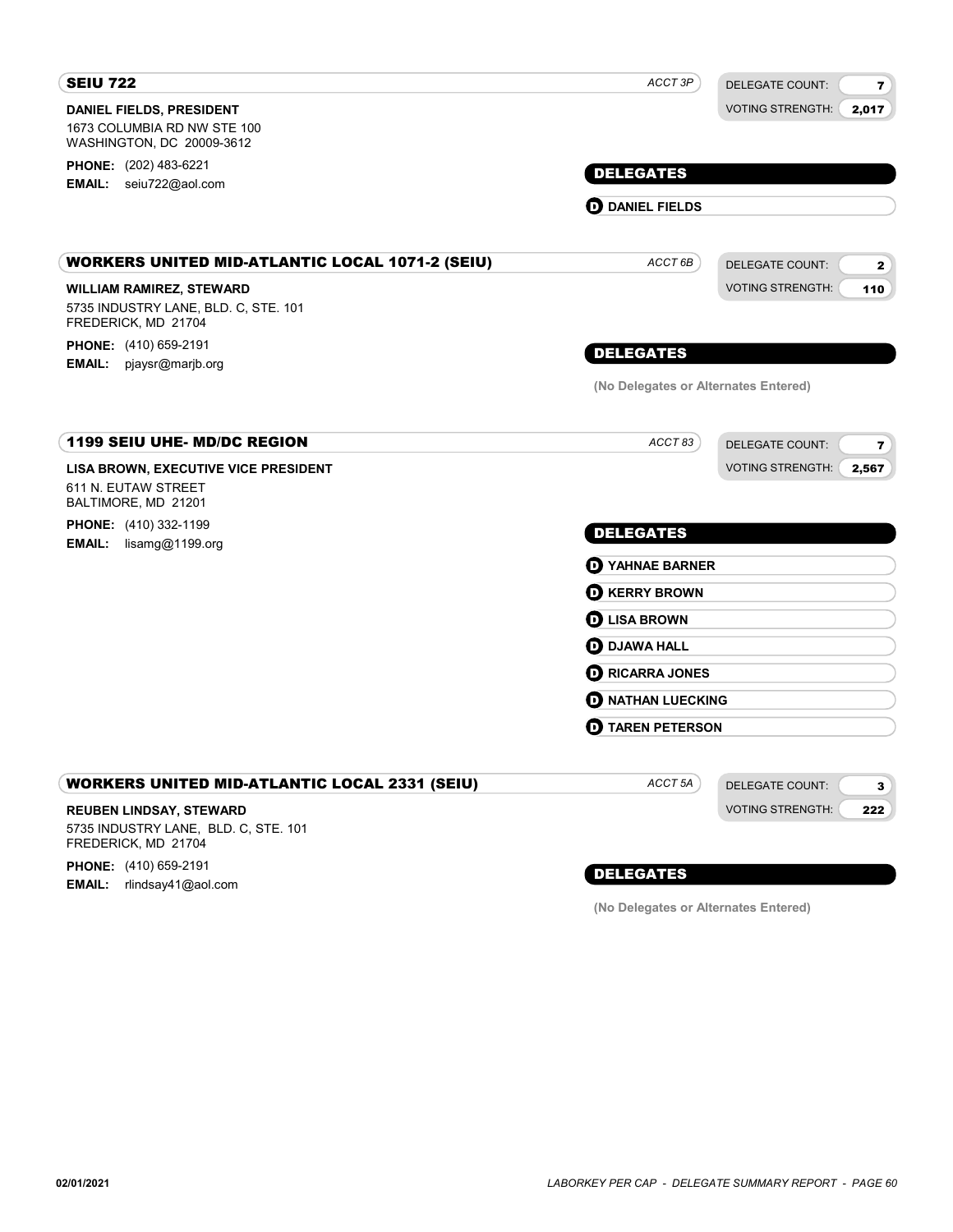| <b>SEIU 722</b>                                                                                | ACCT 3P                              | <b>DELEGATE COUNT:</b><br>$\overline{\mathbf{r}}$ |
|------------------------------------------------------------------------------------------------|--------------------------------------|---------------------------------------------------|
| <b>DANIEL FIELDS, PRESIDENT</b><br>1673 COLUMBIA RD NW STE 100<br>WASHINGTON, DC 20009-3612    |                                      | <b>VOTING STRENGTH:</b><br>2,017                  |
| <b>PHONE:</b> (202) 483-6221<br>EMAIL: seiu722@aol.com                                         | <b>DELEGATES</b>                     |                                                   |
|                                                                                                | <b>OD</b> DANIEL FIELDS              |                                                   |
| <b>WORKERS UNITED MID-ATLANTIC LOCAL 1071-2 (SEIU)</b>                                         | ACCT <sub>6B</sub>                   | <b>DELEGATE COUNT:</b><br>$\mathbf{z}$            |
| <b>WILLIAM RAMIREZ, STEWARD</b><br>5735 INDUSTRY LANE, BLD. C, STE. 101<br>FREDERICK, MD 21704 |                                      | <b>VOTING STRENGTH:</b><br>110                    |
| PHONE: (410) 659-2191<br>EMAIL: pjaysr@marjb.org                                               | <b>DELEGATES</b>                     |                                                   |
|                                                                                                | (No Delegates or Alternates Entered) |                                                   |
| <b>1199 SEIU UHE- MD/DC REGION</b>                                                             | ACCT 83                              | <b>DELEGATE COUNT:</b><br>7                       |
| LISA BROWN, EXECUTIVE VICE PRESIDENT<br>611 N. EUTAW STREET<br>BALTIMORE, MD 21201             |                                      | <b>VOTING STRENGTH:</b><br>2,567                  |
| <b>PHONE:</b> (410) 332-1199                                                                   | <b>DELEGATES</b>                     |                                                   |
| <b>EMAIL:</b> $\text{lisamg@1199.org}$                                                         | <b>O</b> YAHNAE BARNER               |                                                   |
|                                                                                                | <b>D</b> KERRY BROWN                 |                                                   |
|                                                                                                | <b>O LISA BROWN</b>                  |                                                   |
|                                                                                                | <b>OD</b> DJAWA HALL                 |                                                   |
|                                                                                                | <b>D</b> RICARRA JONES               |                                                   |
|                                                                                                | <b>O NATHAN LUECKING</b>             |                                                   |
|                                                                                                | $\mathbf 0$ TAREN PETERSON           |                                                   |
| <b>WORKERS UNITED MID-ATLANTIC LOCAL 2331 (SEIU)</b>                                           | ACCT <sub>5A</sub>                   | <b>DELEGATE COUNT:</b><br>3                       |
| <b>REUBEN LINDSAY, STEWARD</b><br>5735 INDUSTRY LANE, BLD. C, STE. 101<br>FREDERICK, MD 21704  |                                      | <b>VOTING STRENGTH:</b><br>222                    |
|                                                                                                |                                      |                                                   |

**PHONE:** (410) 659-2191 **EMAIL:** rlindsay41@aol.com

### DELEGATES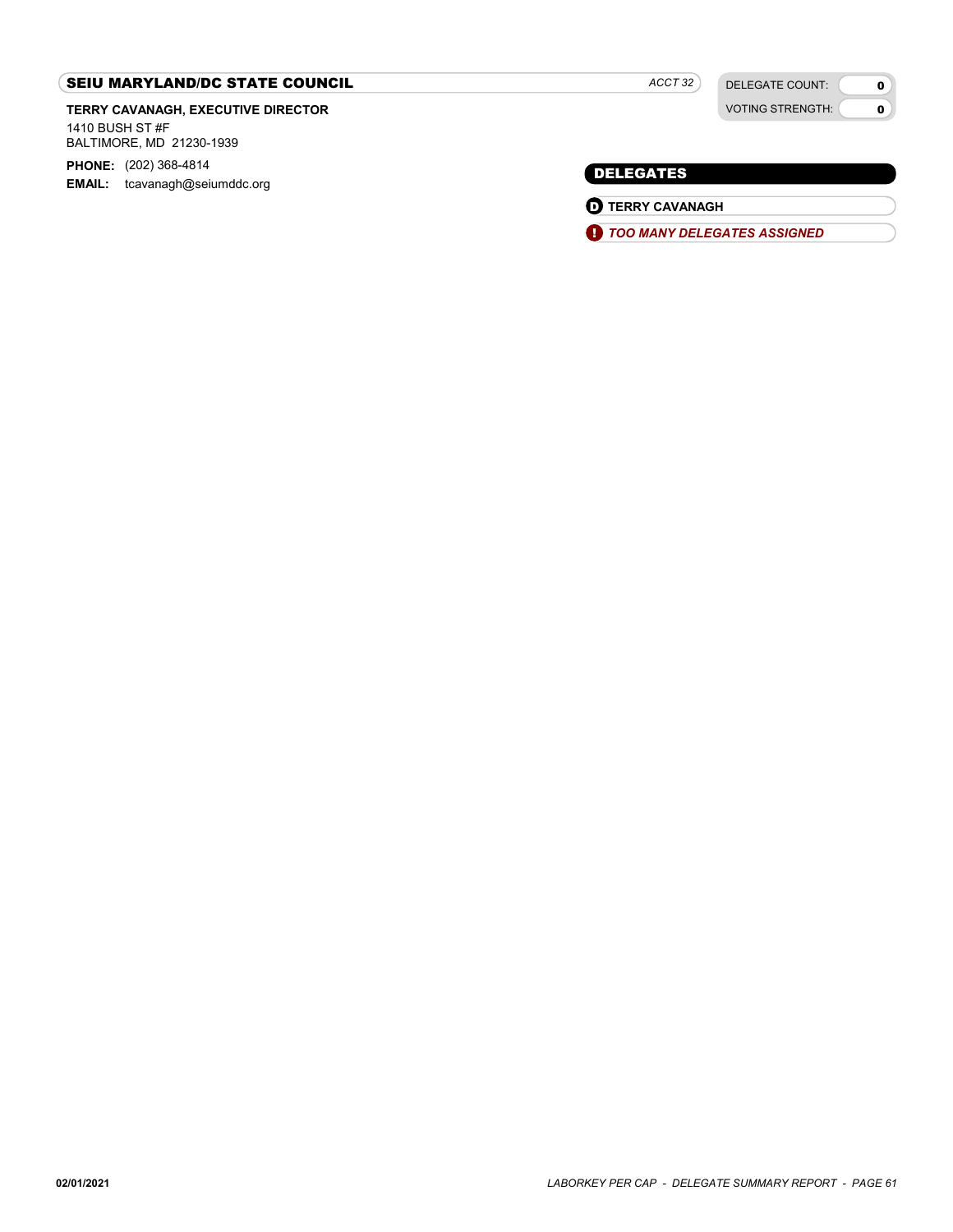### SEIU MARYLAND/DC STATE COUNCIL

TERRY CAVANAGH, EXECUTIVE DIRECTOR

1410 BUSH ST #F BALTIMORE, MD 21230-1939

PHONE: (202) 368-4814 EMAIL: tcavanagh@seiumddc.org

DELEGATE COUNT: VOTING STRENGTH:

 $\mathbf{0}$  $\bullet$ 

### DELEGATES

**D** TERRY CAVANAGH

**1** TOO MANY DELEGATES ASSIGNED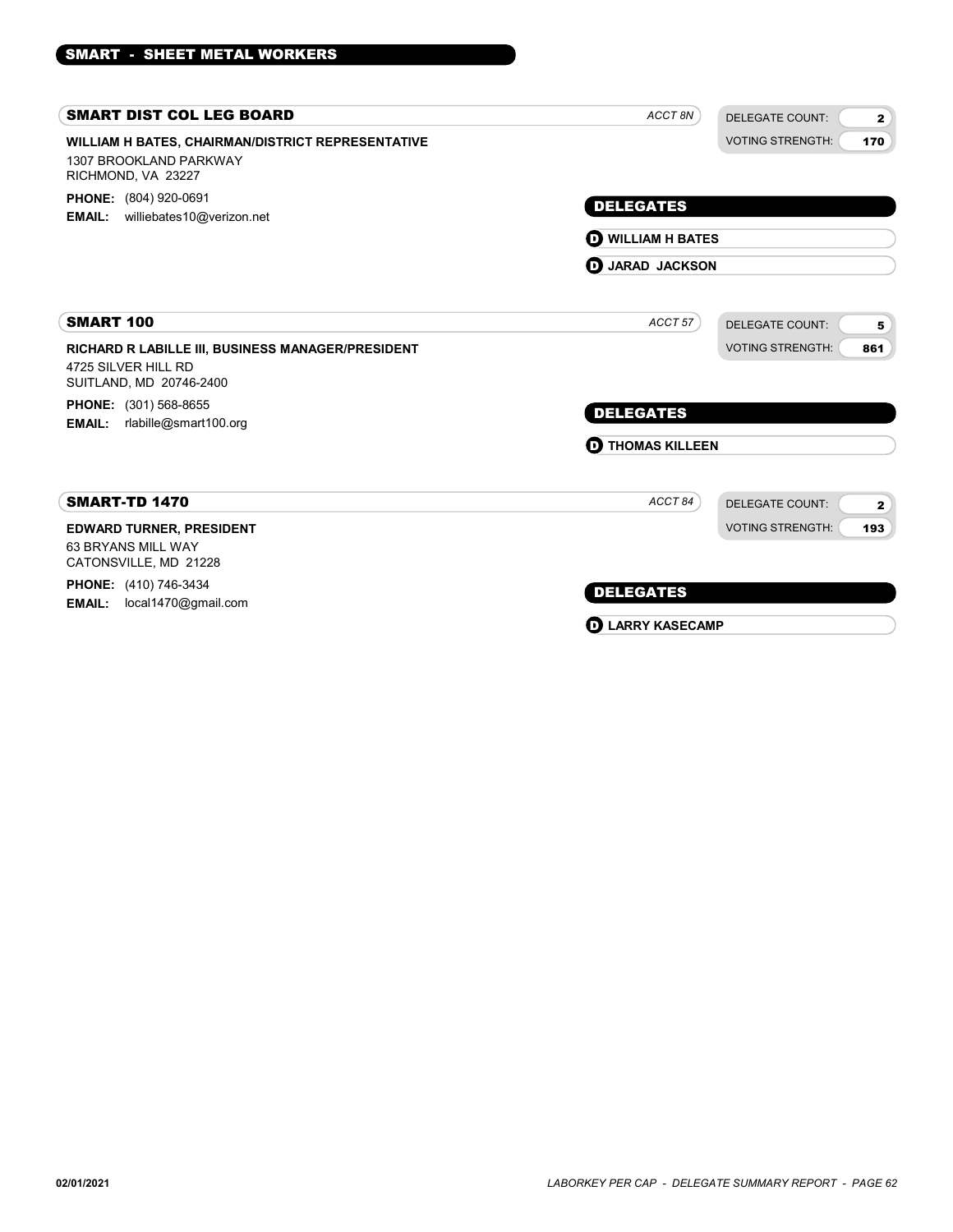| ACCT 8N                  | <b>DELEGATE COUNT:</b>  | $\mathbf{2}$                                                             |  |
|--------------------------|-------------------------|--------------------------------------------------------------------------|--|
|                          | <b>VOTING STRENGTH:</b> | 170                                                                      |  |
| <b>DELEGATES</b>         |                         |                                                                          |  |
| <b>D</b> WILLIAM H BATES |                         |                                                                          |  |
|                          |                         |                                                                          |  |
| ACCT 57                  | <b>DELEGATE COUNT:</b>  | 5                                                                        |  |
|                          | <b>VOTING STRENGTH:</b> | 861                                                                      |  |
|                          |                         |                                                                          |  |
| <b>DELEGATES</b>         |                         |                                                                          |  |
| ത                        |                         |                                                                          |  |
| ACCT84                   | DELEGATE COUNT:         | $\mathbf{2}$                                                             |  |
|                          | <b>VOTING STRENGTH:</b> | 193                                                                      |  |
|                          |                         |                                                                          |  |
| <b>DELEGATES</b>         |                         |                                                                          |  |
|                          |                         |                                                                          |  |
|                          | Đ                       | <b>D</b> JARAD JACKSON<br><b>THOMAS KILLEEN</b><br><b>LARRY KASECAMP</b> |  |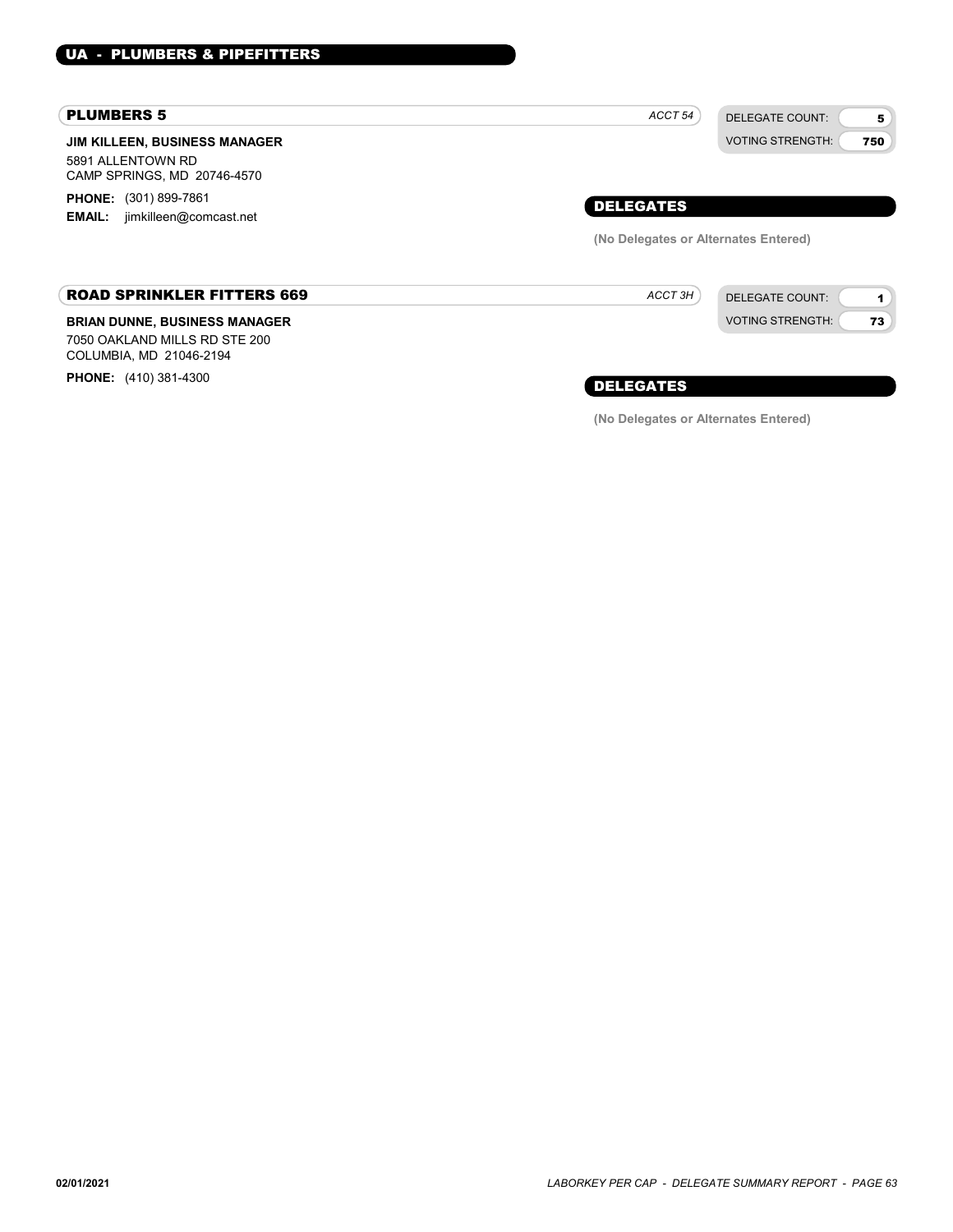#### PLUMBERS 5

JIM KILLEEN, BUSINESS MANAGER 5891 ALLENTOWN RD CAMP SPRINGS, MD 20746-4570

**PHONE:** (301) 899-7861 EMAIL: jimkilleen@comcast.net

### ROAD SPRINKLER FITTERS 669

#### BRIAN DUNNE, BUSINESS MANAGER

7050 OAKLAND MILLS RD STE 200 COLUMBIA, MD 21046-2194

PHONE: (410) 381-4300



DELEGATE COUNT: VOTING STRENGTH:

1 73

DELEGATES

ACCT 3H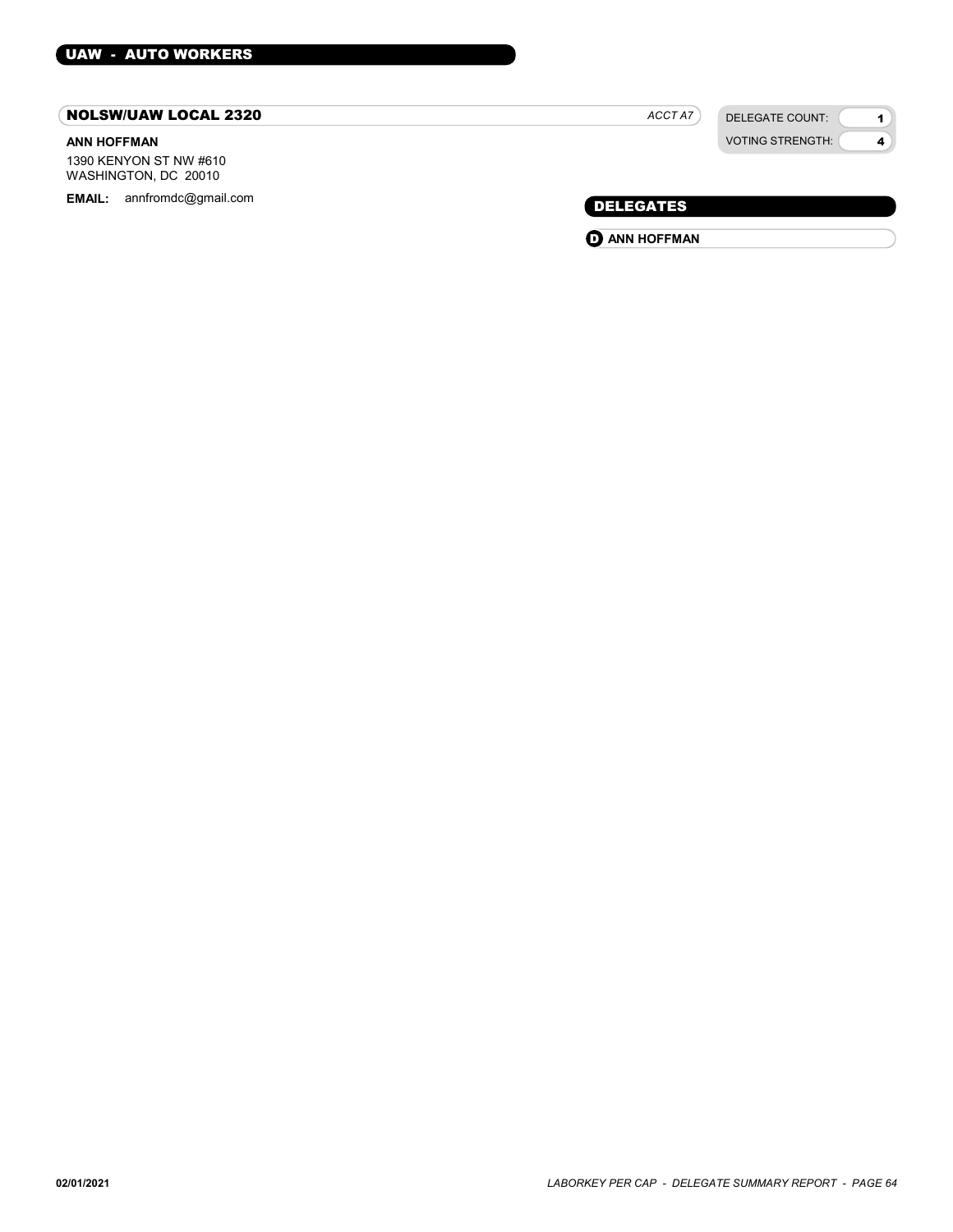### NOLSW/UAW LOCAL 2320

### ANN HOFFMAN

1390 KENYON ST NW #610 WASHINGTON, DC 20010

EMAIL: annfromdc@gmail.com example and the control of the control of the control of the DELEGATES

| <b>VOTING STRENGTH:</b> |
|-------------------------|
|                         |

DELEGATE COUNT:

1 4

ACCT A7

**O** ANN HOFFMAN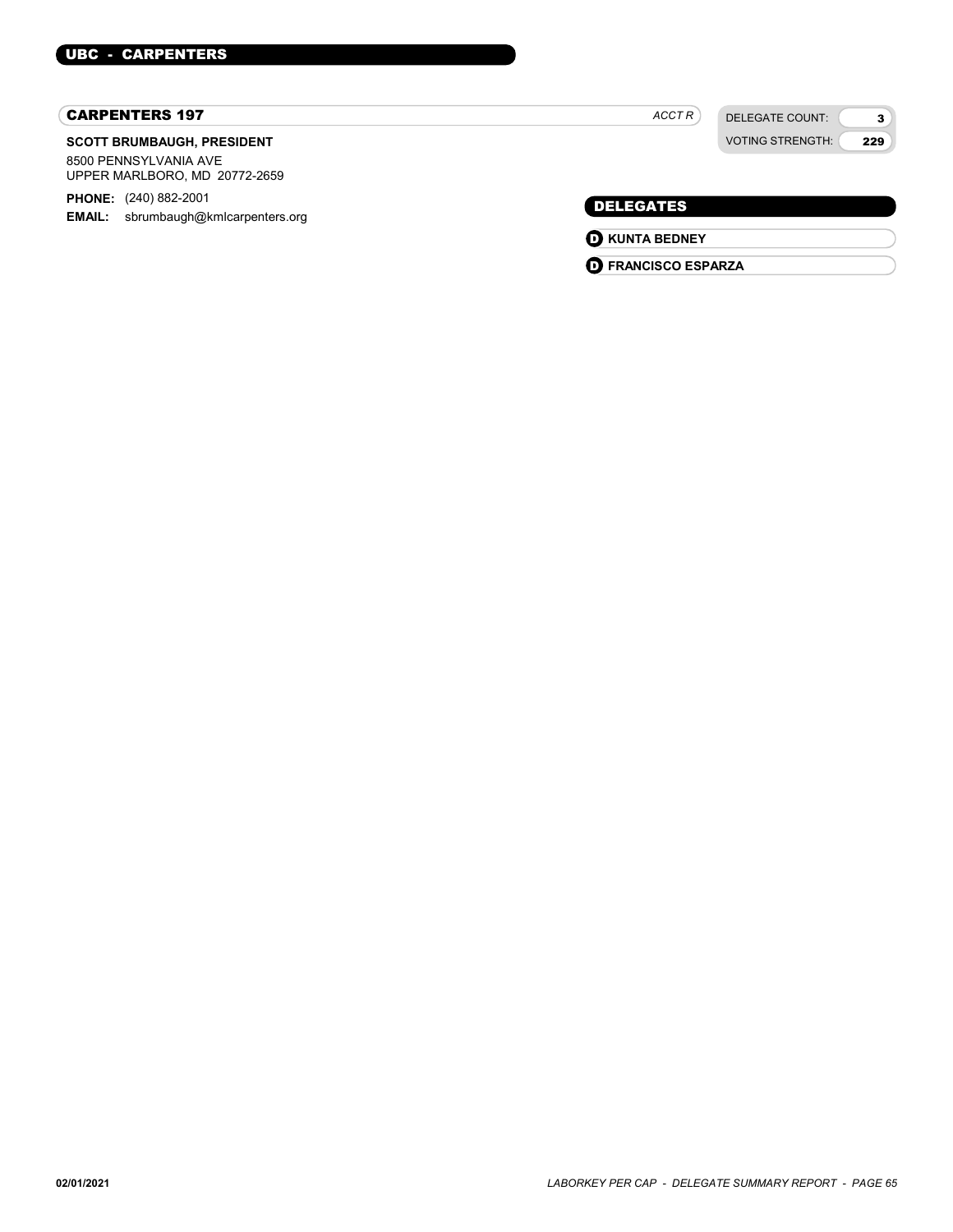### CARPENTERS 197

#### SCOTT BRUMBAUGH, PRESIDENT

8500 PENNSYLVANIA AVE UPPER MARLBORO, MD 20772-2659

PHONE: (240) 882-2001 **EMAIL:** sbrumbaugh@kmlcarpenters.org

 $ACCTR$ 

VOTING STRENGTH:

DELEGATE COUNT:

3 229

### DELEGATES

**O** KUNTA BEDNEY

**D** FRANCISCO ESPARZA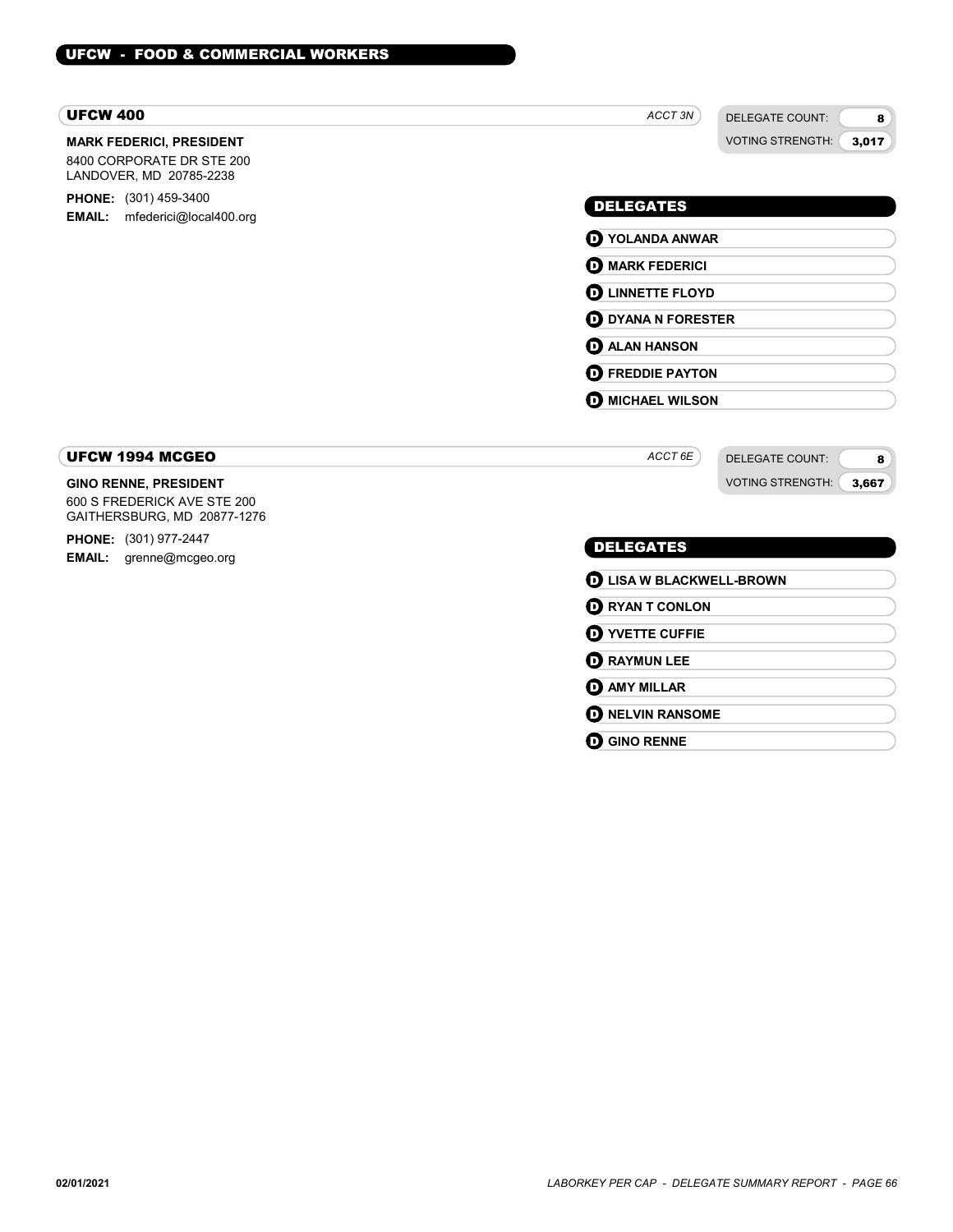#### UFCW 400

#### MARK FEDERICI, PRESIDENT

8400 CORPORATE DR STE 200 LANDOVER, MD 20785-2238

**PHONE:** (301) 459-3400 EMAIL: mfederici@local400.org

### ACCT<sub>3N</sub>

DELEGATE COUNT: VOTING STRENGTH:

8 3,017

### DELEGATES

- O YOLANDA ANWAR **O** MARK FEDERICI **O LINNETTE FLOYD**
- **D** DYANA N FORESTER

**D** ALAN HANSON

**D** FREDDIE PAYTON

**O** MICHAEL WILSON

ACCT 6E

DELEGATE COUNT: VOTING STRENGTH:

8 3,667

### UFCW 1994 MCGEO

#### GINO RENNE, PRESIDENT

600 S FREDERICK AVE STE 200 GAITHERSBURG, MD 20877-1276

PHONE: (301) 977-2447 EMAIL: grenne@mcgeo.org

### DELEGATES

| <b>D</b> LISA W BLACKWELL-BROWN |  |
|---------------------------------|--|
| <b>O RYAN T CONLON</b>          |  |
| <b>O YVETTE CUFFIE</b>          |  |
| <b>D</b> RAYMUN LEE             |  |
| <b>D</b> AMY MILLAR             |  |
| <b>O NELVIN RANSOME</b>         |  |
| <b>GINO RENNE</b>               |  |